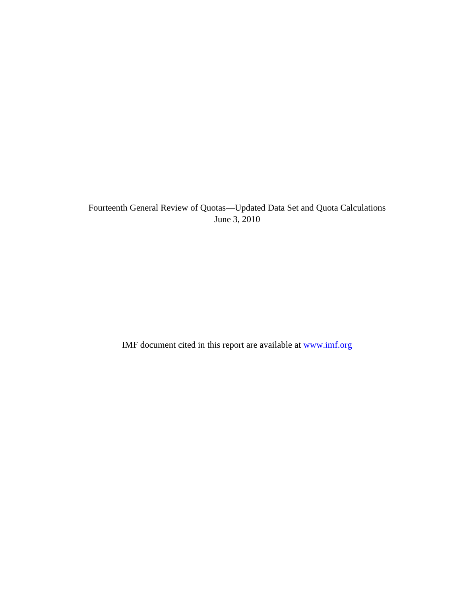Fourteenth General Review of Quotas—Updated Data Set and Quota Calculations June 3, 2010

IMF document cited in this report are available at [www.imf.org](http://www.imf.org/)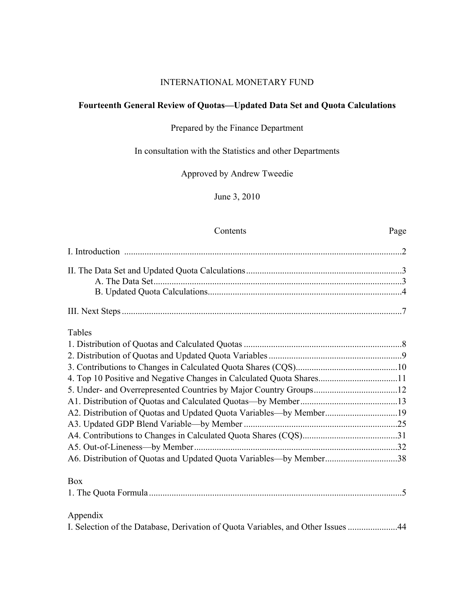## INTERNATIONAL MONETARY FUND

# **Fourteenth General Review of Quotas—Updated Data Set and Quota Calculations**

## Prepared by the Finance Department

# In consultation with the Statistics and other Departments

Approved by Andrew Tweedie

June 3, 2010

# Contents Page

| Tables                                                                           |  |
|----------------------------------------------------------------------------------|--|
|                                                                                  |  |
|                                                                                  |  |
|                                                                                  |  |
| 4. Top 10 Positive and Negative Changes in Calculated Quota Shares11             |  |
|                                                                                  |  |
|                                                                                  |  |
|                                                                                  |  |
|                                                                                  |  |
|                                                                                  |  |
|                                                                                  |  |
| A6. Distribution of Quotas and Updated Quota Variables—by Member38               |  |
| <b>Box</b>                                                                       |  |
|                                                                                  |  |
| Appendix                                                                         |  |
| I. Selection of the Database, Derivation of Quota Variables, and Other Issues 44 |  |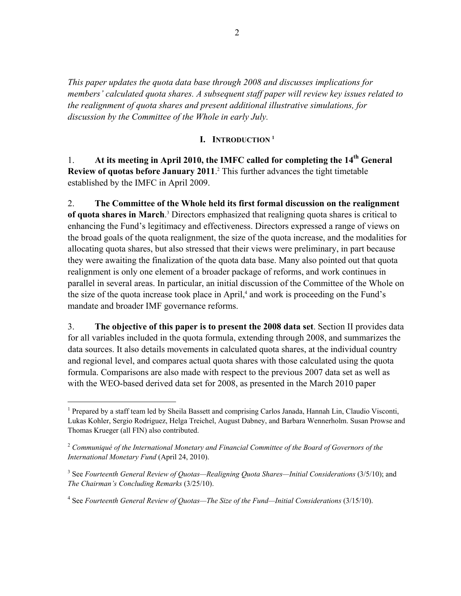*This paper updates the quota data base through 2008 and discusses implications for members' calculated quota shares. A subsequent staff paper will review key issues related to the realignment of quota shares and present additional illustrative simulations, for discussion by the Committee of the Whole in early July.* 

### **I. INTRODUCTION <sup>1</sup>**

1. **At its meeting in April 2010, the IMFC called for completing the 14th General Review of quotas before January 2011**.<sup>2</sup> This further advances the tight timetable established by the IMFC in April 2009.

2. **The Committee of the Whole held its first formal discussion on the realignment**  of quota shares in March.<sup>3</sup> Directors emphasized that realigning quota shares is critical to enhancing the Fund's legitimacy and effectiveness. Directors expressed a range of views on the broad goals of the quota realignment, the size of the quota increase, and the modalities for allocating quota shares, but also stressed that their views were preliminary, in part because they were awaiting the finalization of the quota data base. Many also pointed out that quota realignment is only one element of a broader package of reforms, and work continues in parallel in several areas. In particular, an initial discussion of the Committee of the Whole on the size of the quota increase took place in April,<sup>4</sup> and work is proceeding on the Fund's mandate and broader IMF governance reforms.

3. **The objective of this paper is to present the 2008 data set**. Section II provides data for all variables included in the quota formula, extending through 2008, and summarizes the data sources. It also details movements in calculated quota shares, at the individual country and regional level, and compares actual quota shares with those calculated using the quota formula. Comparisons are also made with respect to the previous 2007 data set as well as with the WEO-based derived data set for 2008, as presented in the March 2010 paper

 $\overline{a}$ 

<sup>&</sup>lt;sup>1</sup> Prepared by a staff team led by Sheila Bassett and comprising Carlos Janada, Hannah Lin, Claudio Visconti, Lukas Kohler, Sergio Rodriguez, Helga Treichel, August Dabney, and Barbara Wennerholm. Susan Prowse and Thomas Krueger (all FIN) also contributed.

<sup>2</sup> *Communiqué of the International Monetary and Financial Committee of the Board of Governors of the International Monetary Fund* (April 24, 2010).

<sup>&</sup>lt;sup>3</sup> See *Fourteenth General Review of Quotas—Realigning Quota Shares—Initial Considerations (3/5/10)*; and *The Chairman's Concluding Remarks* (3/25/10).

<sup>&</sup>lt;sup>4</sup> See *Fourteenth General Review of Quotas—The Size of the Fund—Initial Considerations (3/15/10).*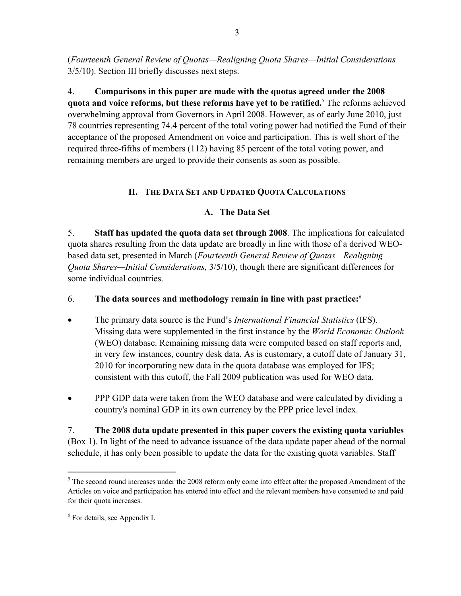(*Fourteenth General Review of Quotas—Realigning Quota Shares—Initial Considerations* 3/5/10). Section III briefly discusses next steps.

4. **Comparisons in this paper are made with the quotas agreed under the 2008 quota and voice reforms, but these reforms have yet to be ratified.**<sup>5</sup> The reforms achieved overwhelming approval from Governors in April 2008. However, as of early June 2010, just 78 countries representing 74.4 percent of the total voting power had notified the Fund of their acceptance of the proposed Amendment on voice and participation. This is well short of the required three-fifths of members (112) having 85 percent of the total voting power, and remaining members are urged to provide their consents as soon as possible.

# **II. THE DATA SET AND UPDATED QUOTA CALCULATIONS**

# **A. The Data Set**

5. **Staff has updated the quota data set through 2008**. The implications for calculated quota shares resulting from the data update are broadly in line with those of a derived WEObased data set, presented in March (*Fourteenth General Review of Quotas—Realigning Quota Shares—Initial Considerations,* 3/5/10), though there are significant differences for some individual countries.

## 6. **The data sources and methodology remain in line with past practice:**<sup>6</sup>

- The primary data source is the Fund's *International Financial Statistics* (IFS). Missing data were supplemented in the first instance by the *World Economic Outlook* (WEO) database. Remaining missing data were computed based on staff reports and, in very few instances, country desk data. As is customary, a cutoff date of January 31, 2010 for incorporating new data in the quota database was employed for IFS; consistent with this cutoff, the Fall 2009 publication was used for WEO data.
- PPP GDP data were taken from the WEO database and were calculated by dividing a country's nominal GDP in its own currency by the PPP price level index.

7. **The 2008 data update presented in this paper covers the existing quota variables** (Box 1). In light of the need to advance issuance of the data update paper ahead of the normal schedule, it has only been possible to update the data for the existing quota variables. Staff

1

 $5$  The second round increases under the 2008 reform only come into effect after the proposed Amendment of the Articles on voice and participation has entered into effect and the relevant members have consented to and paid for their quota increases.

<sup>6</sup> For details, see Appendix I.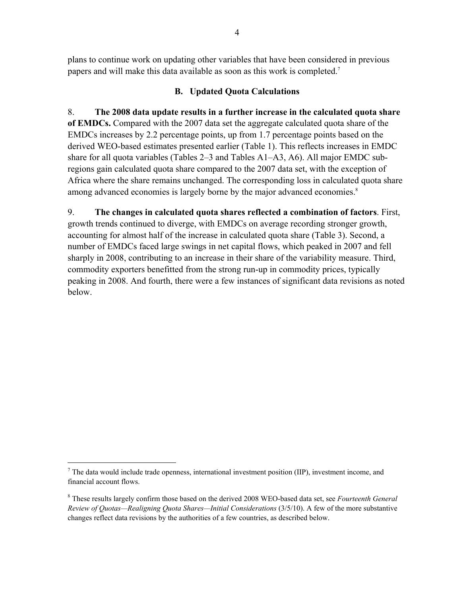plans to continue work on updating other variables that have been considered in previous papers and will make this data available as soon as this work is completed.<sup>7</sup>

## **B. Updated Quota Calculations**

8. **The 2008 data update results in a further increase in the calculated quota share of EMDCs.** Compared with the 2007 data set the aggregate calculated quota share of the EMDCs increases by 2.2 percentage points, up from 1.7 percentage points based on the derived WEO-based estimates presented earlier (Table 1). This reflects increases in EMDC share for all quota variables (Tables 2–3 and Tables A1–A3, A6). All major EMDC subregions gain calculated quota share compared to the 2007 data set, with the exception of Africa where the share remains unchanged. The corresponding loss in calculated quota share among advanced economies is largely borne by the major advanced economies.<sup>8</sup>

9. **The changes in calculated quota shares reflected a combination of factors**. First, growth trends continued to diverge, with EMDCs on average recording stronger growth, accounting for almost half of the increase in calculated quota share (Table 3). Second, a number of EMDCs faced large swings in net capital flows, which peaked in 2007 and fell sharply in 2008, contributing to an increase in their share of the variability measure. Third, commodity exporters benefitted from the strong run-up in commodity prices, typically peaking in 2008. And fourth, there were a few instances of significant data revisions as noted below.

 $\overline{a}$ 

 $<sup>7</sup>$  The data would include trade openness, international investment position (IIP), investment income, and</sup> financial account flows.

<sup>8</sup> These results largely confirm those based on the derived 2008 WEO-based data set, see *Fourteenth General Review of Quotas—Realigning Quota Shares—Initial Considerations* (3/5/10). A few of the more substantive changes reflect data revisions by the authorities of a few countries, as described below.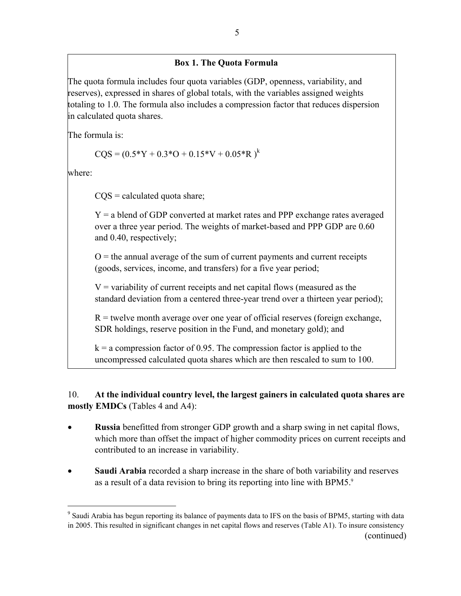## **Box 1. The Quota Formula**

The quota formula includes four quota variables (GDP, openness, variability, and reserves), expressed in shares of global totals, with the variables assigned weights totaling to 1.0. The formula also includes a compression factor that reduces dispersion in calculated quota shares.

The formula is:

$$
CQS = (0.5*Y + 0.3*O + 0.15*V + 0.05*R)^{k}
$$

where:

 $\overline{a}$ 

 $COS =$  calculated quota share;

Y = a blend of GDP converted at market rates and PPP exchange rates averaged over a three year period. The weights of market-based and PPP GDP are 0.60 and 0.40, respectively;

 $O =$  the annual average of the sum of current payments and current receipts (goods, services, income, and transfers) for a five year period;

 $V =$  variability of current receipts and net capital flows (measured as the standard deviation from a centered three-year trend over a thirteen year period);

 $R$  = twelve month average over one year of official reserves (foreign exchange, SDR holdings, reserve position in the Fund, and monetary gold); and

 $k = a$  compression factor of 0.95. The compression factor is applied to the uncompressed calculated quota shares which are then rescaled to sum to 100.

10. **At the individual country level, the largest gainers in calculated quota shares are mostly EMDCs** (Tables 4 and A4):

- **Russia** benefitted from stronger GDP growth and a sharp swing in net capital flows, which more than offset the impact of higher commodity prices on current receipts and contributed to an increase in variability.
- **Saudi Arabia** recorded a sharp increase in the share of both variability and reserves as a result of a data revision to bring its reporting into line with BPM5.<sup>9</sup>

<sup>&</sup>lt;sup>9</sup> Saudi Arabia has begun reporting its balance of payments data to IFS on the basis of BPM5, starting with data in 2005. This resulted in significant changes in net capital flows and reserves (Table A1). To insure consistency (continued)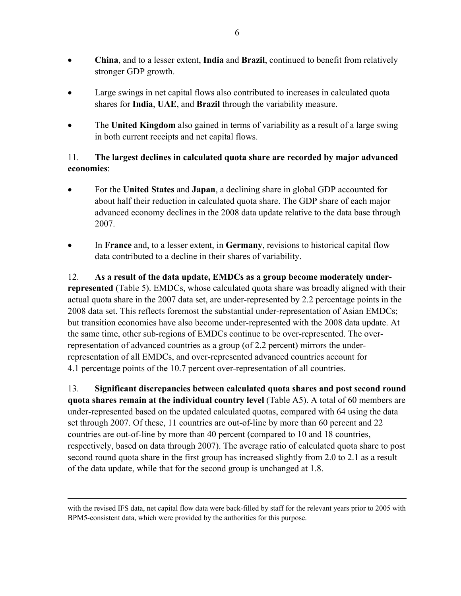- **China**, and to a lesser extent, **India** and **Brazil**, continued to benefit from relatively stronger GDP growth.
- Large swings in net capital flows also contributed to increases in calculated quota shares for **India**, **UAE**, and **Brazil** through the variability measure.
- The **United Kingdom** also gained in terms of variability as a result of a large swing in both current receipts and net capital flows.

## 11. **The largest declines in calculated quota share are recorded by major advanced economies**:

- For the **United States** and **Japan**, a declining share in global GDP accounted for about half their reduction in calculated quota share. The GDP share of each major advanced economy declines in the 2008 data update relative to the data base through 2007.
- In **France** and, to a lesser extent, in **Germany**, revisions to historical capital flow data contributed to a decline in their shares of variability.

12. **As a result of the data update, EMDCs as a group become moderately underrepresented** (Table 5). EMDCs, whose calculated quota share was broadly aligned with their actual quota share in the 2007 data set, are under-represented by 2.2 percentage points in the 2008 data set. This reflects foremost the substantial under-representation of Asian EMDCs; but transition economies have also become under-represented with the 2008 data update. At the same time, other sub-regions of EMDCs continue to be over-represented. The overrepresentation of advanced countries as a group (of 2.2 percent) mirrors the underrepresentation of all EMDCs, and over-represented advanced countries account for 4.1 percentage points of the 10.7 percent over-representation of all countries.

13. **Significant discrepancies between calculated quota shares and post second round quota shares remain at the individual country level** (Table A5). A total of 60 members are under-represented based on the updated calculated quotas, compared with 64 using the data set through 2007. Of these, 11 countries are out-of-line by more than 60 percent and 22 countries are out-of-line by more than 40 percent (compared to 10 and 18 countries, respectively, based on data through 2007). The average ratio of calculated quota share to post second round quota share in the first group has increased slightly from 2.0 to 2.1 as a result of the data update, while that for the second group is unchanged at 1.8.

 $\overline{a}$ 

with the revised IFS data, net capital flow data were back-filled by staff for the relevant years prior to 2005 with BPM5-consistent data, which were provided by the authorities for this purpose.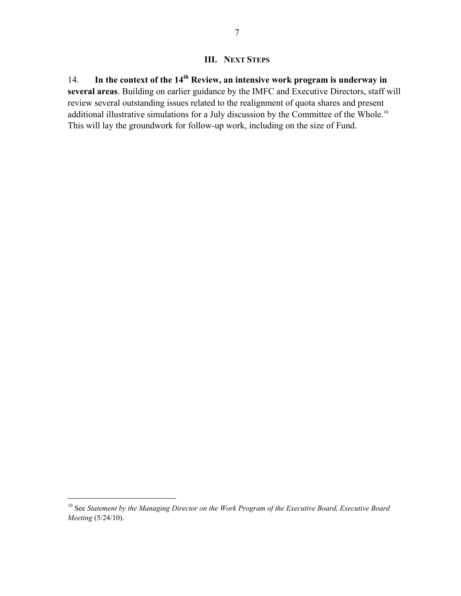## **III. NEXT STEPS**

14. **In the context of the 14th Review, an intensive work program is underway in several areas**. Building on earlier guidance by the IMFC and Executive Directors, staff will review several outstanding issues related to the realignment of quota shares and present additional illustrative simulations for a July discussion by the Committee of the Whole.<sup>10</sup> This will lay the groundwork for follow-up work, including on the size of Fund.

1

<sup>&</sup>lt;sup>10</sup> See *Statement by the Managing Director on the Work Program of the Executive Board, Executive Board Meeting* (5/24/10).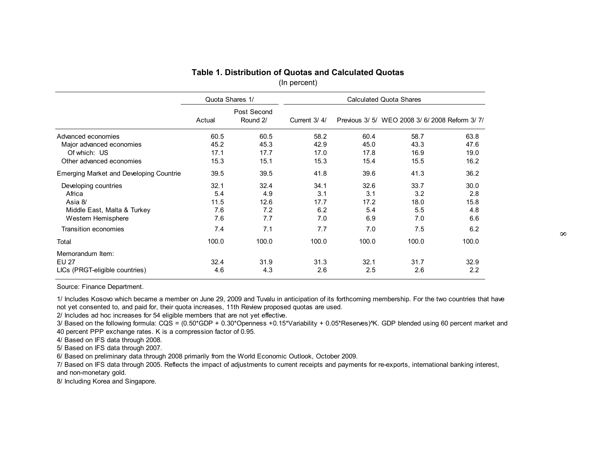| Post Second<br>Round 2/<br>Current 3/4/<br>Actual<br>Advanced economies<br>60.5<br>60.5<br>58.2<br>45.2<br>Major advanced economies<br>45.3<br>42.9<br>Of which: US<br>17.1<br>17.7<br>17.0<br>Other advanced economies<br>15.3<br>15.3<br>15.1 | 60.4<br>45.0 | Previous 3/ 5/ WEO 2008 3/ 6/ 2008 Reform 3/ 7/ |               |
|-------------------------------------------------------------------------------------------------------------------------------------------------------------------------------------------------------------------------------------------------|--------------|-------------------------------------------------|---------------|
|                                                                                                                                                                                                                                                 |              |                                                 |               |
|                                                                                                                                                                                                                                                 |              | 58.7                                            | 63.8          |
|                                                                                                                                                                                                                                                 |              | 43.3                                            | 47.6          |
|                                                                                                                                                                                                                                                 | 17.8         | 16.9                                            | 19.0          |
|                                                                                                                                                                                                                                                 | 15.4         | 15.5                                            | 16.2          |
| <b>Emerging Market and Developing Countrie</b><br>39.5<br>39.5<br>41.8                                                                                                                                                                          | 39.6         | 41.3                                            | 36.2          |
| 32.1<br>32.4<br>34.1<br>Developing countries                                                                                                                                                                                                    | 32.6         | 33.7                                            | 30.0          |
| 5.4<br>3.1<br>Africa<br>4.9                                                                                                                                                                                                                     | 3.1          | 3.2                                             | 2.8           |
| Asia 8/<br>11.5<br>12.6<br>17.7                                                                                                                                                                                                                 | 17.2         | 18.0                                            | 15.8          |
| 7.6<br>7.2<br>6.2<br>Middle East, Malta & Turkey                                                                                                                                                                                                | 5.4          | 5.5                                             | 4.8           |
| 7.6<br>7.7<br>Western Hemisphere<br>7.0                                                                                                                                                                                                         | 6.9          | 7.0                                             | 6.6           |
| 7.4<br>7.1<br>7.7<br>Transition economies                                                                                                                                                                                                       | 7.0          | 7.5                                             | 6.2           |
| 100.0<br>100.0<br>100.0<br>Total                                                                                                                                                                                                                | 100.0        | 100.0                                           | 100.0         |
| Memorandum Item:                                                                                                                                                                                                                                |              |                                                 |               |
| <b>EU 27</b><br>32.4<br>31.9<br>31.3                                                                                                                                                                                                            | 32.1         | 31.7                                            | 32.9          |
| 2.6<br>LICs (PRGT-eligible countries)<br>4.6<br>4.3                                                                                                                                                                                             | 2.5          | 2.6                                             | $2.2^{\circ}$ |
| Source: Finance Department.                                                                                                                                                                                                                     |              |                                                 |               |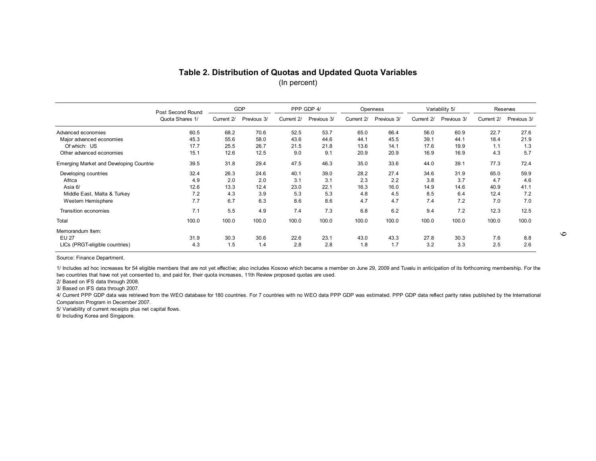| Table 2. Distribution of Quotas and Updated Quota Variables<br>(In percent) |                   |            |             |            |             |            |             |       |                        |       |                        |  |
|-----------------------------------------------------------------------------|-------------------|------------|-------------|------------|-------------|------------|-------------|-------|------------------------|-------|------------------------|--|
|                                                                             | Post Second Round | GDP        |             | PPP GDP 4/ |             |            | Openness    |       | Variability 5/         |       | Reserves               |  |
|                                                                             | Quota Shares 1/   | Current 2/ | Previous 3/ | Current 2/ | Previous 3/ | Current 2/ | Previous 3/ |       | Current 2/ Previous 3/ |       | Current 2/ Previous 3/ |  |
| Advanced economies                                                          | 60.5              | 68.2       | 70.6        | 52.5       | 53.7        | 65.0       | 66.4        | 56.0  | 60.9                   | 22.7  | 27.6                   |  |
| Major advanced economies                                                    | 45.3              | 55.6       | 58.0        | 43.6       | 44.6        | 44.1       | 45.5        | 39.1  | 44.1                   | 18.4  | 21.9                   |  |
| Of which: US                                                                | 17.7              | 25.5       | 26.7        | 21.5       | 21.8        | 13.6       | 14.1        | 17.6  | 19.9                   | 1.1   | 1.3                    |  |
| Other advanced economies                                                    | 15.1              | 12.6       | 12.5        | 9.0        | 9.1         | 20.9       | 20.9        | 16.9  | 16.9                   | 4.3   | 5.7                    |  |
| <b>Emerging Market and Developing Countrie</b>                              | 39.5              | 31.8       | 29.4        | 47.5       | 46.3        | 35.0       | 33.6        | 44.0  | 39.1                   | 77.3  | 72.4                   |  |
| Developing countries                                                        | 32.4              | 26.3       | 24.6        | 40.1       | 39.0        | 28.2       | 27.4        | 34.6  | 31.9                   | 65.0  | 59.9                   |  |
| Africa                                                                      | 4.9               | 2.0        | 2.0         | 3.1        | 3.1         | 2.3        | 2.2         | 3.8   | 3.7                    | 4.7   | 4.6                    |  |
| Asia 6/                                                                     | 12.6              | 13.3       | 12.4        | 23.0       | 22.1        | 16.3       | 16.0        | 14.9  | 14.6                   | 40.9  | 41.1                   |  |
| Middle East, Malta & Turkey                                                 | 7.2               | 4.3        | 3.9         | 5.3        | 5.3         | 4.8        | 4.5         | 8.5   | 6.4                    | 12.4  | 7.2                    |  |
| Western Hemisphere                                                          | 7.7               | 6.7        | 6.3         | 8.6        | 8.6         | 4.7        | 4.7         | 7.4   | 7.2                    | 7.0   | 7.0                    |  |
| Transition economies                                                        | 7.1               | 5.5        | 4.9         | 7.4        | 7.3         | 6.8        | 6.2         | 9.4   | 7.2                    | 12.3  | 12.5                   |  |
| Total                                                                       | 100.0             | 100.0      | 100.0       | 100.0      | 100.0       | 100.0      | 100.0       | 100.0 | 100.0                  | 100.0 | 100.0                  |  |
| Memorandum Item:                                                            |                   |            |             |            |             |            |             |       |                        |       |                        |  |
| <b>EU 27</b>                                                                | 31.9              | 30.3       | 30.6        | 22.6       | 23.1        | 43.0       | 43.3        | 27.8  | 30.3                   | 7.6   | 8.8                    |  |
| LICs (PRGT-eligible countries)                                              | 4.3               | 1.5        | 1.4         | 2.8        | 2.8         | 1.8        | 1.7         | 3.2   | 3.3                    | 2.5   | 2.6                    |  |
| Source: Finance Department.                                                 |                   |            |             |            |             |            |             |       |                        |       |                        |  |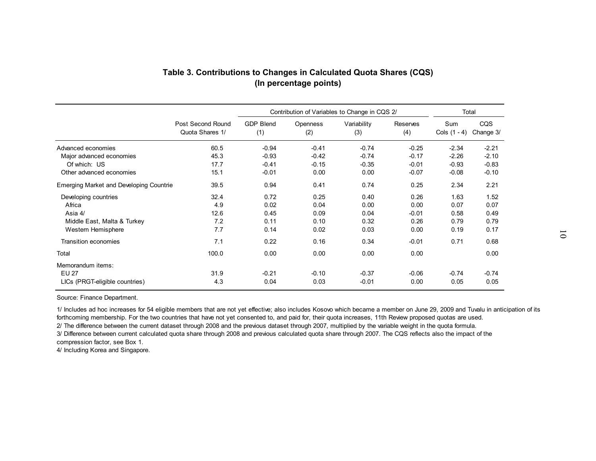| (In percentage points)                                                                         |                                      |                                      |                                               |                                      |                                         |                                      |                                      |  |  |
|------------------------------------------------------------------------------------------------|--------------------------------------|--------------------------------------|-----------------------------------------------|--------------------------------------|-----------------------------------------|--------------------------------------|--------------------------------------|--|--|
|                                                                                                |                                      |                                      | Contribution of Variables to Change in CQS 2/ |                                      |                                         | Total                                |                                      |  |  |
|                                                                                                | Post Second Round<br>Quota Shares 1/ | <b>GDP Blend</b><br>(1)              | Openness<br>(2)                               | Variability<br>(3)                   | Reserves<br>(4)                         | Sum<br>Cols $(1 - 4)$ Change $3/$    | CQS                                  |  |  |
| Advanced economies<br>Major advanced economies                                                 | 60.5<br>45.3                         | $-0.94$<br>$-0.93$                   | $-0.41$<br>$-0.42$                            | $-0.74$<br>$-0.74$                   | $-0.25$<br>$-0.17$                      | $-2.34$<br>$-2.26$                   | $-2.21$<br>$-2.10$                   |  |  |
| Of which: US<br>Other advanced economies                                                       | 17.7<br>15.1                         | $-0.41$<br>$-0.01$                   | $-0.15$<br>0.00                               | $-0.35$<br>0.00                      | $-0.01$<br>$-0.07$                      | $-0.93$<br>$-0.08$                   | $-0.83$<br>$-0.10$                   |  |  |
| <b>Emerging Market and Developing Countrie</b>                                                 | 39.5                                 | 0.94                                 | 0.41                                          | 0.74                                 | 0.25                                    | 2.34                                 | 2.21                                 |  |  |
| Developing countries<br>Africa<br>Asia 4/<br>Middle East, Malta & Turkey<br>Western Hemisphere | 32.4<br>4.9<br>12.6<br>7.2<br>7.7    | 0.72<br>0.02<br>0.45<br>0.11<br>0.14 | 0.25<br>0.04<br>0.09<br>0.10<br>0.02          | 0.40<br>0.00<br>0.04<br>0.32<br>0.03 | 0.26<br>0.00<br>$-0.01$<br>0.26<br>0.00 | 1.63<br>0.07<br>0.58<br>0.79<br>0.19 | 1.52<br>0.07<br>0.49<br>0.79<br>0.17 |  |  |
| Transition economies                                                                           | 7.1                                  | 0.22                                 | 0.16                                          | 0.34                                 | $-0.01$                                 | 0.71                                 | 0.68                                 |  |  |
| Total<br>Memorandum items:<br>EU 27<br>LICs (PRGT-eligible countries)                          | 100.0<br>31.9<br>4.3                 | 0.00<br>$-0.21$<br>0.04              | 0.00<br>$-0.10$<br>0.03                       | 0.00<br>$-0.37$<br>$-0.01$           | 0.00<br>$-0.06$<br>0.00                 | $-0.74$<br>0.05                      | 0.00<br>$-0.74$<br>0.05              |  |  |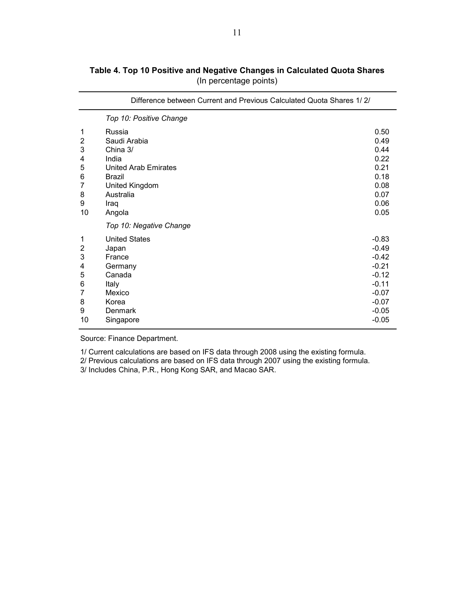|                                                              | Difference between Current and Previous Calculated Quota Shares 1/2/                                                                  |                                                                                                            |
|--------------------------------------------------------------|---------------------------------------------------------------------------------------------------------------------------------------|------------------------------------------------------------------------------------------------------------|
|                                                              | Top 10: Positive Change                                                                                                               |                                                                                                            |
| 1<br>2<br>3<br>4<br>5<br>6<br>7<br>8<br>9<br>10              | Russia<br>Saudi Arabia<br>China 3/<br>India<br>United Arab Emirates<br><b>Brazil</b><br>United Kingdom<br>Australia<br>Iraq<br>Angola | 0.50<br>0.49<br>0.44<br>0.22<br>0.21<br>0.18<br>0.08<br>0.07<br>0.06<br>0.05                               |
|                                                              | Top 10: Negative Change                                                                                                               |                                                                                                            |
| 1<br>$\overline{2}$<br>3<br>4<br>5<br>6<br>7<br>8<br>9<br>10 | <b>United States</b><br>Japan<br>France<br>Germany<br>Canada<br>Italy<br>Mexico<br>Korea<br>Denmark<br>Singapore                      | $-0.83$<br>$-0.49$<br>$-0.42$<br>$-0.21$<br>$-0.12$<br>$-0.11$<br>$-0.07$<br>$-0.07$<br>$-0.05$<br>$-0.05$ |

**Table 4. Top 10 Positive and Negative Changes in Calculated Quota Shares**  (In percentage points)

1/ Current calculations are based on IFS data through 2008 using the existing formula.

2/ Previous calculations are based on IFS data through 2007 using the existing formula.

3/ Includes China, P.R., Hong Kong SAR, and Macao SAR.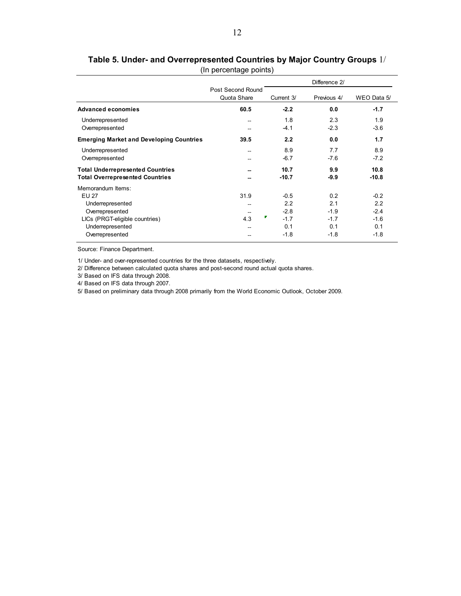|                                                 |                   |             | Difference 2/ |             |
|-------------------------------------------------|-------------------|-------------|---------------|-------------|
|                                                 | Post Second Round |             |               |             |
|                                                 | Quota Share       | Current 3/  | Previous 4/   | WEO Data 5/ |
| Advanced economies                              | 60.5              | $-2.2$      | 0.0           | $-1.7$      |
| Underrepresented                                | --                | 1.8         | 2.3           | 1.9         |
| Overrepresented                                 |                   | $-4.1$      | $-2.3$        | $-3.6$      |
| <b>Emerging Market and Developing Countries</b> | 39.5              | 2.2         | 0.0           | 1.7         |
| Underrepresented                                |                   | 8.9         | 7.7           | 8.9         |
| Overrepresented                                 |                   | $-6.7$      | $-7.6$        | $-7.2$      |
| <b>Total Underrepresented Countries</b>         |                   | 10.7        | 9.9           | 10.8        |
| <b>Total Overrepresented Countries</b>          |                   | $-10.7$     | $-9.9$        | $-10.8$     |
| Memorandum Items:                               |                   |             |               |             |
| <b>EU 27</b>                                    | 31.9              | $-0.5$      | 0.2           | $-0.2$      |
| Underrepresented                                | --                | 2.2         | 2.1           | 2.2         |
| Overrepresented                                 |                   | $-2.8$      | $-1.9$        | $-2.4$      |
| LICs (PRGT-eligible countries)                  | 4.3               | Γ<br>$-1.7$ | $-1.7$        | $-1.6$      |
| Underrepresented                                |                   | 0.1         | 0.1           | 0.1         |
| Overrepresented                                 |                   | $-1.8$      | $-1.8$        | $-1.8$      |

**Table 5. Under- and Overrepresented Countries by Major Country Groups** 1/ (In percentage points)

1/ Under- and over-represented countries for the three datasets, respectively.

2/ Difference between calculated quota shares and post-second round actual quota shares.

3/ Based on IFS data through 2008.

4/ Based on IFS data through 2007.

5/ Based on preliminary data through 2008 primarily from the World Economic Outlook, October 2009.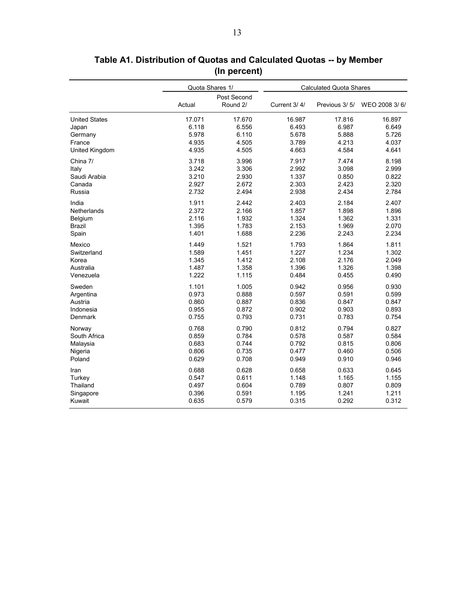|                      |        | Quota Shares 1/         | <b>Calculated Quota Shares</b> |               |               |  |
|----------------------|--------|-------------------------|--------------------------------|---------------|---------------|--|
|                      | Actual | Post Second<br>Round 2/ | Current 3/4/                   | Previous 3/5/ | WEO 2008 3/6/ |  |
| <b>United States</b> | 17.071 | 17.670                  | 16.987                         | 17.816        | 16.897        |  |
| Japan                | 6.118  | 6.556                   | 6.493                          | 6.987         | 6.649         |  |
| Germany              | 5.978  | 6.110                   | 5.678                          | 5.888         | 5.726         |  |
| France               | 4.935  | 4.505                   | 3.789                          | 4.213         | 4.037         |  |
| United Kingdom       | 4.935  | 4.505                   | 4.663                          | 4.584         | 4.641         |  |
| China 7/             | 3.718  | 3.996                   | 7.917                          | 7.474         | 8.198         |  |
| Italy                | 3.242  | 3.306                   | 2.992                          | 3.098         | 2.999         |  |
| Saudi Arabia         | 3.210  | 2.930                   | 1.337                          | 0.850         | 0.822         |  |
| Canada               | 2.927  | 2.672                   | 2.303                          | 2.423         | 2.320         |  |
| Russia               | 2.732  | 2.494                   | 2.938                          | 2.434         | 2.784         |  |
| India                | 1.911  | 2.442                   | 2.403                          | 2.184         | 2.407         |  |
| Netherlands          | 2.372  | 2.166                   | 1.857                          | 1.898         | 1.896         |  |
| Belgium              | 2.116  | 1.932                   | 1.324                          | 1.362         | 1.331         |  |
| <b>Brazil</b>        | 1.395  | 1.783                   | 2.153                          | 1.969         | 2.070         |  |
| Spain                | 1.401  | 1.688                   | 2.236                          | 2.243         | 2.234         |  |
| Mexico               | 1.449  | 1.521                   | 1.793                          | 1.864         | 1.811         |  |
| Switzerland          | 1.589  | 1.451                   | 1.227                          | 1.234         | 1.302         |  |
| Korea                | 1.345  | 1.412                   | 2.108                          | 2.176         | 2.049         |  |
| Australia            | 1.487  | 1.358                   | 1.396                          | 1.326         | 1.398         |  |
| Venezuela            | 1.222  | 1.115                   | 0.484                          | 0.455         | 0.490         |  |
| Sweden               | 1.101  | 1.005                   | 0.942                          | 0.956         | 0.930         |  |
| Argentina            | 0.973  | 0.888                   | 0.597                          | 0.591         | 0.599         |  |
| Austria              | 0.860  | 0.887                   | 0.836                          | 0.847         | 0.847         |  |
| Indonesia            | 0.955  | 0.872                   | 0.902                          | 0.903         | 0.893         |  |
| Denmark              | 0.755  | 0.793                   | 0.731                          | 0.783         | 0.754         |  |
| Norway               | 0.768  | 0.790                   | 0.812                          | 0.794         | 0.827         |  |
| South Africa         | 0.859  | 0.784                   | 0.578                          | 0.587         | 0.584         |  |
| Malaysia             | 0.683  | 0.744                   | 0.792                          | 0.815         | 0.806         |  |
| Nigeria              | 0.806  | 0.735                   | 0.477                          | 0.460         | 0.506         |  |
| Poland               | 0.629  | 0.708                   | 0.949                          | 0.910         | 0.946         |  |
| Iran                 | 0.688  | 0.628                   | 0.658                          | 0.633         | 0.645         |  |
| Turkey               | 0.547  | 0.611                   | 1.148                          | 1.165         | 1.155         |  |
| Thailand             | 0.497  | 0.604                   | 0.789                          | 0.807         | 0.809         |  |
| Singapore            | 0.396  | 0.591                   | 1.195                          | 1.241         | 1.211         |  |
| Kuwait               | 0.635  | 0.579                   | 0.315                          | 0.292         | 0.312         |  |

**Table A1. Distribution of Quotas and Calculated Quotas -- by Member (In percent)**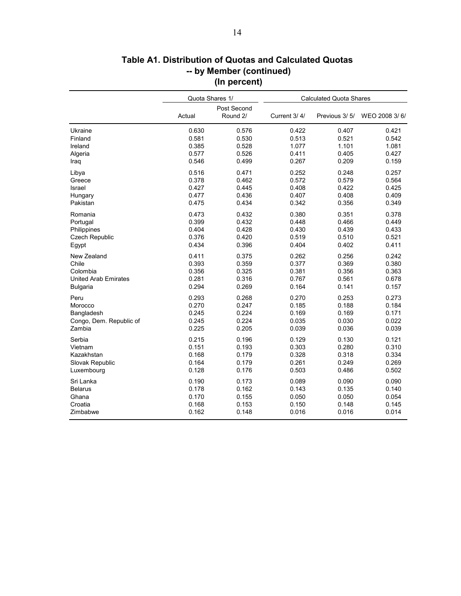|                             | Quota Shares 1/ |                         | <b>Calculated Quota Shares</b> |               |               |  |
|-----------------------------|-----------------|-------------------------|--------------------------------|---------------|---------------|--|
|                             | Actual          | Post Second<br>Round 2/ | Current 3/4/                   | Previous 3/5/ | WEO 2008 3/6/ |  |
| Ukraine                     | 0.630           | 0.576                   | 0.422                          | 0.407         | 0.421         |  |
| Finland                     | 0.581           | 0.530                   | 0.513                          | 0.521         | 0.542         |  |
| Ireland                     | 0.385           | 0.528                   | 1.077                          | 1.101         | 1.081         |  |
| Algeria                     | 0.577           | 0.526                   | 0.411                          | 0.405         | 0.427         |  |
| Iraq                        | 0.546           | 0.499                   | 0.267                          | 0.209         | 0.159         |  |
| Libya                       | 0.516           | 0.471                   | 0.252                          | 0.248         | 0.257         |  |
| Greece                      | 0.378           | 0.462                   | 0.572                          | 0.579         | 0.564         |  |
| Israel                      | 0.427           | 0.445                   | 0.408                          | 0.422         | 0.425         |  |
| Hungary                     | 0.477           | 0.436                   | 0.407                          | 0.408         | 0.409         |  |
| Pakistan                    | 0.475           | 0.434                   | 0.342                          | 0.356         | 0.349         |  |
| Romania                     | 0.473           | 0.432                   | 0.380                          | 0.351         | 0.378         |  |
| Portugal                    | 0.399           | 0.432                   | 0.448                          | 0.466         | 0.449         |  |
| Philippines                 | 0.404           | 0.428                   | 0.430                          | 0.439         | 0.433         |  |
| Czech Republic              | 0.376           | 0.420                   | 0.519                          | 0.510         | 0.521         |  |
| Egypt                       | 0.434           | 0.396                   | 0.404                          | 0.402         | 0.411         |  |
| New Zealand                 | 0.411           | 0.375                   | 0.262                          | 0.256         | 0.242         |  |
| Chile                       | 0.393           | 0.359                   | 0.377                          | 0.369         | 0.380         |  |
| Colombia                    | 0.356           | 0.325                   | 0.381                          | 0.356         | 0.363         |  |
| <b>United Arab Emirates</b> | 0.281           | 0.316                   | 0.767                          | 0.561         | 0.678         |  |
| <b>Bulgaria</b>             | 0.294           | 0.269                   | 0.164                          | 0.141         | 0.157         |  |
| Peru                        | 0.293           | 0.268                   | 0.270                          | 0.253         | 0.273         |  |
| Morocco                     | 0.270           | 0.247                   | 0.185                          | 0.188         | 0.184         |  |
| Bangladesh                  | 0.245           | 0.224                   | 0.169                          | 0.169         | 0.171         |  |
| Congo, Dem. Republic of     | 0.245           | 0.224                   | 0.035                          | 0.030         | 0.022         |  |
| Zambia                      | 0.225           | 0.205                   | 0.039                          | 0.036         | 0.039         |  |
| Serbia                      | 0.215           | 0.196                   | 0.129                          | 0.130         | 0.121         |  |
| Vietnam                     | 0.151           | 0.193                   | 0.303                          | 0.280         | 0.310         |  |
| Kazakhstan                  | 0.168           | 0.179                   | 0.328                          | 0.318         | 0.334         |  |
| Slovak Republic             | 0.164           | 0.179                   | 0.261                          | 0.249         | 0.269         |  |
| Luxembourg                  | 0.128           | 0.176                   | 0.503                          | 0.486         | 0.502         |  |
| Sri Lanka                   | 0.190           | 0.173                   | 0.089                          | 0.090         | 0.090         |  |
| <b>Belarus</b>              | 0.178           | 0.162                   | 0.143                          | 0.135         | 0.140         |  |
| Ghana                       | 0.170           | 0.155                   | 0.050                          | 0.050         | 0.054         |  |
| Croatia                     | 0.168           | 0.153                   | 0.150                          | 0.148         | 0.145         |  |
| Zimbabwe                    | 0.162           | 0.148                   | 0.016                          | 0.016         | 0.014         |  |

# **-- by Member (continued) Table A1. Distribution of Quotas and Calculated Quotas (In percent)**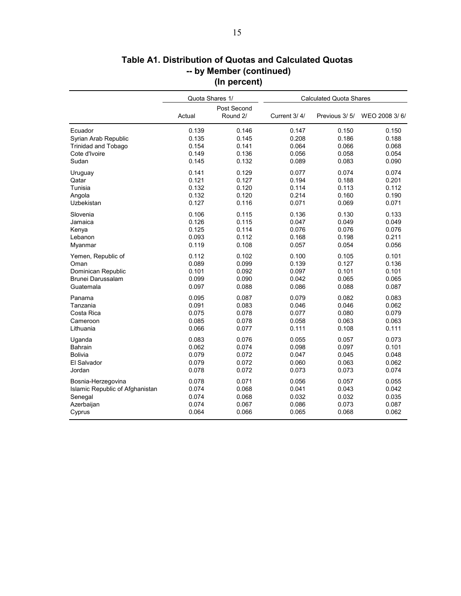|                                 |        | Quota Shares 1/         | <b>Calculated Quota Shares</b> |               |               |  |
|---------------------------------|--------|-------------------------|--------------------------------|---------------|---------------|--|
|                                 | Actual | Post Second<br>Round 2/ | Current 3/4/                   | Previous 3/5/ | WEO 2008 3/6/ |  |
| Ecuador                         | 0.139  | 0.146                   | 0.147                          | 0.150         | 0.150         |  |
| Syrian Arab Republic            | 0.135  | 0.145                   | 0.208                          | 0.186         | 0.188         |  |
| <b>Trinidad and Tobago</b>      | 0.154  | 0.141                   | 0.064                          | 0.066         | 0.068         |  |
| Cote d'Ivoire                   | 0.149  | 0.136                   | 0.056                          | 0.058         | 0.054         |  |
| Sudan                           | 0.145  | 0.132                   | 0.089                          | 0.083         | 0.090         |  |
| Uruguay                         | 0.141  | 0.129                   | 0.077                          | 0.074         | 0.074         |  |
| Qatar                           | 0.121  | 0.127                   | 0.194                          | 0.188         | 0.201         |  |
| Tunisia                         | 0.132  | 0.120                   | 0.114                          | 0.113         | 0.112         |  |
| Angola                          | 0.132  | 0.120                   | 0.214                          | 0.160         | 0.190         |  |
| Uzbekistan                      | 0.127  | 0.116                   | 0.071                          | 0.069         | 0.071         |  |
| Slovenia                        | 0.106  | 0.115                   | 0.136                          | 0.130         | 0.133         |  |
| Jamaica                         | 0.126  | 0.115                   | 0.047                          | 0.049         | 0.049         |  |
| Kenya                           | 0.125  | 0.114                   | 0.076                          | 0.076         | 0.076         |  |
| Lebanon                         | 0.093  | 0.112                   | 0.168                          | 0.198         | 0.211         |  |
| Myanmar                         | 0.119  | 0.108                   | 0.057                          | 0.054         | 0.056         |  |
| Yemen, Republic of              | 0.112  | 0.102                   | 0.100                          | 0.105         | 0.101         |  |
| Oman                            | 0.089  | 0.099                   | 0.139                          | 0.127         | 0.136         |  |
| Dominican Republic              | 0.101  | 0.092                   | 0.097                          | 0.101         | 0.101         |  |
| Brunei Darussalam               | 0.099  | 0.090                   | 0.042                          | 0.065         | 0.065         |  |
| Guatemala                       | 0.097  | 0.088                   | 0.086                          | 0.088         | 0.087         |  |
| Panama                          | 0.095  | 0.087                   | 0.079                          | 0.082         | 0.083         |  |
| Tanzania                        | 0.091  | 0.083                   | 0.046                          | 0.046         | 0.062         |  |
| Costa Rica                      | 0.075  | 0.078                   | 0.077                          | 0.080         | 0.079         |  |
| Cameroon                        | 0.085  | 0.078                   | 0.058                          | 0.063         | 0.063         |  |
| Lithuania                       | 0.066  | 0.077                   | 0.111                          | 0.108         | 0.111         |  |
| Uganda                          | 0.083  | 0.076                   | 0.055                          | 0.057         | 0.073         |  |
| <b>Bahrain</b>                  | 0.062  | 0.074                   | 0.098                          | 0.097         | 0.101         |  |
| <b>Bolivia</b>                  | 0.079  | 0.072                   | 0.047                          | 0.045         | 0.048         |  |
| El Salvador                     | 0.079  | 0.072                   | 0.060                          | 0.063         | 0.062         |  |
| Jordan                          | 0.078  | 0.072                   | 0.073                          | 0.073         | 0.074         |  |
| Bosnia-Herzegovina              | 0.078  | 0.071                   | 0.056                          | 0.057         | 0.055         |  |
| Islamic Republic of Afghanistan | 0.074  | 0.068                   | 0.041                          | 0.043         | 0.042         |  |
| Senegal                         | 0.074  | 0.068                   | 0.032                          | 0.032         | 0.035         |  |
| Azerbaijan                      | 0.074  | 0.067                   | 0.086                          | 0.073         | 0.087         |  |
| Cyprus                          | 0.064  | 0.066                   | 0.065                          | 0.068         | 0.062         |  |

## **Table A1. Distribution of Quotas and Calculated Quotas -- by Member (continued) (In percent)**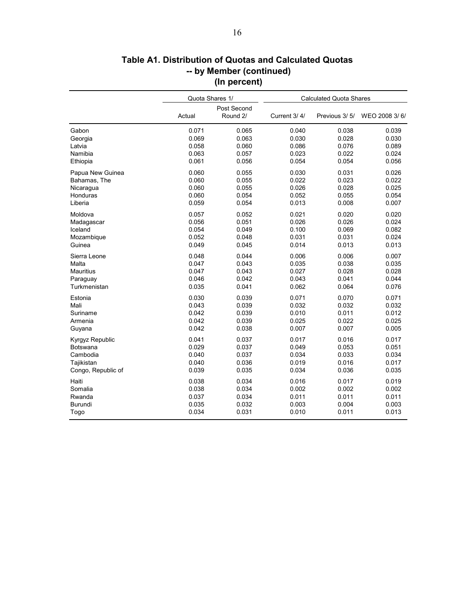|                    | Quota Shares 1/ |                         | <b>Calculated Quota Shares</b> |               |               |  |
|--------------------|-----------------|-------------------------|--------------------------------|---------------|---------------|--|
|                    | Actual          | Post Second<br>Round 2/ | Current 3/4/                   | Previous 3/5/ | WEO 2008 3/6/ |  |
| Gabon              | 0.071           | 0.065                   | 0.040                          | 0.038         | 0.039         |  |
| Georgia            | 0.069           | 0.063                   | 0.030                          | 0.028         | 0.030         |  |
| Latvia             | 0.058           | 0.060                   | 0.086                          | 0.076         | 0.089         |  |
| Namibia            | 0.063           | 0.057                   | 0.023                          | 0.022         | 0.024         |  |
| Ethiopia           | 0.061           | 0.056                   | 0.054                          | 0.054         | 0.056         |  |
| Papua New Guinea   | 0.060           | 0.055                   | 0.030                          | 0.031         | 0.026         |  |
| Bahamas, The       | 0.060           | 0.055                   | 0.022                          | 0.023         | 0.022         |  |
| Nicaragua          | 0.060           | 0.055                   | 0.026                          | 0.028         | 0.025         |  |
| Honduras           | 0.060           | 0.054                   | 0.052                          | 0.055         | 0.054         |  |
| Liberia            | 0.059           | 0.054                   | 0.013                          | 0.008         | 0.007         |  |
| Moldova            | 0.057           | 0.052                   | 0.021                          | 0.020         | 0.020         |  |
| Madagascar         | 0.056           | 0.051                   | 0.026                          | 0.026         | 0.024         |  |
| Iceland            | 0.054           | 0.049                   | 0.100                          | 0.069         | 0.082         |  |
| Mozambique         | 0.052           | 0.048                   | 0.031                          | 0.031         | 0.024         |  |
| Guinea             | 0.049           | 0.045                   | 0.014                          | 0.013         | 0.013         |  |
| Sierra Leone       | 0.048           | 0.044                   | 0.006                          | 0.006         | 0.007         |  |
| Malta              | 0.047           | 0.043                   | 0.035                          | 0.038         | 0.035         |  |
| <b>Mauritius</b>   | 0.047           | 0.043                   | 0.027                          | 0.028         | 0.028         |  |
| Paraguay           | 0.046           | 0.042                   | 0.043                          | 0.041         | 0.044         |  |
| Turkmenistan       | 0.035           | 0.041                   | 0.062                          | 0.064         | 0.076         |  |
| Estonia            | 0.030           | 0.039                   | 0.071                          | 0.070         | 0.071         |  |
| Mali               | 0.043           | 0.039                   | 0.032                          | 0.032         | 0.032         |  |
| Suriname           | 0.042           | 0.039                   | 0.010                          | 0.011         | 0.012         |  |
| Armenia            | 0.042           | 0.039                   | 0.025                          | 0.022         | 0.025         |  |
| Guyana             | 0.042           | 0.038                   | 0.007                          | 0.007         | 0.005         |  |
| Kyrgyz Republic    | 0.041           | 0.037                   | 0.017                          | 0.016         | 0.017         |  |
| Botswana           | 0.029           | 0.037                   | 0.049                          | 0.053         | 0.051         |  |
| Cambodia           | 0.040           | 0.037                   | 0.034                          | 0.033         | 0.034         |  |
| Tajikistan         | 0.040           | 0.036                   | 0.019                          | 0.016         | 0.017         |  |
| Congo, Republic of | 0.039           | 0.035                   | 0.034                          | 0.036         | 0.035         |  |
| Haiti              | 0.038           | 0.034                   | 0.016                          | 0.017         | 0.019         |  |
| Somalia            | 0.038           | 0.034                   | 0.002                          | 0.002         | 0.002         |  |
| Rwanda             | 0.037           | 0.034                   | 0.011                          | 0.011         | 0.011         |  |
| <b>Burundi</b>     | 0.035           | 0.032                   | 0.003                          | 0.004         | 0.003         |  |
| Togo               | 0.034           | 0.031                   | 0.010                          | 0.011         | 0.013         |  |

# **Table A1. Distribution of Quotas and Calculated Quotas -- by Member (continued) (In percent)**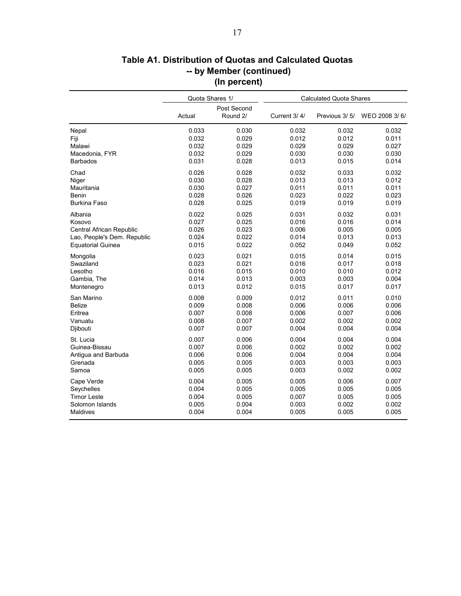|                             | Quota Shares 1/ |                         | <b>Calculated Quota Shares</b> |               |               |  |
|-----------------------------|-----------------|-------------------------|--------------------------------|---------------|---------------|--|
|                             | Actual          | Post Second<br>Round 2/ | Current 3/4/                   | Previous 3/5/ | WEO 2008 3/6/ |  |
| Nepal                       | 0.033           | 0.030                   | 0.032                          | 0.032         | 0.032         |  |
| Fiji                        | 0.032           | 0.029                   | 0.012                          | 0.012         | 0.011         |  |
| Malawi                      | 0.032           | 0.029                   | 0.029                          | 0.029         | 0.027         |  |
| Macedonia, FYR              | 0.032           | 0.029                   | 0.030                          | 0.030         | 0.030         |  |
| <b>Barbados</b>             | 0.031           | 0.028                   | 0.013                          | 0.015         | 0.014         |  |
| Chad                        | 0.026           | 0.028                   | 0.032                          | 0.033         | 0.032         |  |
| Niger                       | 0.030           | 0.028                   | 0.013                          | 0.013         | 0.012         |  |
| Mauritania                  | 0.030           | 0.027                   | 0.011                          | 0.011         | 0.011         |  |
| Benin                       | 0.028           | 0.026                   | 0.023                          | 0.022         | 0.023         |  |
| <b>Burkina Faso</b>         | 0.028           | 0.025                   | 0.019                          | 0.019         | 0.019         |  |
| Albania                     | 0.022           | 0.025                   | 0.031                          | 0.032         | 0.031         |  |
| Kosovo                      | 0.027           | 0.025                   | 0.016                          | 0.016         | 0.014         |  |
| Central African Republic    | 0.026           | 0.023                   | 0.006                          | 0.005         | 0.005         |  |
| Lao, People's Dem. Republic | 0.024           | 0.022                   | 0.014                          | 0.013         | 0.013         |  |
| <b>Equatorial Guinea</b>    | 0.015           | 0.022                   | 0.052                          | 0.049         | 0.052         |  |
| Mongolia                    | 0.023           | 0.021                   | 0.015                          | 0.014         | 0.015         |  |
| Swaziland                   | 0.023           | 0.021                   | 0.016                          | 0.017         | 0.018         |  |
| Lesotho                     | 0.016           | 0.015                   | 0.010                          | 0.010         | 0.012         |  |
| Gambia, The                 | 0.014           | 0.013                   | 0.003                          | 0.003         | 0.004         |  |
| Montenegro                  | 0.013           | 0.012                   | 0.015                          | 0.017         | 0.017         |  |
| San Marino                  | 0.008           | 0.009                   | 0.012                          | 0.011         | 0.010         |  |
| <b>Belize</b>               | 0.009           | 0.008                   | 0.006                          | 0.006         | 0.006         |  |
| Eritrea                     | 0.007           | 0.008                   | 0.006                          | 0.007         | 0.006         |  |
| Vanuatu                     | 0.008           | 0.007                   | 0.002                          | 0.002         | 0.002         |  |
| Djibouti                    | 0.007           | 0.007                   | 0.004                          | 0.004         | 0.004         |  |
| St. Lucia                   | 0.007           | 0.006                   | 0.004                          | 0.004         | 0.004         |  |
| Guinea-Bissau               | 0.007           | 0.006                   | 0.002                          | 0.002         | 0.002         |  |
| Antigua and Barbuda         | 0.006           | 0.006                   | 0.004                          | 0.004         | 0.004         |  |
| Grenada                     | 0.005           | 0.005                   | 0.003                          | 0.003         | 0.003         |  |
| Samoa                       | 0.005           | 0.005                   | 0.003                          | 0.002         | 0.002         |  |
| Cape Verde                  | 0.004           | 0.005                   | 0.005                          | 0.006         | 0.007         |  |
| Seychelles                  | 0.004           | 0.005                   | 0.005                          | 0.005         | 0.005         |  |
| <b>Timor Leste</b>          | 0.004           | 0.005                   | 0.007                          | 0.005         | 0.005         |  |
| Solomon Islands             | 0.005           | 0.004                   | 0.003                          | 0.002         | 0.002         |  |
| Maldives                    | 0.004           | 0.004                   | 0.005                          | 0.005         | 0.005         |  |

# **Table A1. Distribution of Quotas and Calculated Quotas -- by Member (continued) (In percent)**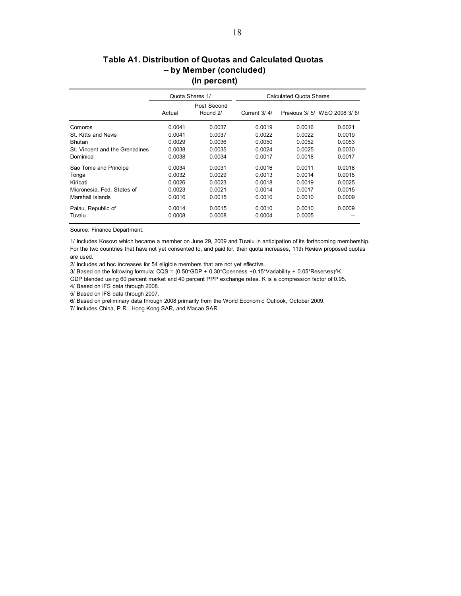### **-- by Member (concluded) (In percent) Table A1. Distribution of Quotas and Calculated Quotas**

|                                | Quota Shares 1/ |                         | Calculated Quota Shares |        |                               |  |
|--------------------------------|-----------------|-------------------------|-------------------------|--------|-------------------------------|--|
|                                | Actual          | Post Second<br>Round 2/ | Current 3/4/            |        | Previous 3/ 5/ WEO 2008 3/ 6/ |  |
| Comoros                        | 0.0041          | 0.0037                  | 0.0019                  | 0.0016 | 0.0021                        |  |
| St. Kitts and Nevis            | 0.0041          | 0.0037                  | 0.0022                  | 0.0022 | 0.0019                        |  |
| <b>Bhutan</b>                  | 0.0029          | 0.0036                  | 0.0050                  | 0.0052 | 0.0053                        |  |
| St. Vincent and the Grenadines | 0.0038          | 0.0035                  | 0.0024                  | 0.0025 | 0.0030                        |  |
| Dominica                       | 0.0038          | 0.0034                  | 0.0017                  | 0.0018 | 0.0017                        |  |
| Sao Tome and Principe          | 0.0034          | 0.0031                  | 0.0016                  | 0.0011 | 0.0018                        |  |
| Tonga                          | 0.0032          | 0.0029                  | 0.0013                  | 0.0014 | 0.0015                        |  |
| Kiribati                       | 0.0026          | 0.0023                  | 0.0018                  | 0.0019 | 0.0025                        |  |
| Micronesia, Fed. States of     | 0.0023          | 0.0021                  | 0.0014                  | 0.0017 | 0.0015                        |  |
| Marshall Islands               | 0.0016          | 0.0015                  | 0.0010                  | 0.0010 | 0.0009                        |  |
| Palau, Republic of             | 0.0014          | 0.0015                  | 0.0010                  | 0.0010 | 0.0009                        |  |
| Tuvalu                         | 0.0008          | 0.0008                  | 0.0004                  | 0.0005 |                               |  |

Source: Finance Department.

1/ Includes Kosovo which became a member on June 29, 2009 and Tuvalu in anticipation of its forthcoming membership. For the two countries that have not yet consented to, and paid for, their quota increases, 11th Review proposed quotas are used.

2/ Includes ad hoc increases for 54 eligible members that are not yet effective.

3/ Based on the following formula: CQS = (0.50\*GDP + 0.30\*Openness +0.15\*Variability + 0.05\*Reserves)^K.

GDP blended using 60 percent market and 40 percent PPP exchange rates. K is a compression factor of 0.95. 4/ Based on IFS data through 2008.

5/ Based on IFS data through 2007.

6/ Based on preliminary data through 2008 primarily from the World Economic Outlook, October 2009.

7/ Includes China, P.R., Hong Kong SAR, and Macao SAR.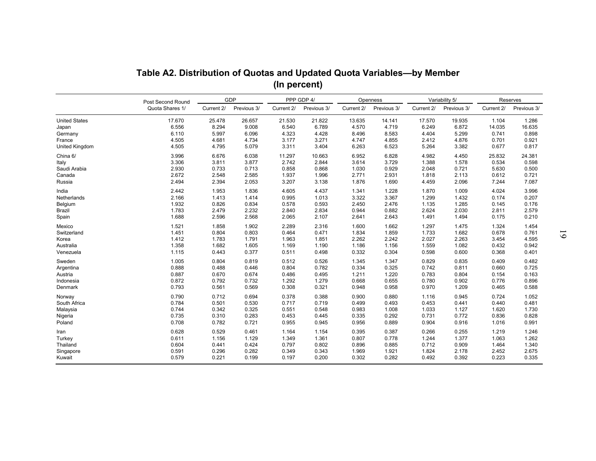|                      | Table A2. Distribution of Quotas and Updated Quota Variables-by Member |            |             | (In percent) |             |            |             |            |                |            |             |
|----------------------|------------------------------------------------------------------------|------------|-------------|--------------|-------------|------------|-------------|------------|----------------|------------|-------------|
|                      | Post Second Round                                                      |            | <b>GDP</b>  |              | PPP GDP 4/  |            | Openness    |            | Variability 5/ |            | Reserves    |
|                      | Quota Shares 1/                                                        | Current 2/ | Previous 3/ | Current 2/   | Previous 3/ | Current 2/ | Previous 3/ | Current 2/ | Previous 3/    | Current 2/ | Previous 3/ |
| <b>United States</b> | 17.670                                                                 | 25.478     | 26.657      | 21.530       | 21.822      | 13.635     | 14.141      | 17.570     | 19.935         | 1.104      | 1.286       |
| Japan                | 6.556                                                                  | 8.294      | 9.008       | 6.540        | 6.789       | 4.570      | 4.719       | 6.249      | 6.872          | 14.035     | 16.635      |
| Germany              | 6.110                                                                  | 5.997      | 6.096       | 4.323        | 4.428       | 8.496      | 8.583       | 4.404      | 5.299          | 0.741      | 0.898       |
| France               | 4.505                                                                  | 4.681      | 4.734       | 3.177        | 3.271       | 4.747      | 4.855       | 2.412      | 4.876          | 0.701      | 0.921       |
| United Kingdom       | 4.505                                                                  | 4.795      | 5.079       | 3.311        | 3.404       | 6.263      | 6.523       | 5.264      | 3.382          | 0.677      | 0.817       |
| China 6/             | 3.996                                                                  | 6.676      | 6.038       | 11.297       | 10.663      | 6.952      | 6.828       | 4.982      | 4.450          | 25.832     | 24.381      |
| Italy                | 3.306                                                                  | 3.811      | 3.877       | 2.742        | 2.844       | 3.614      | 3.729       | 1.388      | 1.578          | 0.534      | 0.598       |
| Saudi Arabia         | 2.930                                                                  | 0.733      | 0.713       | 0.858        | 0.868       | 1.030      | 0.929       | 2.048      | 0.721          | 5.630      | 0.500       |
| Canada               | 2.672                                                                  | 2.548      | 2.585       | 1.937        | 1.996       | 2.771      | 2.931       | 1.818      | 2.113          | 0.612      | 0.721       |
| Russia               | 2.494                                                                  | 2.394      | 2.053       | 3.207        | 3.138       | 1.876      | 1.690       | 4.459      | 2.096          | 7.244      | 7.087       |
| India                | 2.442                                                                  | 1.953      | 1.836       | 4.605        | 4.437       | 1.341      | 1.228       | 1.870      | 1.009          | 4.024      | 3.996       |
| Netherlands          | 2.166                                                                  | 1.413      | 1.414       | 0.995        | 1.013       | 3.322      | 3.367       | 1.299      | 1.432          | 0.174      | 0.207       |
| Belgium              | 1.932                                                                  | 0.826      | 0.834       | 0.578        | 0.593       | 2.450      | 2.476       | 1.135      | 1.285          | 0.145      | 0.176       |
| Brazil               | 1.783                                                                  | 2.479      | 2.232       | 2.840        | 2.834       | 0.944      | 0.882       | 2.624      | 2.030          | 2.811      | 2.579       |
| Spain                | 1.688                                                                  | 2.596      | 2.568       | 2.065        | 2.107       | 2.641      | 2.643       | 1.491      | 1.494          | 0.175      | 0.210       |
| Mexico               | 1.521                                                                  | 1.858      | 1.902       | 2.289        | 2.316       | 1.600      | 1.662       | 1.297      | 1.475          | 1.324      | 1.454       |
| Switzerland          | 1.451                                                                  | 0.804      | 0.803       | 0.464        | 0.471       | 1.834      | 1.859       | 1.733      | 1.682          | 0.678      | 0.761       |
| Korea                | 1.412                                                                  | 1.783      | 1.791       | 1.963        | 1.851       | 2.262      | 2.242       | 2.027      | 2.263          | 3.454      | 4.595       |
| Australia            | 1.358                                                                  | 1.682      | 1.605       | 1.169        | 1.190       | 1.186      | 1.156       | 1.559      | 1.082          | 0.432      | 0.942       |
| Venezuela            | 1.115                                                                  | 0.443      | 0.377       | 0.511        | 0.498       | 0.332      | 0.304       | 0.598      | 0.600          | 0.368      | 0.401       |
| Sweden               | 1.005                                                                  | 0.804      | 0.819       | 0.512        | 0.526       | 1.345      | 1.347       | 0.829      | 0.835          | 0.409      | 0.482       |
| Argentina            | 0.888                                                                  | 0.488      | 0.446       | 0.804        | 0.782       | 0.334      | 0.325       | 0.742      | 0.811          | 0.660      | 0.725       |
| Austria              | 0.887                                                                  | 0.670      | 0.674       | 0.486        | 0.495       | 1.211      | 1.220       | 0.783      | 0.804          | 0.154      | 0.163       |
| Indonesia            | 0.872                                                                  | 0.792      | 0.732       | 1.292        | 1.279       | 0.668      | 0.655       | 0.780      | 0.902          | 0.776      | 0.896       |
| Denmark              | 0.793                                                                  | 0.561      | 0.569       | 0.308        | 0.321       | 0.948      | 0.958       | 0.970      | 1.209          | 0.465      | 0.588       |
| Norway               | 0.790                                                                  | 0.712      | 0.694       | 0.378        | 0.388       | 0.900      | 0.880       | 1.116      | 0.945          | 0.724      | 1.052       |
| South Africa         | 0.784                                                                  | 0.501      | 0.530       | 0.717        | 0.719       | 0.499      | 0.493       | 0.453      | 0.441          | 0.440      | 0.481       |
| Malaysia             | 0.744                                                                  | 0.342      | 0.325       | 0.551        | 0.548       | 0.983      | 1.008       | 1.033      | 1.127          | 1.620      | 1.730       |
| Nigeria              | 0.735                                                                  | 0.310      | 0.283       | 0.453        | 0.445       | 0.335      | 0.292       | 0.731      | 0.772          | 0.836      | 0.828       |
| Poland               | 0.708                                                                  | 0.782      | 0.721       | 0.955        | 0.945       | 0.956      | 0.889       | 0.904      | 0.916          | 1.016      | 0.991       |
| Iran                 | 0.628                                                                  | 0.529      | 0.461       | 1.164        | 1.154       | 0.395      | 0.387       | 0.266      | 0.255          | 1.219      | 1.246       |
| Turkey               | 0.611                                                                  | 1.156      | 1.129       | 1.349        | 1.361       | 0.807      | 0.778       | 1.244      | 1.377          | 1.063      | 1.262       |
| Thailand             | 0.604                                                                  | 0.441      | 0.424       | 0.797        | 0.802       | 0.896      | 0.885       | 0.712      | 0.909          | 1.464      | 1.340       |
| Singapore            | 0.591                                                                  | 0.296      | 0.282       | 0.349        | 0.343       | 1.969      | 1.921       | 1.824      | 2.178          | 2.452      | 2.675       |
| Kuwait               | 0.579                                                                  | 0.221      | 0.199       | 0.197        | 0.200       | 0.302      | 0.282       | 0.492      | 0.392          | 0.223      | 0.335       |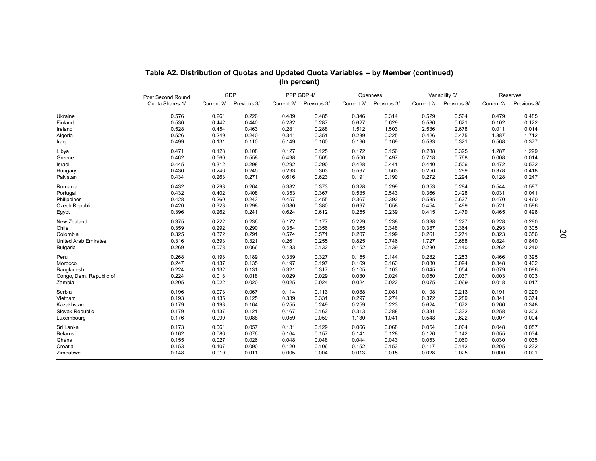|                             | Table A2. Distribution of Quotas and Updated Quota Variables -- by Member (continued) |            |             |            | (In percent) |            |             |            |                |            |             |    |
|-----------------------------|---------------------------------------------------------------------------------------|------------|-------------|------------|--------------|------------|-------------|------------|----------------|------------|-------------|----|
|                             | Post Second Round                                                                     |            | <b>GDP</b>  |            | PPP GDP 4/   |            | Openness    |            | Variability 5/ |            | Reserves    |    |
|                             | Quota Shares 1/                                                                       | Current 2/ | Previous 3/ | Current 2/ | Previous 3/  | Current 2/ | Previous 3/ | Current 2/ | Previous 3/    | Current 2/ | Previous 3/ |    |
| Ukraine                     | 0.576                                                                                 | 0.261      | 0.226       | 0.489      | 0.485        | 0.346      | 0.314       | 0.529      | 0.564          | 0.479      | 0.485       |    |
| Finland                     | 0.530                                                                                 | 0.442      | 0.440       | 0.282      | 0.287        | 0.627      | 0.629       | 0.586      | 0.621          | 0.102      | 0.122       |    |
| Ireland                     | 0.528                                                                                 | 0.454      | 0.463       | 0.281      | 0.288        | 1.512      | 1.503       | 2.536      | 2.678          | 0.011      | 0.014       |    |
| Algeria                     | 0.526                                                                                 | 0.249      | 0.240       | 0.341      | 0.351        | 0.239      | 0.225       | 0.426      | 0.475          | 1.887      | 1.712       |    |
| Iraq                        | 0.499                                                                                 | 0.131      | 0.110       | 0.149      | 0.160        | 0.196      | 0.169       | 0.533      | 0.321          | 0.568      | 0.377       |    |
| Libya                       | 0.471                                                                                 | 0.128      | 0.108       | 0.127      | 0.125        | 0.172      | 0.156       | 0.288      | 0.325          | 1.287      | 1.299       |    |
| Greece                      | 0.462                                                                                 | 0.560      | 0.558       | 0.498      | 0.505        | 0.506      | 0.497       | 0.718      | 0.768          | 0.008      | 0.014       |    |
| Israel                      | 0.445                                                                                 | 0.312      | 0.298       | 0.292      | 0.290        | 0.428      | 0.441       | 0.440      | 0.506          | 0.472      | 0.532       |    |
| Hungary                     | 0.436                                                                                 | 0.246      | 0.245       | 0.293      | 0.303        | 0.597      | 0.563       | 0.256      | 0.299          | 0.378      | 0.418       |    |
| Pakistan                    | 0.434                                                                                 | 0.263      | 0.271       | 0.616      | 0.623        | 0.191      | 0.190       | 0.272      | 0.294          | 0.128      | 0.247       |    |
| Romania                     | 0.432                                                                                 | 0.293      | 0.264       | 0.382      | 0.373        | 0.328      | 0.299       | 0.353      | 0.284          | 0.544      | 0.587       |    |
| Portugal                    | 0.432                                                                                 | 0.402      | 0.408       | 0.353      | 0.367        | 0.535      | 0.543       | 0.366      | 0.428          | 0.031      | 0.041       |    |
| Philippines                 | 0.428                                                                                 | 0.260      | 0.243       | 0.457      | 0.455        | 0.367      | 0.392       | 0.585      | 0.627          | 0.470      | 0.460       |    |
| <b>Czech Republic</b>       | 0.420                                                                                 | 0.323      | 0.298       | 0.380      | 0.380        | 0.697      | 0.658       | 0.454      | 0.499          | 0.521      | 0.586       |    |
| Egypt                       | 0.396                                                                                 | 0.262      | 0.241       | 0.624      | 0.612        | 0.255      | 0.239       | 0.415      | 0.479          | 0.465      | 0.498       |    |
| New Zealand                 | 0.375                                                                                 | 0.222      | 0.236       | 0.172      | 0.177        | 0.229      | 0.238       | 0.338      | 0.227          | 0.228      | 0.290       | SO |
| Chile                       | 0.359                                                                                 | 0.292      | 0.290       | 0.354      | 0.356        | 0.365      | 0.348       | 0.387      | 0.364          | 0.293      | 0.305       |    |
| Colombia                    | 0.325                                                                                 | 0.372      | 0.291       | 0.574      | 0.571        | 0.207      | 0.199       | 0.261      | 0.271          | 0.323      | 0.356       |    |
| <b>United Arab Emirates</b> | 0.316                                                                                 | 0.393      | 0.321       | 0.261      | 0.255        | 0.825      | 0.746       | 1.727      | 0.688          | 0.824      | 0.840       |    |
| <b>Bulgaria</b>             | 0.269                                                                                 | 0.073      | 0.066       | 0.133      | 0.132        | 0.152      | 0.139       | 0.230      | 0.140          | 0.262      | 0.240       |    |
| Peru                        | 0.268                                                                                 | 0.198      | 0.189       | 0.339      | 0.327        | 0.155      | 0.144       | 0.282      | 0.253          | 0.466      | 0.395       |    |
| Morocco                     | 0.247                                                                                 | 0.137      | 0.135       | 0.197      | 0.197        | 0.169      | 0.163       | 0.080      | 0.094          | 0.348      | 0.402       |    |
| Bangladesh                  | 0.224                                                                                 | 0.132      | 0.131       | 0.321      | 0.317        | 0.105      | 0.103       | 0.045      | 0.054          | 0.079      | 0.086       |    |
| Congo, Dem. Republic of     | 0.224                                                                                 | 0.018      | 0.018       | 0.029      | 0.029        | 0.030      | 0.024       | 0.050      | 0.037          | 0.003      | 0.003       |    |
| Zambia                      | 0.205                                                                                 | 0.022      | 0.020       | 0.025      | 0.024        | 0.024      | 0.022       | 0.075      | 0.069          | 0.018      | 0.017       |    |
| Serbia                      | 0.196                                                                                 | 0.073      | 0.067       | 0.114      | 0.113        | 0.088      | 0.081       | 0.198      | 0.213          | 0.191      | 0.229       |    |
| Vietnam                     | 0.193                                                                                 | 0.135      | 0.125       | 0.339      | 0.331        | 0.297      | 0.274       | 0.372      | 0.289          | 0.341      | 0.374       |    |
| Kazakhstan                  | 0.179                                                                                 | 0.193      | 0.164       | 0.255      | 0.249        | 0.259      | 0.223       | 0.624      | 0.672          | 0.266      | 0.348       |    |
| Slovak Republic             | 0.179                                                                                 | 0.137      | 0.121       | 0.167      | 0.162        | 0.313      | 0.288       | 0.331      | 0.332          | 0.258      | 0.303       |    |
| Luxembourg                  | 0.176                                                                                 | 0.090      | 0.088       | 0.059      | 0.059        | 1.130      | 1.041       | 0.548      | 0.622          | 0.007      | 0.004       |    |
| Sri Lanka                   | 0.173                                                                                 | 0.061      | 0.057       | 0.131      | 0.129        | 0.066      | 0.068       | 0.054      | 0.064          | 0.048      | 0.057       |    |
| <b>Belarus</b>              | 0.162                                                                                 | 0.086      | 0.076       | 0.164      | 0.157        | 0.141      | 0.128       | 0.126      | 0.142          | 0.055      | 0.034       |    |
| Ghana                       | 0.155                                                                                 | 0.027      | 0.026       | 0.048      | 0.048        | 0.044      | 0.043       | 0.053      | 0.060          | 0.030      | 0.035       |    |
| Croatia                     | 0.153                                                                                 | 0.107      | 0.090       | 0.120      | 0.106        | 0.152      | 0.153       | 0.117      | 0.142          | 0.205      | 0.232       |    |
| Zimbabwe                    | 0.148                                                                                 | 0.010      | 0.011       | 0.005      | 0.004        | 0.013      | 0.015       | 0.028      | 0.025          | 0.000      | 0.001       |    |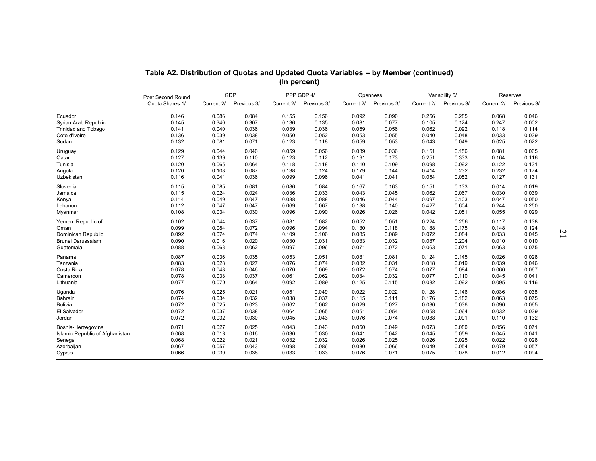|                                                                                          | Table A2. Distribution of Quotas and Updated Quota Variables -- by Member (continued) |                                           |                                           |                                           | (In percent)                              |                                                    |                                           |                                           |                                           |                                           |                                           |   |
|------------------------------------------------------------------------------------------|---------------------------------------------------------------------------------------|-------------------------------------------|-------------------------------------------|-------------------------------------------|-------------------------------------------|----------------------------------------------------|-------------------------------------------|-------------------------------------------|-------------------------------------------|-------------------------------------------|-------------------------------------------|---|
|                                                                                          |                                                                                       |                                           | GDP                                       |                                           | PPP GDP 4/                                |                                                    | Openness                                  |                                           | Variability 5/                            |                                           | Reserves                                  |   |
|                                                                                          | Post Second Round<br>Quota Shares 1/                                                  | Current 2/                                | Previous 3/                               | Current 2/                                | Previous 3/                               | Current 2/                                         | Previous 3/                               | Current 2/                                | Previous 3/                               | Current 2/                                | Previous 3/                               |   |
| Ecuador<br>Syrian Arab Republic<br><b>Trinidad and Tobago</b><br>Cote d'Ivoire<br>Sudan  | 0.146<br>0.145<br>0.141<br>0.136<br>0.132                                             | 0.086<br>0.340<br>0.040<br>0.039<br>0.081 | 0.084<br>0.307<br>0.036<br>0.038<br>0.071 | 0.155<br>0.136<br>0.039<br>0.050<br>0.123 | 0.156<br>0.135<br>0.036<br>0.052<br>0.118 | 0.092<br>0.081<br>0.059<br>0.053                   | 0.090<br>0.077<br>0.056<br>0.055<br>0.053 | 0.256<br>0.105<br>0.062<br>0.040<br>0.043 | 0.285<br>0.124<br>0.092<br>0.048<br>0.049 | 0.068<br>0.247<br>0.118<br>0.033<br>0.025 | 0.046<br>0.002<br>0.114<br>0.039<br>0.022 |   |
| Uruguay<br>Qatar<br>Tunisia<br>Angola<br>Uzbekistan                                      | 0.129<br>0.127<br>0.120<br>0.120<br>0.116                                             | 0.044<br>0.139<br>0.065<br>0.108<br>0.041 | 0.040<br>0.110<br>0.064<br>0.087<br>0.036 | 0.059<br>0.123<br>0.118<br>0.138<br>0.099 | 0.056<br>0.112<br>0.118<br>0.124<br>0.096 | 0.059<br>0.039<br>0.191<br>0.110<br>0.179<br>0.041 | 0.036<br>0.173<br>0.109<br>0.144<br>0.041 | 0.151<br>0.251<br>0.098<br>0.414<br>0.054 | 0.156<br>0.333<br>0.092<br>0.232<br>0.052 | 0.081<br>0.164<br>0.122<br>0.232<br>0.127 | 0.065<br>0.116<br>0.131<br>0.174<br>0.131 |   |
| Slovenia<br>Jamaica<br>Kenya<br>Lebanon<br>Myanmar                                       | 0.115<br>0.115<br>0.114<br>0.112<br>0.108                                             | 0.085<br>0.024<br>0.049<br>0.047<br>0.034 | 0.081<br>0.024<br>0.047<br>0.047<br>0.030 | 0.086<br>0.036<br>0.088<br>0.069<br>0.096 | 0.084<br>0.033<br>0.088<br>0.067<br>0.090 | 0.167<br>0.043<br>0.046<br>0.138<br>0.026          | 0.163<br>0.045<br>0.044<br>0.140<br>0.026 | 0.151<br>0.062<br>0.097<br>0.427<br>0.042 | 0.133<br>0.067<br>0.103<br>0.604<br>0.051 | 0.014<br>0.030<br>0.047<br>0.244<br>0.055 | 0.019<br>0.039<br>0.050<br>0.250<br>0.029 |   |
| Yemen, Republic of<br>Oman<br>Dominican Republic<br>Brunei Darussalam<br>Guatemala       | 0.102<br>0.099<br>0.092<br>0.090<br>0.088                                             | 0.044<br>0.084<br>0.074<br>0.016<br>0.063 | 0.037<br>0.072<br>0.074<br>0.020<br>0.062 | 0.081<br>0.096<br>0.109<br>0.030<br>0.097 | 0.082<br>0.094<br>0.106<br>0.031<br>0.096 | 0.052<br>0.130<br>0.085<br>0.033<br>0.071          | 0.051<br>0.118<br>0.089<br>0.032<br>0.072 | 0.224<br>0.188<br>0.072<br>0.087<br>0.063 | 0.256<br>0.175<br>0.084<br>0.204<br>0.071 | 0.117<br>0.148<br>0.033<br>0.010<br>0.063 | 0.138<br>0.124<br>0.045<br>0.010<br>0.075 | N |
| Panama<br>Tanzania<br>Costa Rica<br>Cameroon<br>Lithuania                                | 0.087<br>0.083<br>0.078<br>0.078<br>0.077                                             | 0.036<br>0.028<br>0.048<br>0.038<br>0.070 | 0.035<br>0.027<br>0.046<br>0.037<br>0.064 | 0.053<br>0.076<br>0.070<br>0.061<br>0.092 | 0.051<br>0.074<br>0.069<br>0.062<br>0.089 | 0.081<br>0.032<br>0.072<br>0.034<br>0.125          | 0.081<br>0.031<br>0.074<br>0.032<br>0.115 | 0.124<br>0.018<br>0.077<br>0.077<br>0.082 | 0.145<br>0.019<br>0.084<br>0.110<br>0.092 | 0.026<br>0.039<br>0.060<br>0.045<br>0.095 | 0.028<br>0.046<br>0.067<br>0.041<br>0.116 |   |
| Uganda<br>Bahrain<br><b>Bolivia</b><br>El Salvador<br>Jordan                             | 0.076<br>0.074<br>0.072<br>0.072<br>0.072                                             | 0.025<br>0.034<br>0.025<br>0.037<br>0.032 | 0.021<br>0.032<br>0.023<br>0.038<br>0.030 | 0.051<br>0.038<br>0.062<br>0.064<br>0.045 | 0.049<br>0.037<br>0.062<br>0.065<br>0.043 | 0.022<br>0.115<br>0.029<br>0.051<br>0.076          | 0.022<br>0.111<br>0.027<br>0.054<br>0.074 | 0.128<br>0.176<br>0.030<br>0.058<br>0.088 | 0.146<br>0.182<br>0.036<br>0.064<br>0.091 | 0.036<br>0.063<br>0.090<br>0.032<br>0.110 | 0.038<br>0.075<br>0.065<br>0.039<br>0.132 |   |
| Bosnia-Herzegovina<br>Islamic Republic of Afghanistan<br>Senegal<br>Azerbaijan<br>Cyprus | 0.071<br>0.068<br>0.068<br>0.067<br>0.066                                             | 0.027<br>0.018<br>0.022<br>0.057<br>0.039 | 0.025<br>0.016<br>0.021<br>0.043<br>0.038 | 0.043<br>0.030<br>0.032<br>0.098<br>0.033 | 0.043<br>0.030<br>0.032<br>0.086<br>0.033 | 0.050<br>0.041<br>0.026<br>0.080<br>0.076          | 0.049<br>0.042<br>0.025<br>0.066<br>0.071 | 0.073<br>0.045<br>0.026<br>0.049<br>0.075 | 0.080<br>0.059<br>0.025<br>0.054<br>0.078 | 0.056<br>0.045<br>0.022<br>0.079<br>0.012 | 0.071<br>0.041<br>0.028<br>0.057<br>0.094 |   |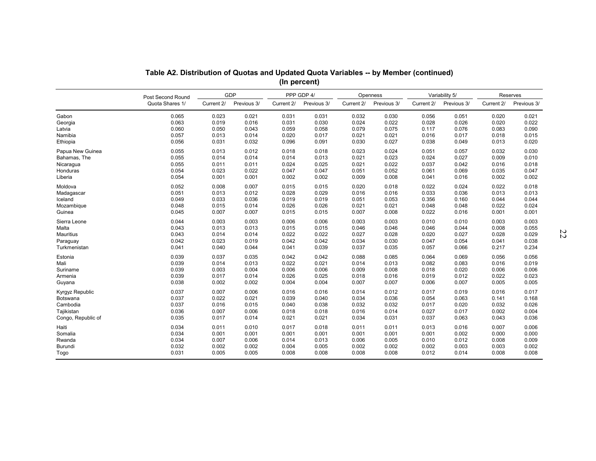|                    | Table A2. Distribution of Quotas and Updated Quota Variables -- by Member (continued) |            |             |            | (In percent) |            |             |            |                |            |             |    |
|--------------------|---------------------------------------------------------------------------------------|------------|-------------|------------|--------------|------------|-------------|------------|----------------|------------|-------------|----|
|                    |                                                                                       |            | <b>GDP</b>  |            | PPP GDP 4/   |            | Openness    |            | Variability 5/ |            | Reserves    |    |
|                    | Post Second Round<br>Quota Shares 1/                                                  | Current 2/ | Previous 3/ | Current 2/ | Previous 3/  | Current 2/ | Previous 3/ | Current 2/ | Previous 3/    | Current 2/ | Previous 3/ |    |
| Gabon              | 0.065                                                                                 | 0.023      | 0.021       | 0.031      | 0.031        | 0.032      | 0.030       | 0.056      | 0.051          | 0.020      | 0.021       |    |
| Georgia            | 0.063                                                                                 | 0.019      | 0.016       | 0.031      | 0.030        | 0.024      | 0.022       | 0.028      | 0.026          | 0.020      | 0.022       |    |
| Latvia             | 0.060                                                                                 | 0.050      | 0.043       | 0.059      | 0.058        | 0.079      | 0.075       | 0.117      | 0.076          | 0.083      | 0.090       |    |
| Namibia            | 0.057                                                                                 | 0.013      | 0.014       | 0.020      | 0.017        | 0.021      | 0.021       | 0.016      | 0.017          | 0.018      | 0.015       |    |
| Ethiopia           | 0.056                                                                                 | 0.031      | 0.032       | 0.096      | 0.091        | 0.030      | 0.027       | 0.038      | 0.049          | 0.013      | 0.020       |    |
| Papua New Guinea   | 0.055                                                                                 | 0.013      | 0.012       | 0.018      | 0.018        | 0.023      | 0.024       | 0.051      | 0.057          | 0.032      | 0.030       |    |
| Bahamas, The       | 0.055                                                                                 | 0.014      | 0.014       | 0.014      | 0.013        | 0.021      | 0.023       | 0.024      | 0.027          | 0.009      | 0.010       |    |
| Nicaragua          | 0.055                                                                                 | 0.011      | 0.011       | 0.024      | 0.025        | 0.021      | 0.022       | 0.037      | 0.042          | 0.016      | 0.018       |    |
| Honduras           | 0.054                                                                                 | 0.023      | 0.022       | 0.047      | 0.047        | 0.051      | 0.052       | 0.061      | 0.069          | 0.035      | 0.047       |    |
| Liberia            | 0.054                                                                                 | 0.001      | 0.001       | 0.002      | 0.002        | 0.009      | 0.008       | 0.041      | 0.016          | 0.002      | 0.002       |    |
| Moldova            | 0.052                                                                                 | 0.008      | 0.007       | 0.015      | 0.015        | 0.020      | 0.018       | 0.022      | 0.024          | 0.022      | 0.018       |    |
| Madagascar         | 0.051                                                                                 | 0.013      | 0.012       | 0.028      | 0.029        | 0.016      | 0.016       | 0.033      | 0.036          | 0.013      | 0.013       |    |
| Iceland            | 0.049                                                                                 | 0.033      | 0.036       | 0.019      | 0.019        | 0.051      | 0.053       | 0.356      | 0.160          | 0.044      | 0.044       |    |
| Mozambique         | 0.048                                                                                 | 0.015      | 0.014       | 0.026      | 0.026        | 0.021      | 0.021       | 0.048      | 0.048          | 0.022      | 0.024       |    |
| Guinea             | 0.045                                                                                 | 0.007      | 0.007       | 0.015      | 0.015        | 0.007      | 0.008       | 0.022      | 0.016          | 0.001      | 0.001       |    |
| Sierra Leone       | 0.044                                                                                 | 0.003      | 0.003       | 0.006      | 0.006        | 0.003      | 0.003       | 0.010      | 0.010          | 0.003      | 0.003       | 22 |
| Malta              | 0.043                                                                                 | 0.013      | 0.013       | 0.015      | 0.015        | 0.046      | 0.046       | 0.046      | 0.044          | 0.008      | 0.055       |    |
| Mauritius          | 0.043                                                                                 | 0.014      | 0.014       | 0.022      | 0.022        | 0.027      | 0.028       | 0.020      | 0.027          | 0.028      | 0.029       |    |
| Paraguay           | 0.042                                                                                 | 0.023      | 0.019       | 0.042      | 0.042        | 0.034      | 0.030       | 0.047      | 0.054          | 0.041      | 0.038       |    |
| Turkmenistan       | 0.041                                                                                 | 0.040      | 0.044       | 0.041      | 0.039        | 0.037      | 0.035       | 0.057      | 0.066          | 0.217      | 0.234       |    |
| Estonia            | 0.039                                                                                 | 0.037      | 0.035       | 0.042      | 0.042        | 0.088      | 0.085       | 0.064      | 0.069          | 0.056      | 0.056       |    |
| Mali               | 0.039                                                                                 | 0.014      | 0.013       | 0.022      | 0.021        | 0.014      | 0.013       | 0.082      | 0.083          | 0.016      | 0.019       |    |
| Suriname           | 0.039                                                                                 | 0.003      | 0.004       | 0.006      | 0.006        | 0.009      | 0.008       | 0.018      | 0.020          | 0.006      | 0.006       |    |
| Armenia            | 0.039                                                                                 | 0.017      | 0.014       | 0.026      | 0.025        | 0.018      | 0.016       | 0.019      | 0.012          | 0.022      | 0.023       |    |
| Guyana             | 0.038                                                                                 | 0.002      | 0.002       | 0.004      | 0.004        | 0.007      | 0.007       | 0.006      | 0.007          | 0.005      | 0.005       |    |
| Kyrgyz Republic    | 0.037                                                                                 | 0.007      | 0.006       | 0.016      | 0.016        | 0.014      | 0.012       | 0.017      | 0.019          | 0.016      | 0.017       |    |
| Botswana           | 0.037                                                                                 | 0.022      | 0.021       | 0.039      | 0.040        | 0.034      | 0.036       | 0.054      | 0.063          | 0.141      | 0.168       |    |
| Cambodia           | 0.037                                                                                 | 0.016      | 0.015       | 0.040      | 0.038        | 0.032      | 0.032       | 0.017      | 0.020          | 0.032      | 0.026       |    |
| Tajikistan         | 0.036                                                                                 | 0.007      | 0.006       | 0.018      | 0.018        | 0.016      | 0.014       | 0.027      | 0.017          | 0.002      | 0.004       |    |
| Congo, Republic of | 0.035                                                                                 | 0.017      | 0.014       | 0.021      | 0.021        | 0.034      | 0.031       | 0.037      | 0.063          | 0.043      | 0.036       |    |
| Haiti              | 0.034                                                                                 | 0.011      | 0.010       | 0.017      | 0.018        | 0.011      | 0.011       | 0.013      | 0.016          | 0.007      | 0.006       |    |
| Somalia            | 0.034                                                                                 | 0.001      | 0.001       | 0.001      | 0.001        | 0.001      | 0.001       | 0.001      | 0.002          | 0.000      | 0.000       |    |
| Rwanda             | 0.034                                                                                 | 0.007      | 0.006       | 0.014      | 0.013        | 0.006      | 0.005       | 0.010      | 0.012          | 0.008      | 0.009       |    |
| Burundi            | 0.032                                                                                 | 0.002      | 0.002       | 0.004      | 0.005        | 0.002      | 0.002       | 0.002      | 0.003          | 0.003      | 0.002       |    |
| Togo               | 0.031                                                                                 | 0.005      | 0.005       | 0.008      | 0.008        | 0.008      | 0.008       | 0.012      | 0.014          | 0.008      | 0.008       |    |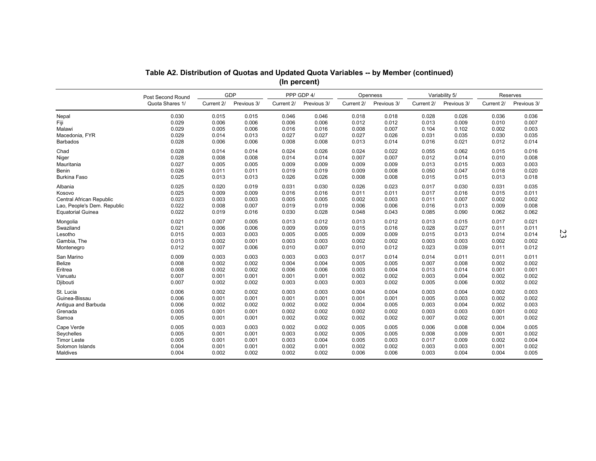|                             | Table A2. Distribution of Quotas and Updated Quota Variables -- by Member (continued) |            |             |            | (In percent) |            |             |            |                |            |             |    |
|-----------------------------|---------------------------------------------------------------------------------------|------------|-------------|------------|--------------|------------|-------------|------------|----------------|------------|-------------|----|
|                             |                                                                                       |            | <b>GDP</b>  |            | PPP GDP 4/   |            | Openness    |            | Variability 5/ |            | Reserves    |    |
|                             | Post Second Round<br>Quota Shares 1/                                                  | Current 2/ | Previous 3/ | Current 2/ | Previous 3/  | Current 2/ | Previous 3/ | Current 2/ | Previous 3/    | Current 2/ | Previous 3/ |    |
| Nepal                       | 0.030                                                                                 | 0.015      | 0.015       | 0.046      | 0.046        | 0.018      | 0.018       | 0.028      | 0.026          | 0.036      | 0.036       |    |
| Fiji                        | 0.029                                                                                 | 0.006      | 0.006       | 0.006      | 0.006        | 0.012      | 0.012       | 0.013      | 0.009          | 0.010      | 0.007       |    |
| Malawi                      | 0.029                                                                                 | 0.005      | 0.006       | 0.016      | 0.016        | 0.008      | 0.007       | 0.104      | 0.102          | 0.002      | 0.003       |    |
| Macedonia, FYR              | 0.029                                                                                 | 0.014      | 0.013       | 0.027      | 0.027        | 0.027      | 0.026       | 0.031      | 0.035          | 0.030      | 0.035       |    |
| <b>Barbados</b>             | 0.028                                                                                 | 0.006      | 0.006       | 0.008      | 0.008        | 0.013      | 0.014       | 0.016      | 0.021          | 0.012      | 0.014       |    |
| Chad                        | 0.028                                                                                 | 0.014      | 0.014       | 0.024      | 0.026        | 0.024      | 0.022       | 0.055      | 0.062          | 0.015      | 0.016       |    |
| Niger                       | 0.028                                                                                 | 0.008      | 0.008       | 0.014      | 0.014        | 0.007      | 0.007       | 0.012      | 0.014          | 0.010      | 0.008       |    |
| Mauritania                  | 0.027                                                                                 | 0.005      | 0.005       | 0.009      | 0.009        | 0.009      | 0.009       | 0.013      | 0.015          | 0.003      | 0.003       |    |
| <b>Benin</b>                | 0.026                                                                                 | 0.011      | 0.011       | 0.019      | 0.019        | 0.009      | 0.008       | 0.050      | 0.047          | 0.018      | 0.020       |    |
| Burkina Faso                | 0.025                                                                                 | 0.013      | 0.013       | 0.026      | 0.026        | 0.008      | 0.008       | 0.015      | 0.015          | 0.013      | 0.018       |    |
| Albania                     | 0.025                                                                                 | 0.020      | 0.019       | 0.031      | 0.030        | 0.026      | 0.023       | 0.017      | 0.030          | 0.031      | 0.035       |    |
| Kosovo                      | 0.025                                                                                 | 0.009      | 0.009       | 0.016      | 0.016        | 0.011      | 0.011       | 0.017      | 0.016          | 0.015      | 0.011       |    |
| Central African Republic    | 0.023                                                                                 | 0.003      | 0.003       | 0.005      | 0.005        | 0.002      | 0.003       | 0.011      | 0.007          | 0.002      | 0.002       |    |
| Lao, People's Dem. Republic | 0.022                                                                                 | 0.008      | 0.007       | 0.019      | 0.019        | 0.006      | 0.006       | 0.016      | 0.013          | 0.009      | 0.008       |    |
| <b>Equatorial Guinea</b>    | 0.022                                                                                 | 0.019      | 0.016       | 0.030      | 0.028        | 0.048      | 0.043       | 0.085      | 0.090          | 0.062      | 0.062       |    |
| Mongolia                    | 0.021                                                                                 | 0.007      | 0.005       | 0.013      | 0.012        | 0.013      | 0.012       | 0.013      | 0.015          | 0.017      | 0.021       | 23 |
| Swaziland                   | 0.021                                                                                 | 0.006      | 0.006       | 0.009      | 0.009        | 0.015      | 0.016       | 0.028      | 0.027          | 0.011      | 0.011       |    |
| Lesotho                     | 0.015                                                                                 | 0.003      | 0.003       | 0.005      | 0.005        | 0.009      | 0.009       | 0.015      | 0.013          | 0.014      | 0.014       |    |
| Gambia, The                 | 0.013                                                                                 | 0.002      | 0.001       | 0.003      | 0.003        | 0.002      | 0.002       | 0.003      | 0.003          | 0.002      | 0.002       |    |
| Montenegro                  | 0.012                                                                                 | 0.007      | 0.006       | 0.010      | 0.007        | 0.010      | 0.012       | 0.023      | 0.039          | 0.011      | 0.012       |    |
| San Marino                  | 0.009                                                                                 | 0.003      | 0.003       | 0.003      | 0.003        | 0.017      | 0.014       | 0.014      | 0.011          | 0.011      | 0.011       |    |
| Belize                      | 0.008                                                                                 | 0.002      | 0.002       | 0.004      | 0.004        | 0.005      | 0.005       | 0.007      | 0.008          | 0.002      | 0.002       |    |
| Eritrea                     | 0.008                                                                                 | 0.002      | 0.002       | 0.006      | 0.006        | 0.003      | 0.004       | 0.013      | 0.014          | 0.001      | 0.001       |    |
| Vanuatu                     | 0.007                                                                                 | 0.001      | 0.001       | 0.001      | 0.001        | 0.002      | 0.002       | 0.003      | 0.004          | 0.002      | 0.002       |    |
| Djibouti                    | 0.007                                                                                 | 0.002      | 0.002       | 0.003      | 0.003        | 0.003      | 0.002       | 0.005      | 0.006          | 0.002      | 0.002       |    |
| St. Lucia                   | 0.006                                                                                 | 0.002      | 0.002       | 0.003      | 0.003        | 0.004      | 0.004       | 0.003      | 0.004          | 0.002      | 0.003       |    |
| Guinea-Bissau               | 0.006                                                                                 | 0.001      | 0.001       | 0.001      | 0.001        | 0.001      | 0.001       | 0.005      | 0.003          | 0.002      | 0.002       |    |
| Antigua and Barbuda         | 0.006                                                                                 | 0.002      | 0.002       | 0.002      | 0.002        | 0.004      | 0.005       | 0.003      | 0.004          | 0.002      | 0.003       |    |
| Grenada                     | 0.005                                                                                 | 0.001      | 0.001       | 0.002      | 0.002        | 0.002      | 0.002       | 0.003      | 0.003          | 0.001      | 0.002       |    |
| Samoa                       | 0.005                                                                                 | 0.001      | 0.001       | 0.002      | 0.002        | 0.002      | 0.002       | 0.007      | 0.002          | 0.001      | 0.002       |    |
| Cape Verde                  | 0.005                                                                                 | 0.003      | 0.003       | 0.002      | 0.002        | 0.005      | 0.005       | 0.006      | 0.008          | 0.004      | 0.005       |    |
| Seychelles                  | 0.005                                                                                 | 0.001      | 0.001       | 0.003      | 0.002        | 0.005      | 0.005       | 0.008      | 0.009          | 0.001      | 0.002       |    |
| <b>Timor Leste</b>          | 0.005                                                                                 | 0.001      | 0.001       | 0.003      | 0.004        | 0.005      | 0.003       | 0.017      | 0.009          | 0.002      | 0.004       |    |
| Solomon Islands             | 0.004                                                                                 | 0.001      | 0.001       | 0.002      | 0.001        | 0.002      | 0.002       | 0.003      | 0.003          | 0.001      | 0.002       |    |
| Maldives                    | 0.004                                                                                 | 0.002      | 0.002       | 0.002      | 0.002        | 0.006      | 0.006       | 0.003      | 0.004          | 0.004      | 0.005       |    |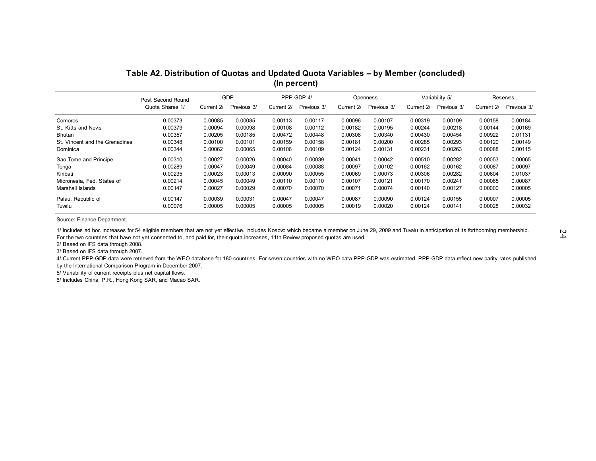| Table A2. Distribution of Quotas and Updated Quota Variables -- by Member (concluded) |  |
|---------------------------------------------------------------------------------------|--|
| (In percent)                                                                          |  |

|                                |                                      |            |                           | (In percent) |                           |            |                         |         |                                          |            |                         |
|--------------------------------|--------------------------------------|------------|---------------------------|--------------|---------------------------|------------|-------------------------|---------|------------------------------------------|------------|-------------------------|
|                                | Post Second Round<br>Quota Shares 1/ | Current 2/ | <b>GDP</b><br>Previous 3/ | Current 2/   | PPP GDP 4/<br>Previous 3/ | Current 2/ | Openness<br>Previous 3/ |         | Variability 5/<br>Current 2/ Previous 3/ | Current 2/ | Reserves<br>Previous 3/ |
| Comoros                        | 0.00373                              | 0.00085    | 0.00085                   | 0.00113      | 0.00117                   | 0.00096    | 0.00107                 | 0.00319 | 0.00109                                  | 0.00158    | 0.00184                 |
| St. Kitts and Nevis            | 0.00373                              | 0.00094    | 0.00098                   | 0.00108      | 0.00112                   | 0.00182    | 0.00195                 | 0.00244 | 0.00218                                  | 0.00144    | 0.00169                 |
| <b>Bhutan</b>                  | 0.00357                              | 0.00205    | 0.00185                   | 0.00472      | 0.00448                   | 0.00308    | 0.00340                 | 0.00430 | 0.00454                                  | 0.00922    | 0.01131                 |
| St. Vincent and the Grenadines | 0.00348                              | 0.00100    | 0.00101                   | 0.00159      | 0.00158                   | 0.00181    | 0.00200                 | 0.00285 | 0.00293                                  | 0.00120    | 0.00149                 |
| Dominica                       | 0.00344                              | 0.00062    | 0.00065                   | 0.00106      | 0.00109                   | 0.00124    | 0.00131                 | 0.00231 | 0.00263                                  | 0.00088    | 0.00115                 |
| Sao Tome and Principe          | 0.00310                              | 0.00027    | 0.00026                   | 0.00040      | 0.00039                   | 0.00041    | 0.00042                 | 0.00510 | 0.00282                                  | 0.00053    | 0.00065                 |
| Tonga                          | 0.00289                              | 0.00047    | 0.00049                   | 0.00084      | 0.00088                   | 0.00097    | 0.00102                 | 0.00162 | 0.00162                                  | 0.00087    | 0.00097                 |
| Kiribati                       | 0.00235                              | 0.00023    | 0.00013                   | 0.00090      | 0.00055                   | 0.00069    | 0.00073                 | 0.00306 | 0.00282                                  | 0.00604    | 0.01037                 |
| Micronesia, Fed. States of     | 0.00214                              | 0.00045    | 0.00049                   | 0.00110      | 0.00110                   | 0.00107    | 0.00121                 | 0.00170 | 0.00241                                  | 0.00065    | 0.00087                 |
| Marshall Islands               | 0.00147                              | 0.00027    | 0.00029                   | 0.00070      | 0.00070                   | 0.00071    | 0.00074                 | 0.00140 | 0.00127                                  | 0.00000    | 0.00005                 |
| Palau, Republic of             | 0.00147                              | 0.00039    | 0.00031                   | 0.00047      | 0.00047                   | 0.00087    | 0.00090                 | 0.00124 | 0.00155                                  | 0.00007    | 0.00005                 |
| Tuvalu                         | 0.00076                              | 0.00005    | 0.00005                   | 0.00005      | 0.00005                   | 0.00019    | 0.00020                 | 0.00124 | 0.00141                                  | 0.00028    | 0.00032                 |
| Source: Finance Department.    |                                      |            |                           |              |                           |            |                         |         |                                          |            |                         |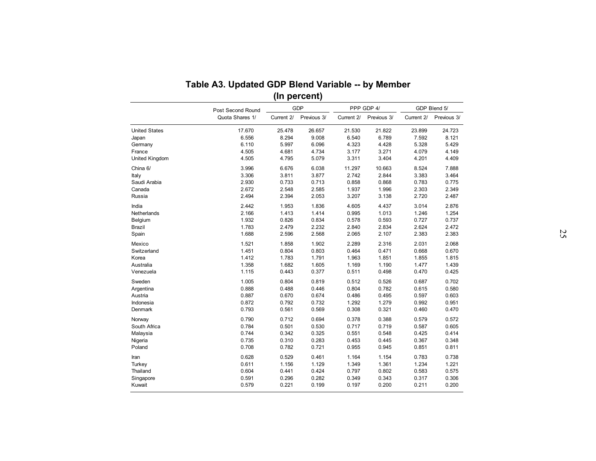|                       | Table A3. Updated GDP Blend Variable -- by Member |            | (In percent) |            |                           |            |                             |
|-----------------------|---------------------------------------------------|------------|--------------|------------|---------------------------|------------|-----------------------------|
|                       | Post Second Round<br>Quota Shares 1/              |            | <b>GDP</b>   |            | PPP GDP 4/<br>Previous 3/ |            | GDP Blend 5/<br>Previous 3/ |
|                       |                                                   | Current 2/ | Previous 3/  | Current 2/ |                           | Current 2/ |                             |
| <b>United States</b>  | 17.670                                            | 25.478     | 26.657       | 21.530     | 21.822                    | 23.899     | 24.723                      |
| Japan                 | 6.556                                             | 8.294      | 9.008        | 6.540      | 6.789                     | 7.592      | 8.121                       |
| Germany               | 6.110                                             | 5.997      | 6.096        | 4.323      | 4.428                     | 5.328      | 5.429                       |
| France                | 4.505                                             | 4.681      | 4.734        | 3.177      | 3.271                     | 4.079      | 4.149                       |
| <b>United Kingdom</b> | 4.505                                             | 4.795      | 5.079        | 3.311      | 3.404                     | 4.201      | 4.409                       |
| China 6/              | 3.996                                             | 6.676      | 6.038        | 11.297     | 10.663                    | 8.524      | 7.888                       |
| Italy                 | 3.306                                             | 3.811      | 3.877        | 2.742      | 2.844                     | 3.383      | 3.464                       |
| Saudi Arabia          | 2.930                                             | 0.733      | 0.713        | 0.858      | 0.868                     | 0.783      | 0.775                       |
| Canada                | 2.672                                             | 2.548      | 2.585        | 1.937      | 1.996                     | 2.303      | 2.349                       |
| Russia                | 2.494                                             | 2.394      | 2.053        | 3.207      | 3.138                     | 2.720      | 2.487                       |
| India                 | 2.442                                             | 1.953      | 1.836        | 4.605      | 4.437                     | 3.014      | 2.876                       |
| Netherlands           | 2.166                                             | 1.413      | 1.414        | 0.995      | 1.013                     | 1.246      | 1.254                       |
| Belgium               | 1.932                                             | 0.826      | 0.834        | 0.578      | 0.593                     | 0.727      | 0.737                       |
| Brazil                | 1.783                                             | 2.479      | 2.232        | 2.840      | 2.834                     | 2.624      | 2.472                       |
| Spain                 | 1.688                                             | 2.596      | 2.568        | 2.065      | 2.107                     | 2.383      | 2.383                       |
| Mexico                | 1.521                                             | 1.858      | 1.902        | 2.289      | 2.316                     | 2.031      | 2.068                       |
| Switzerland           | 1.451                                             | 0.804      | 0.803        | 0.464      | 0.471                     | 0.668      | 0.670                       |
| Korea                 | 1.412                                             | 1.783      | 1.791        | 1.963      | 1.851                     | 1.855      | 1.815                       |
| Australia             | 1.358                                             | 1.682      | 1.605        | 1.169      | 1.190                     | 1.477      | 1.439                       |
| Venezuela             | 1.115                                             | 0.443      | 0.377        | 0.511      | 0.498                     | 0.470      | 0.425                       |
| Sweden                | 1.005                                             | 0.804      | 0.819        | 0.512      | 0.526                     | 0.687      | 0.702                       |
| Argentina             | 0.888                                             | 0.488      | 0.446        | 0.804      | 0.782                     | 0.615      | 0.580                       |
| Austria               | 0.887                                             | 0.670      | 0.674        | 0.486      | 0.495                     | 0.597      | 0.603                       |
| Indonesia             | 0.872                                             | 0.792      | 0.732        | 1.292      | 1.279                     | 0.992      | 0.951                       |
| Denmark               | 0.793                                             | 0.561      | 0.569        | 0.308      | 0.321                     | 0.460      | 0.470                       |
| Norway                | 0.790                                             | 0.712      | 0.694        | 0.378      | 0.388                     | 0.579      | 0.572                       |
| South Africa          | 0.784                                             | 0.501      | 0.530        | 0.717      | 0.719                     | 0.587      | 0.605                       |
| Malaysia              | 0.744                                             | 0.342      | 0.325        | 0.551      | 0.548                     | 0.425      | 0.414                       |
| Nigeria               | 0.735                                             | 0.310      | 0.283        | 0.453      | 0.445                     | 0.367      | 0.348                       |
| Poland                | 0.708                                             | 0.782      | 0.721        | 0.955      | 0.945                     | 0.851      | 0.811                       |
| Iran                  | 0.628                                             | 0.529      | 0.461        | 1.164      | 1.154                     | 0.783      | 0.738                       |
| Turkey                | 0.611                                             | 1.156      | 1.129        | 1.349      | 1.361                     | 1.234      | 1.221                       |
| Thailand              | 0.604                                             | 0.441      | 0.424        | 0.797      | 0.802                     | 0.583      | 0.575                       |
| Singapore             | 0.591                                             | 0.296      | 0.282        | 0.349      | 0.343                     | 0.317      | 0.306                       |
| Kuwait                | 0.579                                             | 0.221      | 0.199        | 0.197      | 0.200                     | 0.211      | 0.200                       |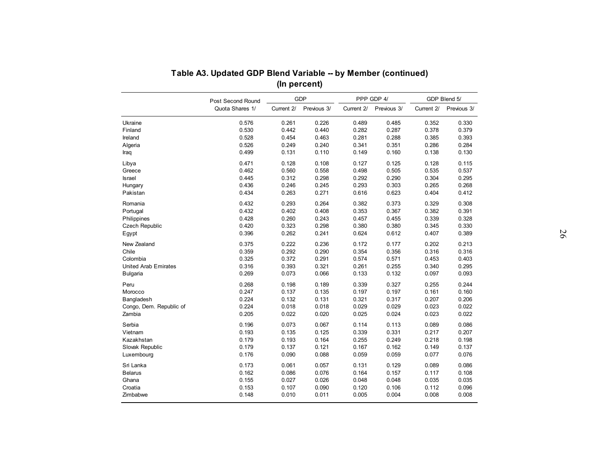|                             | Post Second Round |            | <b>GDP</b>  |            | PPP GDP 4/  |            | GDP Blend 5/ |
|-----------------------------|-------------------|------------|-------------|------------|-------------|------------|--------------|
|                             | Quota Shares 1/   | Current 2/ | Previous 3/ | Current 2/ | Previous 3/ | Current 2/ | Previous 3/  |
| Ukraine                     | 0.576             | 0.261      | 0.226       | 0.489      | 0.485       | 0.352      | 0.330        |
| Finland                     | 0.530             | 0.442      | 0.440       | 0.282      | 0.287       | 0.378      | 0.379        |
| Ireland                     | 0.528             | 0.454      | 0.463       | 0.281      | 0.288       | 0.385      | 0.393        |
| Algeria                     | 0.526             | 0.249      | 0.240       | 0.341      | 0.351       | 0.286      | 0.284        |
| Iraq                        | 0.499             | 0.131      | 0.110       | 0.149      | 0.160       | 0.138      | 0.130        |
| Libya                       | 0.471             | 0.128      | 0.108       | 0.127      | 0.125       | 0.128      | 0.115        |
| Greece                      | 0.462             | 0.560      | 0.558       | 0.498      | 0.505       | 0.535      | 0.537        |
| <b>Israel</b>               | 0.445             | 0.312      | 0.298       | 0.292      | 0.290       | 0.304      | 0.295        |
| Hungary                     | 0.436             | 0.246      | 0.245       | 0.293      | 0.303       | 0.265      | 0.268        |
| Pakistan                    | 0.434             | 0.263      | 0.271       | 0.616      | 0.623       | 0.404      | 0.412        |
| Romania                     | 0.432             | 0.293      | 0.264       | 0.382      | 0.373       | 0.329      | 0.308        |
| Portugal                    | 0.432             | 0.402      | 0.408       | 0.353      | 0.367       | 0.382      | 0.391        |
| Philippines                 | 0.428             | 0.260      | 0.243       | 0.457      | 0.455       | 0.339      | 0.328        |
| <b>Czech Republic</b>       | 0.420             | 0.323      | 0.298       | 0.380      | 0.380       | 0.345      | 0.330        |
| Egypt                       | 0.396             | 0.262      | 0.241       | 0.624      | 0.612       | 0.407      | 0.389        |
| New Zealand                 | 0.375             | 0.222      | 0.236       | 0.172      | 0.177       | 0.202      | 0.213        |
| Chile                       | 0.359             | 0.292      | 0.290       | 0.354      | 0.356       | 0.316      | 0.316        |
| Colombia                    | 0.325             | 0.372      | 0.291       | 0.574      | 0.571       | 0.453      | 0.403        |
| <b>United Arab Emirates</b> | 0.316             | 0.393      | 0.321       | 0.261      | 0.255       | 0.340      | 0.295        |
| Bulgaria                    | 0.269             | 0.073      | 0.066       | 0.133      | 0.132       | 0.097      | 0.093        |
| Peru                        | 0.268             | 0.198      | 0.189       | 0.339      | 0.327       | 0.255      | 0.244        |
| Morocco                     | 0.247             | 0.137      | 0.135       | 0.197      | 0.197       | 0.161      | 0.160        |
| Bangladesh                  | 0.224             | 0.132      | 0.131       | 0.321      | 0.317       | 0.207      | 0.206        |
| Congo, Dem. Republic of     | 0.224             | 0.018      | 0.018       | 0.029      | 0.029       | 0.023      | 0.022        |
| Zambia                      | 0.205             | 0.022      | 0.020       | 0.025      | 0.024       | 0.023      | 0.022        |
| Serbia                      | 0.196             | 0.073      | 0.067       | 0.114      | 0.113       | 0.089      | 0.086        |
| Vietnam                     | 0.193             | 0.135      | 0.125       | 0.339      | 0.331       | 0.217      | 0.207        |
| Kazakhstan                  | 0.179             | 0.193      | 0.164       | 0.255      | 0.249       | 0.218      | 0.198        |
| Slovak Republic             | 0.179             | 0.137      | 0.121       | 0.167      | 0.162       | 0.149      | 0.137        |
| Luxembourg                  | 0.176             | 0.090      | 0.088       | 0.059      | 0.059       | 0.077      | 0.076        |
| Sri Lanka                   | 0.173             | 0.061      | 0.057       | 0.131      | 0.129       | 0.089      | 0.086        |
| <b>Belarus</b>              | 0.162             | 0.086      | 0.076       | 0.164      | 0.157       | 0.117      | 0.108        |
| Ghana                       | 0.155             | 0.027      | 0.026       | 0.048      | 0.048       | 0.035      | 0.035        |
|                             |                   |            |             |            |             |            |              |
| Croatia                     | 0.153             | 0.107      | 0.090       | 0.120      | 0.106       | 0.112      | 0.096        |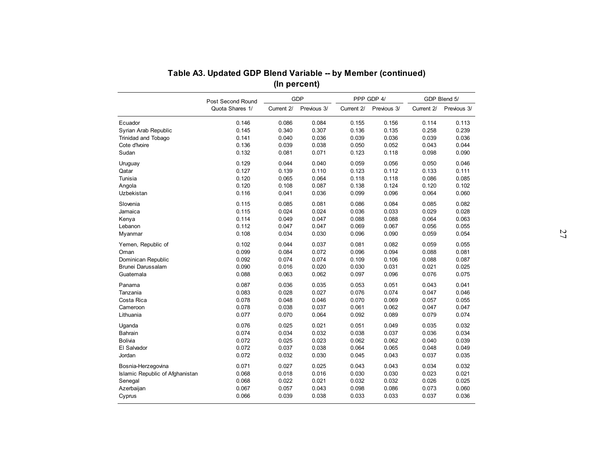|                                 | Table A3. Updated GDP Blend Variable -- by Member (continued) |            | (In percent) |            |             |            |              |
|---------------------------------|---------------------------------------------------------------|------------|--------------|------------|-------------|------------|--------------|
|                                 | Post Second Round                                             |            | <b>GDP</b>   |            | PPP GDP 4/  |            | GDP Blend 5/ |
|                                 | Quota Shares 1/                                               | Current 2/ | Previous 3/  | Current 2/ | Previous 3/ | Current 2/ | Previous 3/  |
| Ecuador                         | 0.146                                                         | 0.086      | 0.084        | 0.155      | 0.156       | 0.114      | 0.113        |
| Syrian Arab Republic            | 0.145                                                         | 0.340      | 0.307        | 0.136      | 0.135       | 0.258      | 0.239        |
| Trinidad and Tobago             | 0.141                                                         | 0.040      | 0.036        | 0.039      | 0.036       | 0.039      | 0.036        |
| Cote d'Ivoire                   | 0.136                                                         | 0.039      | 0.038        | 0.050      | 0.052       | 0.043      | 0.044        |
| Sudan                           | 0.132                                                         | 0.081      | 0.071        | 0.123      | 0.118       | 0.098      | 0.090        |
| Uruguay                         | 0.129                                                         | 0.044      | 0.040        | 0.059      | 0.056       | 0.050      | 0.046        |
| Qatar                           | 0.127                                                         | 0.139      | 0.110        | 0.123      | 0.112       | 0.133      | 0.111        |
| Tunisia                         | 0.120                                                         | 0.065      | 0.064        | 0.118      | 0.118       | 0.086      | 0.085        |
| Angola                          | 0.120                                                         | 0.108      | 0.087        | 0.138      | 0.124       | 0.120      | 0.102        |
| Uzbekistan                      | 0.116                                                         | 0.041      | 0.036        | 0.099      | 0.096       | 0.064      | 0.060        |
| Slovenia                        | 0.115                                                         | 0.085      | 0.081        | 0.086      | 0.084       | 0.085      | 0.082        |
| Jamaica                         | 0.115                                                         | 0.024      | 0.024        | 0.036      | 0.033       | 0.029      | 0.028        |
| Kenya                           | 0.114                                                         | 0.049      | 0.047        | 0.088      | 0.088       | 0.064      | 0.063        |
| Lebanon                         | 0.112                                                         | 0.047      | 0.047        | 0.069      | 0.067       | 0.056      | 0.055        |
| Myanmar                         | 0.108                                                         | 0.034      | 0.030        | 0.096      | 0.090       | 0.059      | 0.054        |
| Yemen, Republic of              | 0.102                                                         | 0.044      | 0.037        | 0.081      | 0.082       | 0.059      | 0.055        |
| Oman                            | 0.099                                                         | 0.084      | 0.072        | 0.096      | 0.094       | 0.088      | 0.081        |
| Dominican Republic              | 0.092                                                         | 0.074      | 0.074        | 0.109      | 0.106       | 0.088      | 0.087        |
| Brunei Darussalam               | 0.090                                                         | 0.016      | 0.020        | 0.030      | 0.031       | 0.021      | 0.025        |
| Guatemala                       | 0.088                                                         | 0.063      | 0.062        | 0.097      | 0.096       | 0.076      | 0.075        |
| Panama                          | 0.087                                                         | 0.036      | 0.035        | 0.053      | 0.051       | 0.043      | 0.041        |
| Tanzania                        | 0.083                                                         | 0.028      | 0.027        | 0.076      | 0.074       | 0.047      | 0.046        |
| Costa Rica                      | 0.078                                                         | 0.048      | 0.046        | 0.070      | 0.069       | 0.057      | 0.055        |
| Cameroon                        | 0.078                                                         | 0.038      | 0.037        | 0.061      | 0.062       | 0.047      | 0.047        |
| Lithuania                       | 0.077                                                         | 0.070      | 0.064        | 0.092      | 0.089       | 0.079      | 0.074        |
| Uganda                          | 0.076                                                         | 0.025      | 0.021        | 0.051      | 0.049       | 0.035      | 0.032        |
| Bahrain                         | 0.074                                                         | 0.034      | 0.032        | 0.038      | 0.037       | 0.036      | 0.034        |
| Bolivia                         | 0.072                                                         | 0.025      | 0.023        | 0.062      | 0.062       | 0.040      | 0.039        |
| El Salvador                     | 0.072                                                         | 0.037      | 0.038        | 0.064      | 0.065       | 0.048      | 0.049        |
| Jordan                          | 0.072                                                         | 0.032      | 0.030        | 0.045      | 0.043       | 0.037      | 0.035        |
| Bosnia-Herzegovina              | 0.071                                                         | 0.027      | 0.025        | 0.043      | 0.043       | 0.034      | 0.032        |
| Islamic Republic of Afghanistan | 0.068                                                         | 0.018      | 0.016        | 0.030      | 0.030       | 0.023      | 0.021        |
| Senegal                         | 0.068                                                         | 0.022      | 0.021        | 0.032      | 0.032       | 0.026      | 0.025        |
|                                 |                                                               |            |              |            |             |            |              |
| Azerbaijan                      | 0.067                                                         | 0.057      | 0.043        | 0.098      | 0.086       | 0.073      | 0.060        |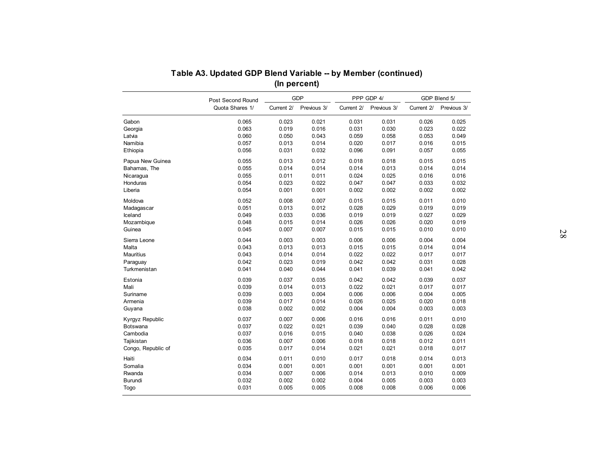|                    | Table A3. Updated GDP Blend Variable -- by Member (continued) |            | (In percent) |            |             |            |              |
|--------------------|---------------------------------------------------------------|------------|--------------|------------|-------------|------------|--------------|
|                    | Post Second Round                                             |            | GDP          |            | PPP GDP 4/  |            | GDP Blend 5/ |
|                    | Quota Shares 1/                                               | Current 2/ | Previous 3/  | Current 2/ | Previous 3/ | Current 2/ | Previous 3/  |
| Gabon              | 0.065                                                         | 0.023      | 0.021        | 0.031      | 0.031       | 0.026      | 0.025        |
| Georgia            | 0.063                                                         | 0.019      | 0.016        | 0.031      | 0.030       | 0.023      | 0.022        |
| Latvia             | 0.060                                                         | 0.050      | 0.043        | 0.059      | 0.058       | 0.053      | 0.049        |
| Namibia            | 0.057                                                         | 0.013      | 0.014        | 0.020      | 0.017       | 0.016      | 0.015        |
| Ethiopia           | 0.056                                                         | 0.031      | 0.032        | 0.096      | 0.091       | 0.057      | 0.055        |
| Papua New Guinea   | 0.055                                                         | 0.013      | 0.012        | 0.018      | 0.018       | 0.015      | 0.015        |
| Bahamas, The       | 0.055                                                         | 0.014      | 0.014        | 0.014      | 0.013       | 0.014      | 0.014        |
| Nicaragua          | 0.055                                                         | 0.011      | 0.011        | 0.024      | 0.025       | 0.016      | 0.016        |
| Honduras           | 0.054                                                         | 0.023      | 0.022        | 0.047      | 0.047       | 0.033      | 0.032        |
| Liberia            | 0.054                                                         | 0.001      | 0.001        | 0.002      | 0.002       | 0.002      | 0.002        |
| Moldova            | 0.052                                                         | 0.008      | 0.007        | 0.015      | 0.015       | 0.011      | 0.010        |
| Madagascar         | 0.051                                                         | 0.013      | 0.012        | 0.028      | 0.029       | 0.019      | 0.019        |
| Iceland            | 0.049                                                         | 0.033      | 0.036        | 0.019      | 0.019       | 0.027      | 0.029        |
| Mozambique         | 0.048                                                         | 0.015      | 0.014        | 0.026      | 0.026       | 0.020      | 0.019        |
| Guinea             | 0.045                                                         | 0.007      | 0.007        | 0.015      | 0.015       | 0.010      | 0.010        |
| Sierra Leone       | 0.044                                                         | 0.003      | 0.003        | 0.006      | 0.006       | 0.004      | 0.004        |
| Malta              | 0.043                                                         | 0.013      | 0.013        | 0.015      | 0.015       | 0.014      | 0.014        |
| Mauritius          | 0.043                                                         | 0.014      | 0.014        | 0.022      | 0.022       | 0.017      | 0.017        |
| Paraguay           | 0.042                                                         | 0.023      | 0.019        | 0.042      | 0.042       | 0.031      | 0.028        |
| Turkmenistan       | 0.041                                                         | 0.040      | 0.044        | 0.041      | 0.039       | 0.041      | 0.042        |
| Estonia            | 0.039                                                         | 0.037      | 0.035        | 0.042      | 0.042       | 0.039      | 0.037        |
| Mali               | 0.039                                                         | 0.014      | 0.013        | 0.022      | 0.021       | 0.017      | 0.017        |
| Suriname           | 0.039                                                         | 0.003      | 0.004        | 0.006      | 0.006       | 0.004      | 0.005        |
| Armenia            | 0.039                                                         | 0.017      | 0.014        | 0.026      | 0.025       | 0.020      | 0.018        |
| Guyana             | 0.038                                                         | 0.002      | 0.002        | 0.004      | 0.004       | 0.003      | 0.003        |
| Kyrgyz Republic    | 0.037                                                         | 0.007      | 0.006        | 0.016      | 0.016       | 0.011      | 0.010        |
| Botswana           | 0.037                                                         | 0.022      | 0.021        | 0.039      | 0.040       | 0.028      | 0.028        |
| Cambodia           | 0.037                                                         | 0.016      | 0.015        | 0.040      | 0.038       | 0.026      | 0.024        |
| Tajikistan         | 0.036                                                         | 0.007      | 0.006        | 0.018      | 0.018       | 0.012      | 0.011        |
| Congo, Republic of | 0.035                                                         | 0.017      | 0.014        | 0.021      | 0.021       | 0.018      | 0.017        |
| Haiti              | 0.034                                                         | 0.011      | 0.010        | 0.017      | 0.018       | 0.014      | 0.013        |
| Somalia            | 0.034                                                         | 0.001      | 0.001        | 0.001      | 0.001       | 0.001      | 0.001        |
| Rwanda             | 0.034                                                         | 0.007      | 0.006        | 0.014      | 0.013       | 0.010      | 0.009        |
| Burundi            | 0.032                                                         | 0.002      | 0.002        | 0.004      | 0.005       | 0.003      | 0.003        |
| Togo               | 0.031                                                         | 0.005      | 0.005        | 0.008      | 0.008       | 0.006      | 0.006        |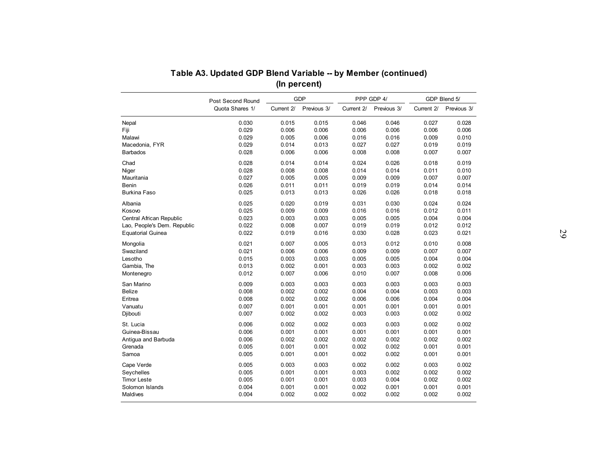|                                | Post Second Round |                | <b>GDP</b>     |                | PPP GDP 4/     |                | GDP Blend 5/   |
|--------------------------------|-------------------|----------------|----------------|----------------|----------------|----------------|----------------|
|                                | Quota Shares 1/   | Current 2/     | Previous 3/    | Current 2/     | Previous 3/    | Current 2/     | Previous 3/    |
| Nepal                          | 0.030             | 0.015          | 0.015          | 0.046          | 0.046          | 0.027          | 0.028          |
| Fiji                           | 0.029             | 0.006          | 0.006          | 0.006          | 0.006          | 0.006          | 0.006          |
| Malawi                         | 0.029             | 0.005          | 0.006          | 0.016          | 0.016          | 0.009          | 0.010          |
| Macedonia, FYR                 | 0.029             | 0.014          | 0.013          | 0.027          | 0.027          | 0.019          | 0.019          |
| <b>Barbados</b>                | 0.028             | 0.006          | 0.006          | 0.008          | 0.008          | 0.007          | 0.007          |
| Chad                           | 0.028             | 0.014          | 0.014          | 0.024          | 0.026          | 0.018          | 0.019          |
| Niger                          | 0.028             | 0.008          | 0.008          | 0.014          | 0.014          | 0.011          | 0.010          |
| Mauritania                     | 0.027             | 0.005          | 0.005          | 0.009          | 0.009          | 0.007          | 0.007          |
| Benin                          | 0.026             | 0.011          | 0.011          | 0.019          | 0.019          | 0.014          | 0.014          |
| <b>Burkina Faso</b>            | 0.025             | 0.013          | 0.013          | 0.026          | 0.026          | 0.018          | 0.018          |
| Albania                        | 0.025             | 0.020          | 0.019          | 0.031          | 0.030          | 0.024          | 0.024          |
| Kosovo                         | 0.025             | 0.009          | 0.009          | 0.016          | 0.016          | 0.012          | 0.011          |
| Central African Republic       | 0.023             | 0.003          | 0.003          | 0.005          | 0.005          | 0.004          | 0.004          |
| Lao, People's Dem. Republic    | 0.022             | 0.008          | 0.007          | 0.019          | 0.019          | 0.012          | 0.012          |
| <b>Equatorial Guinea</b>       | 0.022             | 0.019          | 0.016          | 0.030          | 0.028          | 0.023          | 0.021          |
| Mongolia                       | 0.021             | 0.007          | 0.005          | 0.013          | 0.012          | 0.010          | 0.008          |
| Swaziland                      | 0.021             | 0.006          | 0.006          | 0.009          | 0.009          | 0.007          | 0.007          |
| Lesotho                        | 0.015             | 0.003          | 0.003          | 0.005          | 0.005          | 0.004          | 0.004          |
| Gambia, The                    | 0.013             | 0.002          | 0.001          | 0.003          | 0.003          | 0.002          | 0.002          |
| Montenegro                     | 0.012             | 0.007          | 0.006          | 0.010          | 0.007          | 0.008          | 0.006          |
| San Marino                     | 0.009             | 0.003          | 0.003          | 0.003          | 0.003          | 0.003          | 0.003          |
| Belize                         | 0.008             | 0.002          | 0.002          | 0.004          | 0.004          | 0.003          | 0.003          |
| Eritrea                        | 0.008             | 0.002          | 0.002          | 0.006          | 0.006          | 0.004          | 0.004          |
| Vanuatu                        | 0.007             | 0.001          | 0.001          | 0.001          | 0.001          | 0.001          | 0.001          |
| Djibouti                       | 0.007             | 0.002          | 0.002          | 0.003          | 0.003          | 0.002          | 0.002          |
|                                | 0.006             |                | 0.002          |                | 0.003          |                | 0.002          |
| St. Lucia                      |                   | 0.002          |                | 0.003          |                | 0.002          |                |
| Guinea-Bissau                  | 0.006             | 0.001<br>0.002 | 0.001<br>0.002 | 0.001<br>0.002 | 0.001          | 0.001          | 0.001          |
| Antigua and Barbuda<br>Grenada | 0.006<br>0.005    | 0.001          | 0.001          | 0.002          | 0.002<br>0.002 | 0.002<br>0.001 | 0.002<br>0.001 |
| Samoa                          | 0.005             | 0.001          | 0.001          | 0.002          | 0.002          | 0.001          | 0.001          |
|                                |                   |                |                |                |                |                |                |
| Cape Verde                     | 0.005             | 0.003          | 0.003          | 0.002          | 0.002          | 0.003          | 0.002          |
| Seychelles                     | 0.005             | 0.001          | 0.001          | 0.003          | 0.002          | 0.002          | 0.002          |
| <b>Timor Leste</b>             | 0.005             | 0.001          | 0.001          | 0.003          | 0.004          | 0.002          | 0.002          |
|                                |                   |                |                |                |                |                |                |
| Solomon Islands<br>Maldives    | 0.004<br>0.004    | 0.001<br>0.002 | 0.001<br>0.002 | 0.002<br>0.002 | 0.001<br>0.002 | 0.001<br>0.002 | 0.001<br>0.002 |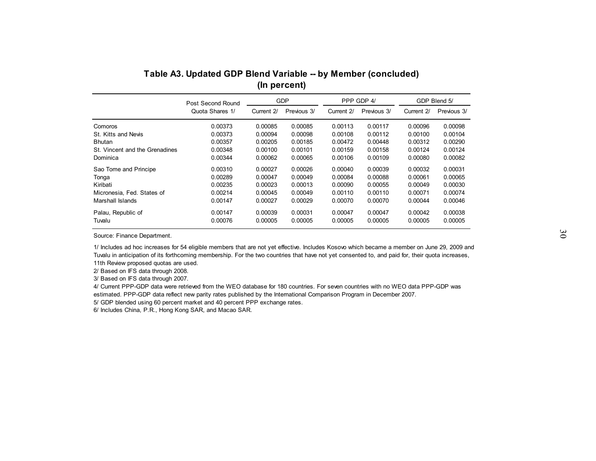| Quota Shares 1/<br>Current 2/<br>Previous 3/<br>Current 2/<br>Previous 3/<br>Current 2/<br>0.00373<br>0.00113<br>Comoros<br>0.00085<br>0.00085<br>0.00117<br>0.00096<br>St. Kitts and Nevis<br>0.00373<br>0.00094<br>0.00098<br>0.00108<br>0.00100<br>0.00112<br>0.00357<br>0.00312<br><b>Bhutan</b><br>0.00205<br>0.00185<br>0.00472<br>0.00448<br>0.00348<br>St. Vincent and the Grenadines<br>0.00100<br>0.00101<br>0.00159<br>0.00158<br>0.00124<br>0.00344<br>Dominica<br>0.00062<br>0.00065<br>0.00106<br>0.00109<br>0.00080<br>Sao Tome and Principe<br>0.00310<br>0.00027<br>0.00026<br>0.00040<br>0.00039<br>0.00032<br>0.00289<br>0.00047<br>0.00049<br>0.00084<br>0.00061<br>0.00088<br>Tonga<br>0.00235<br>0.00023<br>0.00013<br>0.00090<br>Kiribati<br>0.00055<br>0.00049<br>0.00214<br>0.00045<br>0.00049<br>0.00110<br>0.00071<br>Micronesia, Fed. States of<br>0.00110<br>Marshall Islands<br>0.00147<br>0.00027<br>0.00029<br>0.00070<br>0.00070<br>0.00044 |                    | Post Second Round |         | <b>GDP</b> |         | PPP GDP 4/ |         | GDP Blend 5/                                        |
|------------------------------------------------------------------------------------------------------------------------------------------------------------------------------------------------------------------------------------------------------------------------------------------------------------------------------------------------------------------------------------------------------------------------------------------------------------------------------------------------------------------------------------------------------------------------------------------------------------------------------------------------------------------------------------------------------------------------------------------------------------------------------------------------------------------------------------------------------------------------------------------------------------------------------------------------------------------------------|--------------------|-------------------|---------|------------|---------|------------|---------|-----------------------------------------------------|
|                                                                                                                                                                                                                                                                                                                                                                                                                                                                                                                                                                                                                                                                                                                                                                                                                                                                                                                                                                              |                    |                   |         |            |         |            |         | Previous 3/                                         |
|                                                                                                                                                                                                                                                                                                                                                                                                                                                                                                                                                                                                                                                                                                                                                                                                                                                                                                                                                                              |                    |                   |         |            |         |            |         | 0.00098<br>0.00104<br>0.00290                       |
|                                                                                                                                                                                                                                                                                                                                                                                                                                                                                                                                                                                                                                                                                                                                                                                                                                                                                                                                                                              |                    |                   |         |            |         |            |         | 0.00124<br>0.00082                                  |
|                                                                                                                                                                                                                                                                                                                                                                                                                                                                                                                                                                                                                                                                                                                                                                                                                                                                                                                                                                              |                    |                   |         |            |         |            |         | 0.00031<br>0.00065<br>0.00030<br>0.00074<br>0.00046 |
| 0.00076<br>0.00005<br>0.00005<br>0.00005<br>0.00005<br>0.00005<br>Tuvalu                                                                                                                                                                                                                                                                                                                                                                                                                                                                                                                                                                                                                                                                                                                                                                                                                                                                                                     | Palau, Republic of | 0.00147           | 0.00039 | 0.00031    | 0.00047 | 0.00047    | 0.00042 | 0.00038<br>0.00005                                  |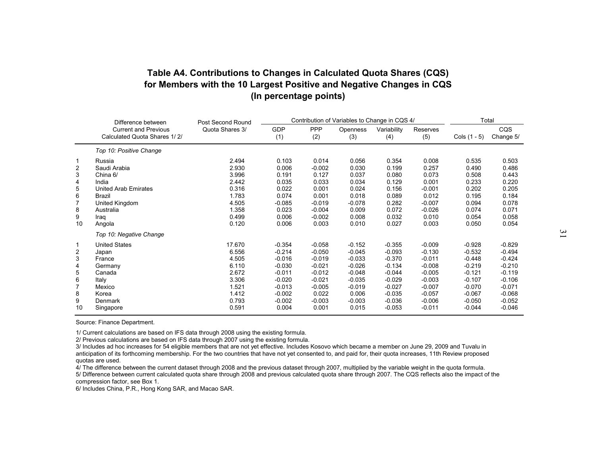| Table A4. Contributions to Changes in Calculated Quota Shares (CQS)  |
|----------------------------------------------------------------------|
| for Members with the 10 Largest Positive and Negative Changes in CQS |
| (In percentage points)                                               |

|                                                                                                                 |                                                                                                                                                                                                                                                                                             |                                                                                                                                                                                   |                                                                                                                                                                                                                |                                                                                                                                                                                                                      | Contribution of Variables to Change in CQS 4/                                                                                                                                                               |                                                                                                                                                                                                                |                                                                                                                                                                                                                         |                                                                                                                                                                                                                | Total                                                                                                                                                                                                          |
|-----------------------------------------------------------------------------------------------------------------|---------------------------------------------------------------------------------------------------------------------------------------------------------------------------------------------------------------------------------------------------------------------------------------------|-----------------------------------------------------------------------------------------------------------------------------------------------------------------------------------|----------------------------------------------------------------------------------------------------------------------------------------------------------------------------------------------------------------|----------------------------------------------------------------------------------------------------------------------------------------------------------------------------------------------------------------------|-------------------------------------------------------------------------------------------------------------------------------------------------------------------------------------------------------------|----------------------------------------------------------------------------------------------------------------------------------------------------------------------------------------------------------------|-------------------------------------------------------------------------------------------------------------------------------------------------------------------------------------------------------------------------|----------------------------------------------------------------------------------------------------------------------------------------------------------------------------------------------------------------|----------------------------------------------------------------------------------------------------------------------------------------------------------------------------------------------------------------|
|                                                                                                                 | Difference between<br><b>Current and Previous</b><br>Calculated Quota Shares 1/2/                                                                                                                                                                                                           | Post Second Round<br>Quota Shares 3/                                                                                                                                              | <b>GDP</b><br>(1)                                                                                                                                                                                              | PPP<br>(2)                                                                                                                                                                                                           | Openness<br>(3)                                                                                                                                                                                             | Variability<br>(4)                                                                                                                                                                                             | Reserves<br>(5)                                                                                                                                                                                                         | Cols (1 - 5)                                                                                                                                                                                                   | cos<br>Change 5/                                                                                                                                                                                               |
|                                                                                                                 | Top 10: Positive Change                                                                                                                                                                                                                                                                     |                                                                                                                                                                                   |                                                                                                                                                                                                                |                                                                                                                                                                                                                      |                                                                                                                                                                                                             |                                                                                                                                                                                                                |                                                                                                                                                                                                                         |                                                                                                                                                                                                                |                                                                                                                                                                                                                |
| 1<br>$\overline{c}$<br>3<br>4<br>5<br>6<br>7<br>8<br>9<br>10<br>1<br>2<br>3<br>4<br>5<br>6<br>7<br>8<br>9<br>10 | Russia<br>Saudi Arabia<br>China 6/<br>India<br><b>United Arab Emirates</b><br><b>Brazil</b><br>United Kingdom<br>Australia<br>Iraq<br>Angola<br>Top 10: Negative Change<br><b>United States</b><br>Japan<br>France<br>Germany<br>Canada<br>Italy<br>Mexico<br>Korea<br>Denmark<br>Singapore | 2.494<br>2.930<br>3.996<br>2.442<br>0.316<br>1.783<br>4.505<br>1.358<br>0.499<br>0.120<br>17.670<br>6.556<br>4.505<br>6.110<br>2.672<br>3.306<br>1.521<br>1.412<br>0.793<br>0.591 | 0.103<br>0.006<br>0.191<br>0.035<br>0.022<br>0.074<br>$-0.085$<br>0.023<br>0.006<br>0.006<br>$-0.354$<br>$-0.214$<br>$-0.016$<br>$-0.030$<br>$-0.011$<br>$-0.020$<br>$-0.013$<br>$-0.002$<br>$-0.002$<br>0.004 | 0.014<br>$-0.002$<br>0.127<br>0.033<br>0.001<br>0.001<br>$-0.019$<br>$-0.004$<br>$-0.002$<br>0.003<br>$-0.058$<br>$-0.050$<br>$-0.019$<br>$-0.021$<br>$-0.012$<br>$-0.021$<br>$-0.005$<br>0.022<br>$-0.003$<br>0.001 | 0.056<br>0.030<br>0.037<br>0.034<br>0.024<br>0.018<br>$-0.078$<br>0.009<br>0.008<br>0.010<br>$-0.152$<br>$-0.045$<br>$-0.033$<br>$-0.026$<br>$-0.048$<br>$-0.035$<br>$-0.019$<br>0.006<br>$-0.003$<br>0.015 | 0.354<br>0.199<br>0.080<br>0.129<br>0.156<br>0.089<br>0.282<br>0.072<br>0.032<br>0.027<br>$-0.355$<br>$-0.093$<br>$-0.370$<br>$-0.134$<br>$-0.044$<br>$-0.029$<br>$-0.027$<br>$-0.035$<br>$-0.036$<br>$-0.053$ | 0.008<br>0.257<br>0.073<br>0.001<br>$-0.001$<br>0.012<br>$-0.007$<br>$-0.026$<br>0.010<br>0.003<br>$-0.009$<br>$-0.130$<br>$-0.011$<br>$-0.008$<br>$-0.005$<br>$-0.003$<br>$-0.007$<br>$-0.057$<br>$-0.006$<br>$-0.011$ | 0.535<br>0.490<br>0.508<br>0.233<br>0.202<br>0.195<br>0.094<br>0.074<br>0.054<br>0.050<br>$-0.928$<br>$-0.532$<br>$-0.448$<br>$-0.219$<br>$-0.121$<br>$-0.107$<br>$-0.070$<br>$-0.067$<br>$-0.050$<br>$-0.044$ | 0.503<br>0.486<br>0.443<br>0.220<br>0.205<br>0.184<br>0.078<br>0.071<br>0.058<br>0.054<br>$-0.829$<br>$-0.494$<br>$-0.424$<br>$-0.210$<br>$-0.119$<br>$-0.106$<br>$-0.071$<br>$-0.068$<br>$-0.052$<br>$-0.046$ |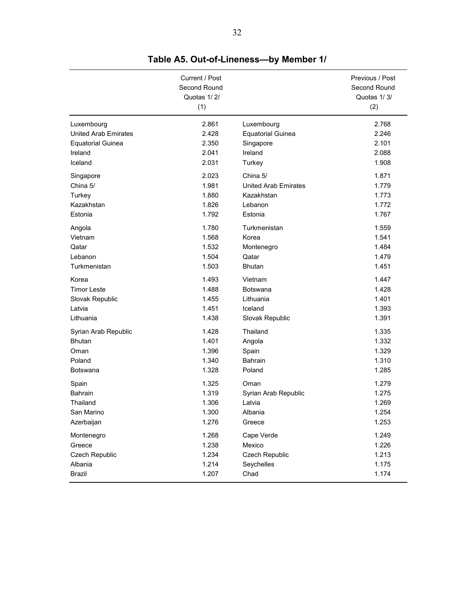|                             | Current / Post<br>Second Round<br>Quotas 1/2/<br>(1) |                             | Previous / Post<br>Second Round<br>Quotas 1/3/<br>(2) |
|-----------------------------|------------------------------------------------------|-----------------------------|-------------------------------------------------------|
| Luxembourg                  | 2.861                                                | Luxembourg                  | 2.768                                                 |
| <b>United Arab Emirates</b> | 2.428                                                | <b>Equatorial Guinea</b>    | 2.246                                                 |
| <b>Equatorial Guinea</b>    | 2.350                                                | Singapore                   | 2.101                                                 |
| Ireland                     | 2.041                                                | Ireland                     | 2.088                                                 |
| Iceland                     | 2.031                                                | Turkey                      | 1.908                                                 |
| Singapore                   | 2.023                                                | China 5/                    | 1.871                                                 |
| China 5/                    | 1.981                                                | <b>United Arab Emirates</b> | 1.779                                                 |
| Turkey                      | 1.880                                                | Kazakhstan                  | 1.773                                                 |
| Kazakhstan                  | 1.826                                                | Lebanon                     | 1.772                                                 |
| Estonia                     | 1.792                                                | Estonia                     | 1.767                                                 |
| Angola                      | 1.780                                                | Turkmenistan                | 1.559                                                 |
| Vietnam                     | 1.568                                                | Korea                       | 1.541                                                 |
| Qatar                       | 1.532                                                | Montenegro                  | 1.484                                                 |
| Lebanon                     | 1.504                                                | Qatar                       | 1.479                                                 |
| Turkmenistan                | 1.503                                                | <b>Bhutan</b>               | 1.451                                                 |
| Korea                       | 1.493                                                | Vietnam                     | 1.447                                                 |
| <b>Timor Leste</b>          | 1.488                                                | Botswana                    | 1.428                                                 |
| Slovak Republic             | 1.455                                                | Lithuania                   | 1.401                                                 |
| Latvia                      | 1.451                                                | Iceland                     | 1.393                                                 |
| Lithuania                   | 1.438                                                | Slovak Republic             | 1.391                                                 |
| Syrian Arab Republic        | 1.428                                                | Thailand                    | 1.335                                                 |
| <b>Bhutan</b>               | 1.401                                                | Angola                      | 1.332                                                 |
| Oman                        | 1.396                                                | Spain                       | 1.329                                                 |
| Poland                      | 1.340                                                | Bahrain                     | 1.310                                                 |
| <b>Botswana</b>             | 1.328                                                | Poland                      | 1.285                                                 |
| Spain                       | 1.325                                                | Oman                        | 1.279                                                 |
| <b>Bahrain</b>              | 1.319                                                | Syrian Arab Republic        | 1.275                                                 |
| Thailand                    | 1.306                                                | Latvia                      | 1.269                                                 |
| San Marino                  | 1.300                                                | Albania                     | 1.254                                                 |
| Azerbaijan                  | 1.276                                                | Greece                      | 1.253                                                 |
| Montenegro                  | 1.268                                                | Cape Verde                  | 1.249                                                 |
| Greece                      | 1.238                                                | Mexico                      | 1.226                                                 |
| Czech Republic              | 1.234                                                | Czech Republic              | 1.213                                                 |
| Albania                     | 1.214                                                | Seychelles                  | 1.175                                                 |
| <b>Brazil</b>               | 1.207                                                | Chad                        | 1.174                                                 |

**Table A5. Out-of-Lineness—by Member 1/**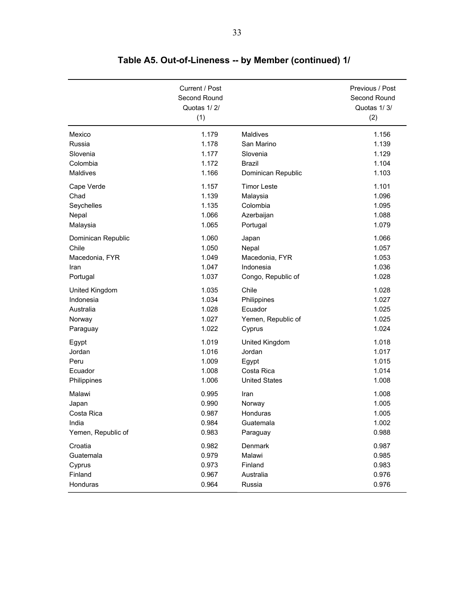|                    | Current / Post<br>Second Round<br>Quotas 1/2/<br>(1) |                      | Previous / Post<br>Second Round<br>Quotas 1/3/<br>(2) |
|--------------------|------------------------------------------------------|----------------------|-------------------------------------------------------|
| Mexico             | 1.179                                                | Maldives             | 1.156                                                 |
| Russia             | 1.178                                                | San Marino           | 1.139                                                 |
| Slovenia           | 1.177                                                | Slovenia             | 1.129                                                 |
| Colombia           | 1.172                                                | <b>Brazil</b>        | 1.104                                                 |
| <b>Maldives</b>    | 1.166                                                | Dominican Republic   | 1.103                                                 |
| Cape Verde         | 1.157                                                | <b>Timor Leste</b>   | 1.101                                                 |
| Chad               | 1.139                                                | Malaysia             | 1.096                                                 |
| Seychelles         | 1.135                                                | Colombia             | 1.095                                                 |
| Nepal              | 1.066                                                | Azerbaijan           | 1.088                                                 |
| Malaysia           | 1.065                                                | Portugal             | 1.079                                                 |
| Dominican Republic | 1.060                                                | Japan                | 1.066                                                 |
| Chile              | 1.050                                                | Nepal                | 1.057                                                 |
| Macedonia, FYR     | 1.049                                                | Macedonia, FYR       | 1.053                                                 |
| Iran               | 1.047                                                | Indonesia            | 1.036                                                 |
| Portugal           | 1.037                                                | Congo, Republic of   | 1.028                                                 |
| United Kingdom     | 1.035                                                | Chile                | 1.028                                                 |
| Indonesia          | 1.034                                                | Philippines          | 1.027                                                 |
| Australia          | 1.028                                                | Ecuador              | 1.025                                                 |
| Norway             | 1.027                                                | Yemen, Republic of   | 1.025                                                 |
| Paraguay           | 1.022                                                | Cyprus               | 1.024                                                 |
| Egypt              | 1.019                                                | United Kingdom       | 1.018                                                 |
| Jordan             | 1.016                                                | Jordan               | 1.017                                                 |
| Peru               | 1.009                                                | Egypt                | 1.015                                                 |
| Ecuador            | 1.008                                                | Costa Rica           | 1.014                                                 |
| Philippines        | 1.006                                                | <b>United States</b> | 1.008                                                 |
| Malawi             | 0.995                                                | Iran                 | 1.008                                                 |
| Japan              | 0.990                                                | Norway               | 1.005                                                 |
| Costa Rica         | 0.987                                                | Honduras             | 1.005                                                 |
| India              | 0.984                                                | Guatemala            | 1.002                                                 |
| Yemen, Republic of | 0.983                                                | Paraguay             | 0.988                                                 |
| Croatia            | 0.982                                                | Denmark              | 0.987                                                 |
| Guatemala          | 0.979                                                | Malawi               | 0.985                                                 |
| Cyprus             | 0.973                                                | Finland              | 0.983                                                 |
| Finland            | 0.967                                                | Australia            | 0.976                                                 |
| Honduras           | 0.964                                                | Russia               | 0.976                                                 |

**Table A5. Out-of-Lineness -- by Member (continued) 1/**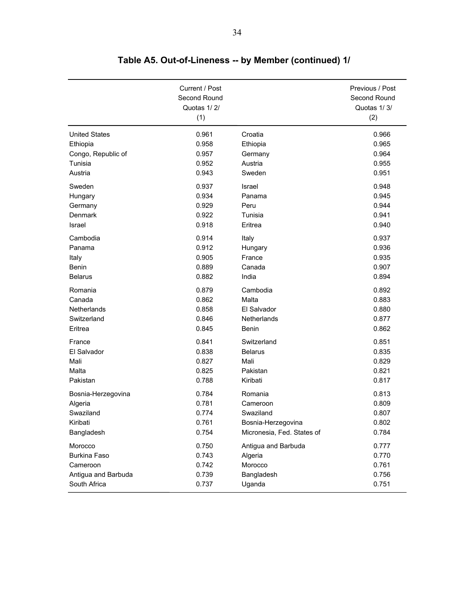|                      | Current / Post<br>Second Round<br>Quotas 1/2/<br>(1) |                            | Previous / Post<br>Second Round<br>Quotas 1/3/<br>(2) |
|----------------------|------------------------------------------------------|----------------------------|-------------------------------------------------------|
| <b>United States</b> | 0.961                                                | Croatia                    | 0.966                                                 |
| Ethiopia             | 0.958                                                | Ethiopia                   | 0.965                                                 |
| Congo, Republic of   | 0.957                                                | Germany                    | 0.964                                                 |
| Tunisia              | 0.952                                                | Austria                    | 0.955                                                 |
| Austria              | 0.943                                                | Sweden                     | 0.951                                                 |
| Sweden               | 0.937                                                | Israel                     | 0.948                                                 |
| Hungary              | 0.934                                                | Panama                     | 0.945                                                 |
| Germany              | 0.929                                                | Peru                       | 0.944                                                 |
| Denmark              | 0.922                                                | Tunisia                    | 0.941                                                 |
| Israel               | 0.918                                                | Eritrea                    | 0.940                                                 |
| Cambodia             | 0.914                                                | Italy                      | 0.937                                                 |
| Panama               | 0.912                                                | Hungary                    | 0.936                                                 |
| Italy                | 0.905                                                | France                     | 0.935                                                 |
| Benin                | 0.889                                                | Canada                     | 0.907                                                 |
| <b>Belarus</b>       | 0.882                                                | India                      | 0.894                                                 |
| Romania              | 0.879                                                | Cambodia                   | 0.892                                                 |
| Canada               | 0.862                                                | Malta                      | 0.883                                                 |
| Netherlands          | 0.858                                                | El Salvador                | 0.880                                                 |
| Switzerland          | 0.846                                                | Netherlands                | 0.877                                                 |
| Eritrea              | 0.845                                                | Benin                      | 0.862                                                 |
| France               | 0.841                                                | Switzerland                | 0.851                                                 |
| El Salvador          | 0.838                                                | <b>Belarus</b>             | 0.835                                                 |
| Mali                 | 0.827                                                | Mali                       | 0.829                                                 |
| Malta                | 0.825                                                | Pakistan                   | 0.821                                                 |
| Pakistan             | 0.788                                                | Kiribati                   | 0.817                                                 |
| Bosnia-Herzegovina   | 0.784                                                | Romania                    | 0.813                                                 |
| Algeria              | 0.781                                                | Cameroon                   | 0.809                                                 |
| Swaziland            | 0.774                                                | Swaziland                  | 0.807                                                 |
| Kiribati             | 0.761                                                | Bosnia-Herzegovina         | 0.802                                                 |
| Bangladesh           | 0.754                                                | Micronesia, Fed. States of | 0.784                                                 |
| Morocco              | 0.750                                                | Antigua and Barbuda        | 0.777                                                 |
| Burkina Faso         | 0.743                                                | Algeria                    | 0.770                                                 |
| Cameroon             | 0.742                                                | Morocco                    | 0.761                                                 |
| Antigua and Barbuda  | 0.739                                                | Bangladesh                 | 0.756                                                 |
| South Africa         | 0.737                                                | Uganda                     | 0.751                                                 |

**Table A5. Out-of-Lineness -- by Member (continued) 1/**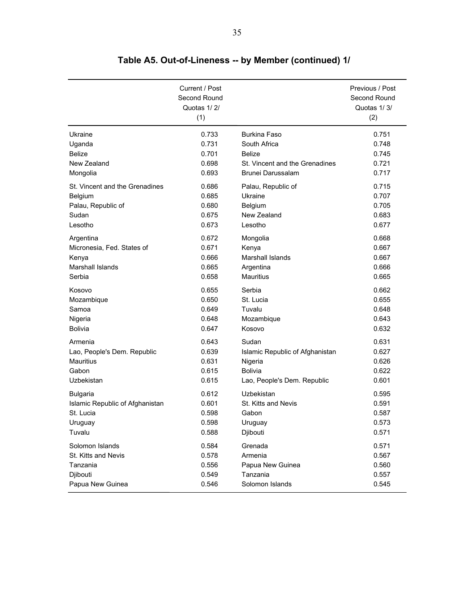|                                 | Current / Post<br>Second Round<br>Quotas 1/2/<br>(1) |                                 | Previous / Post<br>Second Round<br>Quotas 1/3/<br>(2) |
|---------------------------------|------------------------------------------------------|---------------------------------|-------------------------------------------------------|
| Ukraine                         | 0.733                                                | <b>Burkina Faso</b>             | 0.751                                                 |
| Uganda                          | 0.731                                                | South Africa                    | 0.748                                                 |
| <b>Belize</b>                   | 0.701                                                | <b>Belize</b>                   | 0.745                                                 |
| New Zealand                     | 0.698                                                | St. Vincent and the Grenadines  | 0.721                                                 |
| Mongolia                        | 0.693                                                | Brunei Darussalam               | 0.717                                                 |
| St. Vincent and the Grenadines  | 0.686                                                | Palau, Republic of              | 0.715                                                 |
| Belgium                         | 0.685                                                | Ukraine                         | 0.707                                                 |
| Palau, Republic of              | 0.680                                                | Belgium                         | 0.705                                                 |
| Sudan                           | 0.675                                                | New Zealand                     | 0.683                                                 |
| Lesotho                         | 0.673                                                | Lesotho                         | 0.677                                                 |
| Argentina                       | 0.672                                                | Mongolia                        | 0.668                                                 |
| Micronesia, Fed. States of      | 0.671                                                | Kenya                           | 0.667                                                 |
| Kenya                           | 0.666                                                | Marshall Islands                | 0.667                                                 |
| Marshall Islands                | 0.665                                                | Argentina                       | 0.666                                                 |
| Serbia                          | 0.658                                                | <b>Mauritius</b>                | 0.665                                                 |
| Kosovo                          | 0.655                                                | Serbia                          | 0.662                                                 |
| Mozambique                      | 0.650                                                | St. Lucia                       | 0.655                                                 |
| Samoa                           | 0.649                                                | Tuvalu                          | 0.648                                                 |
| Nigeria                         | 0.648                                                | Mozambique                      | 0.643                                                 |
| <b>Bolivia</b>                  | 0.647                                                | Kosovo                          | 0.632                                                 |
| Armenia                         | 0.643                                                | Sudan                           | 0.631                                                 |
| Lao, People's Dem. Republic     | 0.639                                                | Islamic Republic of Afghanistan | 0.627                                                 |
| <b>Mauritius</b>                | 0.631                                                | Nigeria                         | 0.626                                                 |
| Gabon                           | 0.615                                                | <b>Bolivia</b>                  | 0.622                                                 |
| Uzbekistan                      | 0.615                                                | Lao, People's Dem. Republic     | 0.601                                                 |
| <b>Bulgaria</b>                 | 0.612                                                | Uzbekistan                      | 0.595                                                 |
| Islamic Republic of Afghanistan | 0.601                                                | St. Kitts and Nevis             | 0.591                                                 |
| St. Lucia                       | 0.598                                                | Gabon                           | 0.587                                                 |
| Uruguay                         | 0.598                                                | Uruguay                         | 0.573                                                 |
| Tuvalu                          | 0.588                                                | Djibouti                        | 0.571                                                 |
| Solomon Islands                 | 0.584                                                | Grenada                         | 0.571                                                 |
| St. Kitts and Nevis             | 0.578                                                | Armenia                         | 0.567                                                 |
| Tanzania                        | 0.556                                                | Papua New Guinea                | 0.560                                                 |
| Djibouti                        | 0.549                                                | Tanzania                        | 0.557                                                 |
| Papua New Guinea                | 0.546                                                | Solomon Islands                 | 0.545                                                 |

**Table A5. Out-of-Lineness -- by Member (continued) 1/**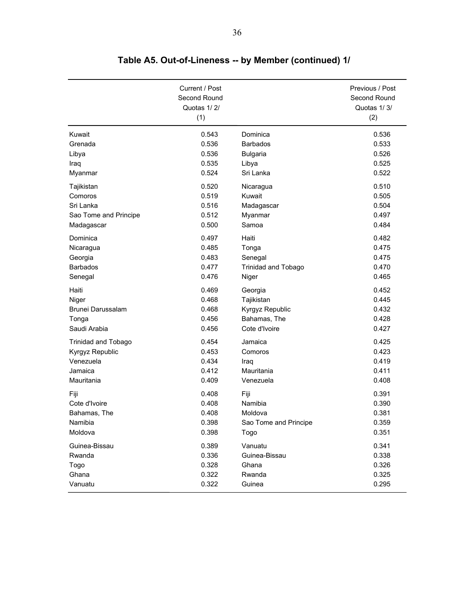|                            | Current / Post<br>Second Round<br>Quotas 1/2/<br>(1) |                            | Previous / Post<br>Second Round<br>Quotas 1/3/<br>(2) |
|----------------------------|------------------------------------------------------|----------------------------|-------------------------------------------------------|
| Kuwait                     | 0.543                                                | Dominica                   | 0.536                                                 |
| Grenada                    | 0.536                                                | <b>Barbados</b>            | 0.533                                                 |
| Libya                      | 0.536                                                | <b>Bulgaria</b>            | 0.526                                                 |
| Iraq                       | 0.535                                                | Libya                      | 0.525                                                 |
| Myanmar                    | 0.524                                                | Sri Lanka                  | 0.522                                                 |
| Tajikistan                 | 0.520                                                | Nicaragua                  | 0.510                                                 |
| Comoros                    | 0.519                                                | Kuwait                     | 0.505                                                 |
| Sri Lanka                  | 0.516                                                | Madagascar                 | 0.504                                                 |
| Sao Tome and Principe      | 0.512                                                | Myanmar                    | 0.497                                                 |
| Madagascar                 | 0.500                                                | Samoa                      | 0.484                                                 |
| Dominica                   | 0.497                                                | Haiti                      | 0.482                                                 |
| Nicaragua                  | 0.485                                                | Tonga                      | 0.475                                                 |
| Georgia                    | 0.483                                                | Senegal                    | 0.475                                                 |
| <b>Barbados</b>            | 0.477                                                | <b>Trinidad and Tobago</b> | 0.470                                                 |
| Senegal                    | 0.476                                                | Niger                      | 0.465                                                 |
| Haiti                      | 0.469                                                | Georgia                    | 0.452                                                 |
| Niger                      | 0.468                                                | Tajikistan                 | 0.445                                                 |
| Brunei Darussalam          | 0.468                                                | Kyrgyz Republic            | 0.432                                                 |
| Tonga                      | 0.456                                                | Bahamas, The               | 0.428                                                 |
| Saudi Arabia               | 0.456                                                | Cote d'Ivoire              | 0.427                                                 |
| <b>Trinidad and Tobago</b> | 0.454                                                | Jamaica                    | 0.425                                                 |
| Kyrgyz Republic            | 0.453                                                | Comoros                    | 0.423                                                 |
| Venezuela                  | 0.434                                                | Iraq                       | 0.419                                                 |
| Jamaica                    | 0.412                                                | Mauritania                 | 0.411                                                 |
| Mauritania                 | 0.409                                                | Venezuela                  | 0.408                                                 |
| Fiji                       | 0.408                                                | Fiji                       | 0.391                                                 |
| Cote d'Ivoire              | 0.408                                                | Namibia                    | 0.390                                                 |
| Bahamas. The               | 0.408                                                | Moldova                    | 0.381                                                 |
| Namibia                    | 0.398                                                | Sao Tome and Principe      | 0.359                                                 |
| Moldova                    | 0.398                                                | Togo                       | 0.351                                                 |
| Guinea-Bissau              | 0.389                                                | Vanuatu                    | 0.341                                                 |
| Rwanda                     | 0.336                                                | Guinea-Bissau              | 0.338                                                 |
| Togo                       | 0.328                                                | Ghana                      | 0.326                                                 |
| Ghana                      | 0.322                                                | Rwanda                     | 0.325                                                 |
| Vanuatu                    | 0.322                                                | Guinea                     | 0.295                                                 |

**Table A5. Out-of-Lineness -- by Member (continued) 1/**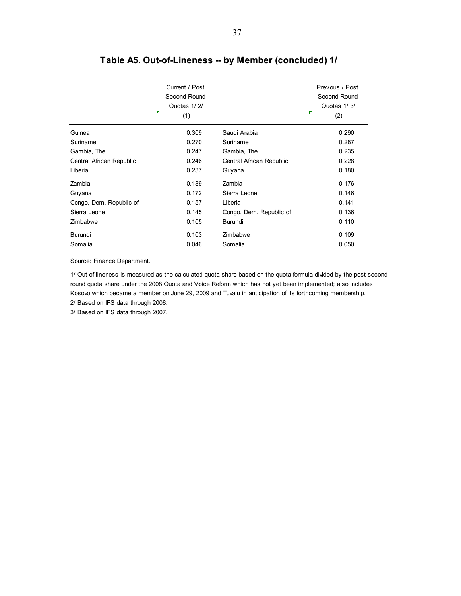|                          | Current / Post<br>Second Round<br>Quotas 1/2/<br>Ŧ<br>(1) |                          | Previous / Post<br>Second Round<br>Quotas 1/3/<br>r<br>(2) |
|--------------------------|-----------------------------------------------------------|--------------------------|------------------------------------------------------------|
| Guinea                   | 0.309                                                     | Saudi Arabia             | 0.290                                                      |
| Suriname                 | 0.270                                                     | Suriname                 | 0.287                                                      |
| Gambia, The              | 0.247                                                     | Gambia, The              | 0.235                                                      |
| Central African Republic | 0.246                                                     | Central African Republic | 0.228                                                      |
| Liberia                  | 0.237                                                     | Guyana                   | 0.180                                                      |
| Zambia                   | 0.189                                                     | Zambia                   | 0.176                                                      |
| Guyana                   | 0.172                                                     | Sierra Leone             | 0.146                                                      |
| Congo, Dem. Republic of  | 0.157                                                     | Liberia                  | 0.141                                                      |
| Sierra Leone             | 0.145                                                     | Congo, Dem. Republic of  | 0.136                                                      |
| Zimbabwe                 | 0.105                                                     | Burundi                  | 0.110                                                      |
| Burundi                  | 0.103                                                     | Zimbabwe                 | 0.109                                                      |
| Somalia                  | 0.046                                                     | Somalia                  | 0.050                                                      |

# **Table A5. Out-of-Lineness -- by Member (concluded) 1/**

Source: Finance Department.

1/ Out-of-lineness is measured as the calculated quota share based on the quota formula divided by the post second round quota share under the 2008 Quota and Voice Reform which has not yet been implemented; also includes Kosovo which became a member on June 29, 2009 and Tuvalu in anticipation of its forthcoming membership. 2/ Based on IFS data through 2008.

3/ Based on IFS data through 2007.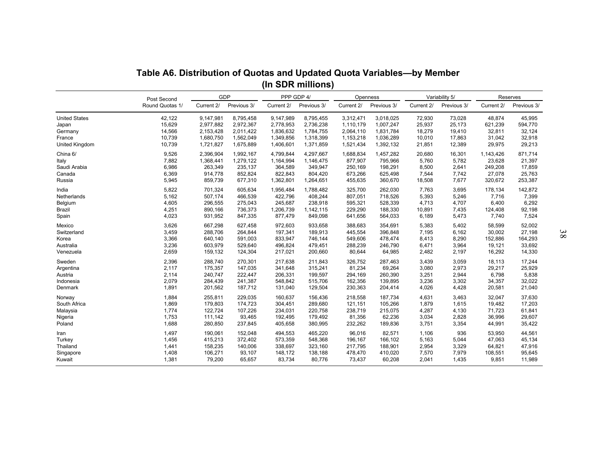|                      | Table A6. Distribution of Quotas and Updated Quota Variables-by Member |            |                    |            | (In SDR millions)         |            |                         |            |                               |            |                         |    |
|----------------------|------------------------------------------------------------------------|------------|--------------------|------------|---------------------------|------------|-------------------------|------------|-------------------------------|------------|-------------------------|----|
|                      | Post Second<br>Round Quotas 1/                                         | Current 2/ | GDP<br>Previous 3/ | Current 2/ | PPP GDP 4/<br>Previous 3/ | Current 2/ | Openness<br>Previous 3/ | Current 2/ | Variability 5/<br>Previous 3/ | Current 2/ | Reserves<br>Previous 3/ |    |
| <b>United States</b> | 42,122                                                                 | 9,147,981  | 8,795,458          | 9,147,989  | 8,795,455                 | 3,312,471  | 3,018,025               | 72,930     | 73,028                        | 48,874     | 45,995                  |    |
| Japan                | 15,629                                                                 | 2,977,882  | 2,972,367          | 2,778,953  | 2,736,238                 | 1,110,179  | 1,007,247               | 25,937     | 25,173                        | 621,239    | 594,770                 |    |
| Germany              | 14,566                                                                 | 2,153,428  | 2,011,422          | 1,836,632  | 1,784,755                 | 2,064,110  | 1,831,784               | 18,279     | 19,410                        | 32,811     | 32,124                  |    |
| France               | 10,739                                                                 | 1,680,750  | 1,562,049          | 1,349,856  | 1,318,399                 | 1,153,218  | 1,036,289               | 10,010     | 17,863                        | 31,042     | 32,918                  |    |
| United Kingdom       | 10,739                                                                 | 1,721,827  | 1,675,889          | 1,406,601  | 1,371,859                 | 1,521,434  | 1,392,132               | 21,851     | 12,389                        | 29,975     | 29,213                  |    |
| China 6/             | 9,526                                                                  | 2,396,904  | 1,992,167          | 4,799,844  | 4,297,667                 | 1,688,834  | 1,457,282               | 20,680     | 16,301                        | 1,143,426  | 871,714                 |    |
| Italy                | 7,882                                                                  | 1,368,441  | 1,279,122          | 1,164,994  | 1,146,475                 | 877,907    | 795,966                 | 5,760      | 5,782                         | 23,628     | 21,397                  |    |
| Saudi Arabia         | 6,986                                                                  | 263,349    | 235,137            | 364,589    | 349,947                   | 250,169    | 198,291                 | 8,500      | 2,641                         | 249,208    | 17,859                  |    |
| Canada               | 6,369                                                                  | 914,778    | 852,824            | 822,843    | 804,420                   | 673,266    | 625,498                 | 7,544      | 7,742                         | 27,078     | 25,763                  |    |
| Russia               | 5,945                                                                  | 859,739    | 677,310            | 1,362,801  | 1,264,651                 | 455,635    | 360,670                 | 18,508     | 7,677                         | 320,672    | 253,387                 |    |
| India                | 5,822                                                                  | 701,324    | 605,634            | 1,956,484  | 1,788,482                 | 325,700    | 262,030                 | 7,763      | 3,695                         | 178,134    | 142,872                 |    |
| Netherlands          | 5,162                                                                  | 507,174    | 466,539            | 422,796    | 408,244                   | 807,051    | 718,526                 | 5,393      | 5,246                         | 7,716      | 7,399                   |    |
| Belgium              | 4,605                                                                  | 296,555    | 275,043            | 245.687    | 238.918                   | 595.321    | 528,339                 | 4.713      | 4.707                         | 6,400      | 6,292                   |    |
| Brazil               | 4,251                                                                  | 890,166    | 736,373            | 1,206,739  | 1,142,115                 | 229,290    | 188,330                 | 10,891     | 7,435                         | 124,408    | 92,198                  |    |
| Spain                | 4,023                                                                  | 931,952    | 847,335            | 877,479    | 849,098                   | 641,656    | 564,033                 | 6,189      | 5,473                         | 7,740      | 7,524                   |    |
| Mexico               | 3,626                                                                  | 667,298    | 627,458            | 972,603    | 933,658                   | 388,683    | 354,691                 | 5,383      | 5,402                         | 58,599     | 52,002                  | 38 |
| Switzerland          | 3,459                                                                  | 288,706    | 264.844            | 197,341    | 189,913                   | 445,554    | 396,848                 | 7,195      | 6,162                         | 30,002     | 27,198                  |    |
| Korea                | 3,366                                                                  | 640,140    | 591,003            | 833,947    | 746,144                   | 549,606    | 478,474                 | 8,413      | 8,290                         | 152,886    | 164,293                 |    |
| Australia            | 3,236                                                                  | 603,979    | 529,640            | 496,824    | 479,451                   | 288,239    | 246,790                 | 6,471      | 3,964                         | 19,121     | 33,692                  |    |
| Venezuela            | 2,659                                                                  | 159,132    | 124,304            | 217,021    | 200,660                   | 80,644     | 64,985                  | 2,482      | 2,197                         | 16,292     | 14,330                  |    |
| Sweden               | 2,396                                                                  | 288,740    | 270,301            | 217,638    | 211,843                   | 326,752    | 287,463                 | 3,439      | 3,059                         | 18,113     | 17,244                  |    |
| Argentina            | 2,117                                                                  | 175,357    | 147,035            | 341,648    | 315,241                   | 81,234     | 69,264                  | 3,080      | 2,973                         | 29,217     | 25,929                  |    |
| Austria              | 2,114                                                                  | 240,747    | 222,447            | 206,331    | 199,597                   | 294,169    | 260,390                 | 3,251      | 2,944                         | 6,798      | 5,838                   |    |
| Indonesia            | 2,079                                                                  | 284,439    | 241,387            | 548,842    | 515,706                   | 162,356    | 139,895                 | 3,236      | 3,302                         | 34,357     | 32,022                  |    |
| Denmark              | 1,891                                                                  | 201,562    | 187,712            | 131,040    | 129,504                   | 230,363    | 204,414                 | 4,026      | 4,428                         | 20,581     | 21,040                  |    |
| Norway               | 1,884                                                                  | 255,811    | 229,035            | 160,637    | 156,436                   | 218,558    | 187,734                 | 4,631      | 3,463                         | 32,047     | 37,630                  |    |
| South Africa         | 1,869                                                                  | 179,803    | 174,723            | 304,451    | 289,680                   | 121,151    | 105,266                 | 1,879      | 1,615                         | 19,482     | 17,203                  |    |
| Malaysia             | 1,774                                                                  | 122,724    | 107,226            | 234,031    | 220,758                   | 238,719    | 215,075                 | 4,287      | 4,130                         | 71,723     | 61,841                  |    |
| Nigeria              | 1,753                                                                  | 111,142    | 93,465             | 192,495    | 179,492                   | 81,356     | 62,236                  | 3,034      | 2,828                         | 36,996     | 29,607                  |    |
| Poland               | 1,688                                                                  | 280,850    | 237,845            | 405,658    | 380,995                   | 232,262    | 189,836                 | 3,751      | 3,354                         | 44,991     | 35,422                  |    |
| Iran                 | 1,497                                                                  | 190,061    | 152,048            | 494,553    | 465,220                   | 96,016     | 82,571                  | 1,106      | 936                           | 53,950     | 44,561                  |    |
| Turkey               | 1,456                                                                  | 415,213    | 372,402            | 573,359    | 548,368                   | 196,167    | 166,102                 | 5,163      | 5,044                         | 47,063     | 45,134                  |    |
| Thailand             | 1,441                                                                  | 158,235    | 140,006            | 338,697    | 323,160                   | 217,795    | 188,901                 | 2,954      | 3,329                         | 64,821     | 47,916                  |    |
| Singapore            | 1,408                                                                  | 106,271    | 93,107             | 148,172    | 138,188                   | 478,470    | 410,020                 | 7,570      | 7,979                         | 108,551    | 95,645                  |    |
| Kuwait               | 1,381                                                                  | 79,200     | 65,657             | 83,734     | 80,776                    | 73,437     | 60,208                  | 2,041      | 1,435                         | 9,851      | 11,989                  |    |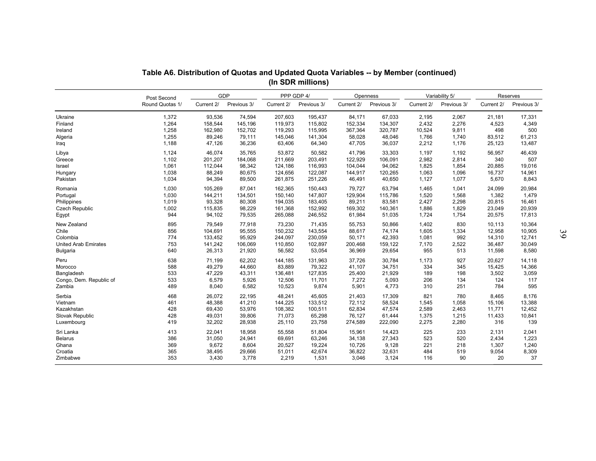| Table A6. Distribution of Quotas and Updated Quota Variables -- by Member (continued)<br>(In SDR millions)<br><b>GDP</b><br>PPP GDP 4/<br>Variability 5/<br>Reserves<br>Openness<br>Post Second<br>Current 2/<br>Previous 3/<br>Previous 3/<br>Previous 3/<br>Previous 3/<br>Round Quotas 1/<br>Current 2/<br>Current 2/<br>Current 2/<br>Current 2/<br>Previous 3/<br>1,372<br>207,603<br>195,437<br>2,067<br>21,181<br>17,331<br>93,536<br>74,594<br>84,171<br>67,033<br>2,195<br>1,264<br>158,544<br>119,973<br>115,802<br>152,334<br>134,307<br>2,432<br>2,276<br>4,349<br>145,196<br>4,523<br>1,258<br>162,980<br>152,702<br>119,293<br>115,995<br>367,364<br>320,787<br>10,524<br>9,811<br>498<br>500<br>1,255<br>145,046<br>141,304<br>89,246<br>79,111<br>58,028<br>48,046<br>1,766<br>1,740<br>83,512<br>61,213<br>1,188<br>47,126<br>36,236<br>63,406<br>64,340<br>47,705<br>36,037<br>2,212<br>1,176<br>13,487<br>25,123<br>46,074<br>35,765<br>50,582<br>46,439<br>Libya<br>1,124<br>53,872<br>41,796<br>33,303<br>1,197<br>1,192<br>56,957<br>1,102<br>122,929<br>106,091<br>2,982<br>340<br>507<br>201,207<br>184,068<br>211,669<br>203,491<br>2,814<br>Greece<br>1,061<br>116,993<br>19,016<br>112,044<br>98,342<br>124,186<br>104,044<br>94,062<br>1,825<br>1,854<br>20,885<br>Israel<br>1,038<br>88,249<br>80,675<br>124,656<br>122,087<br>144,917<br>1,063<br>1,096<br>14,961<br>Hungary<br>120,265<br>16,737<br>1,034<br>94,394<br>251,226<br>Pakistan<br>89,500<br>261,875<br>46,491<br>40,650<br>1,127<br>1,077<br>5,670<br>8,843<br>1,030<br>87,041<br>162,365<br>150,443<br>79,727<br>63,794<br>20,984<br>Romania<br>105,269<br>1,465<br>1,041<br>24,099<br>1,030<br>144,211<br>147,807<br>1,479<br>Portugal<br>134,501<br>150,140<br>129,904<br>115,786<br>1,520<br>1,568<br>1,382<br>1,019<br>93,328<br>80,308<br>194,035<br>183,405<br>89,211<br>83,581<br>2,427<br>2,298<br>20,815<br>16,461<br>Philippines<br>Czech Republic<br>1,002<br>115,835<br>98,229<br>161,368<br>152,992<br>23,049<br>20,939<br>169,302<br>140,361<br>1,886<br>1,829<br>944<br>79,535<br>265,088<br>246,552<br>61,984<br>51,035<br>1,754<br>17,813<br>94,102<br>1,724<br>20,575<br>Egypt<br>895<br>79,549<br>55,753<br>830<br>10,364<br>New Zealand<br>77,918<br>73,230<br>71,435<br>50,866<br>1,402<br>10,113<br>143,554<br>Chile<br>856<br>104,691<br>95,555<br>150,232<br>88,617<br>74,174<br>1,605<br>1,334<br>12,958<br>10,905<br>$\mathfrak{F}9$<br>230,059<br>42,393<br>992<br>12,741<br>Colombia<br>774<br>133,452<br>95,929<br>244,097<br>50,171<br>1,081<br>14,310<br><b>United Arab Emirates</b><br>753<br>141,242<br>106,069<br>110,850<br>102,897<br>200,468<br>159,122<br>7,170<br>2,522<br>36,487<br>30,049<br>640<br>26,313<br>21,920<br>36,969<br>29,654<br>955<br>513<br>8,580<br><b>Bulgaria</b><br>56,582<br>53,054<br>11,598<br>638<br>927<br>14,118<br>Peru<br>71,199<br>62,202<br>144,185<br>131,963<br>37,726<br>30,784<br>1,173<br>20,627<br>588<br>49,279<br>44,660<br>83,889<br>79,322<br>41,107<br>34,751<br>334<br>345<br>15,425<br>14,366<br>Morocco<br>533<br>47,229<br>127.835<br>21,929<br>198<br>Bangladesh<br>43,311<br>136.481<br>25,400<br>189<br>3,502<br>3,059<br>Congo, Dem. Republic of<br>533<br>6,579<br>5,926<br>12,506<br>11,701<br>7,272<br>5,093<br>134<br>124<br>117<br>206<br>489<br>10,523<br>9,874<br>4,773<br>251<br>784<br>595<br>Zambia<br>8,040<br>6,582<br>5,901<br>310<br>821<br>468<br>26,072<br>22,195<br>48,241<br>45,605<br>21,403<br>17,309<br>780<br>8,465<br>8,176<br>461<br>48,388<br>41,210<br>144,225<br>133,512<br>72,112<br>58,524<br>1,058<br>15,106<br>13,388<br>1,545<br>428<br>69,430<br>53,976<br>108,382<br>100,511<br>62,834<br>47,574<br>2,589<br>2,463<br>11,771<br>12,452<br>428<br>49,031<br>39,806<br>65,298<br>61,444<br>10,841<br>71,073<br>76,127<br>1,375<br>1,215<br>11,433<br>274,589<br>222,090<br>2,275<br>2,280<br>139<br>419<br>32,202<br>28,938<br>25,110<br>23,758<br>316<br>225<br>233<br>413<br>22,041<br>18,958<br>55,558<br>51,804<br>15,961<br>14,423<br>2,041<br>2,131<br>386<br>31,050<br>24,941<br>69,691<br>63,246<br>27,343<br>523<br>520<br>2,434<br>1,223<br>34,138<br>9,128<br>1,240<br>369<br>9,672<br>8,604<br>20,527<br>19,224<br>10,726<br>221<br>218<br>1,307<br>365<br>32,631<br>519<br>8,309<br>38,495<br>29,666<br>51,011<br>42,674<br>36,822<br>484<br>9,054<br>353<br>2,219<br>3,124<br>90<br>20<br>37<br>3,430<br>3,778<br>1,531<br>3,046<br>116 |                 |  |  |  |  |  |  |
|---------------------------------------------------------------------------------------------------------------------------------------------------------------------------------------------------------------------------------------------------------------------------------------------------------------------------------------------------------------------------------------------------------------------------------------------------------------------------------------------------------------------------------------------------------------------------------------------------------------------------------------------------------------------------------------------------------------------------------------------------------------------------------------------------------------------------------------------------------------------------------------------------------------------------------------------------------------------------------------------------------------------------------------------------------------------------------------------------------------------------------------------------------------------------------------------------------------------------------------------------------------------------------------------------------------------------------------------------------------------------------------------------------------------------------------------------------------------------------------------------------------------------------------------------------------------------------------------------------------------------------------------------------------------------------------------------------------------------------------------------------------------------------------------------------------------------------------------------------------------------------------------------------------------------------------------------------------------------------------------------------------------------------------------------------------------------------------------------------------------------------------------------------------------------------------------------------------------------------------------------------------------------------------------------------------------------------------------------------------------------------------------------------------------------------------------------------------------------------------------------------------------------------------------------------------------------------------------------------------------------------------------------------------------------------------------------------------------------------------------------------------------------------------------------------------------------------------------------------------------------------------------------------------------------------------------------------------------------------------------------------------------------------------------------------------------------------------------------------------------------------------------------------------------------------------------------------------------------------------------------------------------------------------------------------------------------------------------------------------------------------------------------------------------------------------------------------------------------------------------------------------------------------------------------------------------------------------------------------------------------------------------------------------------------------------------------------------------------------------------------------------------------------------------------------------------------------------------------------------------------------------------------------------------------------------------------------------------------------------------------------------------------------------------------------------------------------------------------------------------------------------------------------------------------------------------------------------------------------------------------------------------------------------------------------------------------------------------------------------------------------------------------------------------------------------------------------------------------|-----------------|--|--|--|--|--|--|
|                                                                                                                                                                                                                                                                                                                                                                                                                                                                                                                                                                                                                                                                                                                                                                                                                                                                                                                                                                                                                                                                                                                                                                                                                                                                                                                                                                                                                                                                                                                                                                                                                                                                                                                                                                                                                                                                                                                                                                                                                                                                                                                                                                                                                                                                                                                                                                                                                                                                                                                                                                                                                                                                                                                                                                                                                                                                                                                                                                                                                                                                                                                                                                                                                                                                                                                                                                                                                                                                                                                                                                                                                                                                                                                                                                                                                                                                                                                                                                                                                                                                                                                                                                                                                                                                                                                                                                                                                                                                           |                 |  |  |  |  |  |  |
|                                                                                                                                                                                                                                                                                                                                                                                                                                                                                                                                                                                                                                                                                                                                                                                                                                                                                                                                                                                                                                                                                                                                                                                                                                                                                                                                                                                                                                                                                                                                                                                                                                                                                                                                                                                                                                                                                                                                                                                                                                                                                                                                                                                                                                                                                                                                                                                                                                                                                                                                                                                                                                                                                                                                                                                                                                                                                                                                                                                                                                                                                                                                                                                                                                                                                                                                                                                                                                                                                                                                                                                                                                                                                                                                                                                                                                                                                                                                                                                                                                                                                                                                                                                                                                                                                                                                                                                                                                                                           |                 |  |  |  |  |  |  |
|                                                                                                                                                                                                                                                                                                                                                                                                                                                                                                                                                                                                                                                                                                                                                                                                                                                                                                                                                                                                                                                                                                                                                                                                                                                                                                                                                                                                                                                                                                                                                                                                                                                                                                                                                                                                                                                                                                                                                                                                                                                                                                                                                                                                                                                                                                                                                                                                                                                                                                                                                                                                                                                                                                                                                                                                                                                                                                                                                                                                                                                                                                                                                                                                                                                                                                                                                                                                                                                                                                                                                                                                                                                                                                                                                                                                                                                                                                                                                                                                                                                                                                                                                                                                                                                                                                                                                                                                                                                                           |                 |  |  |  |  |  |  |
|                                                                                                                                                                                                                                                                                                                                                                                                                                                                                                                                                                                                                                                                                                                                                                                                                                                                                                                                                                                                                                                                                                                                                                                                                                                                                                                                                                                                                                                                                                                                                                                                                                                                                                                                                                                                                                                                                                                                                                                                                                                                                                                                                                                                                                                                                                                                                                                                                                                                                                                                                                                                                                                                                                                                                                                                                                                                                                                                                                                                                                                                                                                                                                                                                                                                                                                                                                                                                                                                                                                                                                                                                                                                                                                                                                                                                                                                                                                                                                                                                                                                                                                                                                                                                                                                                                                                                                                                                                                                           |                 |  |  |  |  |  |  |
|                                                                                                                                                                                                                                                                                                                                                                                                                                                                                                                                                                                                                                                                                                                                                                                                                                                                                                                                                                                                                                                                                                                                                                                                                                                                                                                                                                                                                                                                                                                                                                                                                                                                                                                                                                                                                                                                                                                                                                                                                                                                                                                                                                                                                                                                                                                                                                                                                                                                                                                                                                                                                                                                                                                                                                                                                                                                                                                                                                                                                                                                                                                                                                                                                                                                                                                                                                                                                                                                                                                                                                                                                                                                                                                                                                                                                                                                                                                                                                                                                                                                                                                                                                                                                                                                                                                                                                                                                                                                           |                 |  |  |  |  |  |  |
|                                                                                                                                                                                                                                                                                                                                                                                                                                                                                                                                                                                                                                                                                                                                                                                                                                                                                                                                                                                                                                                                                                                                                                                                                                                                                                                                                                                                                                                                                                                                                                                                                                                                                                                                                                                                                                                                                                                                                                                                                                                                                                                                                                                                                                                                                                                                                                                                                                                                                                                                                                                                                                                                                                                                                                                                                                                                                                                                                                                                                                                                                                                                                                                                                                                                                                                                                                                                                                                                                                                                                                                                                                                                                                                                                                                                                                                                                                                                                                                                                                                                                                                                                                                                                                                                                                                                                                                                                                                                           |                 |  |  |  |  |  |  |
|                                                                                                                                                                                                                                                                                                                                                                                                                                                                                                                                                                                                                                                                                                                                                                                                                                                                                                                                                                                                                                                                                                                                                                                                                                                                                                                                                                                                                                                                                                                                                                                                                                                                                                                                                                                                                                                                                                                                                                                                                                                                                                                                                                                                                                                                                                                                                                                                                                                                                                                                                                                                                                                                                                                                                                                                                                                                                                                                                                                                                                                                                                                                                                                                                                                                                                                                                                                                                                                                                                                                                                                                                                                                                                                                                                                                                                                                                                                                                                                                                                                                                                                                                                                                                                                                                                                                                                                                                                                                           |                 |  |  |  |  |  |  |
|                                                                                                                                                                                                                                                                                                                                                                                                                                                                                                                                                                                                                                                                                                                                                                                                                                                                                                                                                                                                                                                                                                                                                                                                                                                                                                                                                                                                                                                                                                                                                                                                                                                                                                                                                                                                                                                                                                                                                                                                                                                                                                                                                                                                                                                                                                                                                                                                                                                                                                                                                                                                                                                                                                                                                                                                                                                                                                                                                                                                                                                                                                                                                                                                                                                                                                                                                                                                                                                                                                                                                                                                                                                                                                                                                                                                                                                                                                                                                                                                                                                                                                                                                                                                                                                                                                                                                                                                                                                                           |                 |  |  |  |  |  |  |
|                                                                                                                                                                                                                                                                                                                                                                                                                                                                                                                                                                                                                                                                                                                                                                                                                                                                                                                                                                                                                                                                                                                                                                                                                                                                                                                                                                                                                                                                                                                                                                                                                                                                                                                                                                                                                                                                                                                                                                                                                                                                                                                                                                                                                                                                                                                                                                                                                                                                                                                                                                                                                                                                                                                                                                                                                                                                                                                                                                                                                                                                                                                                                                                                                                                                                                                                                                                                                                                                                                                                                                                                                                                                                                                                                                                                                                                                                                                                                                                                                                                                                                                                                                                                                                                                                                                                                                                                                                                                           |                 |  |  |  |  |  |  |
|                                                                                                                                                                                                                                                                                                                                                                                                                                                                                                                                                                                                                                                                                                                                                                                                                                                                                                                                                                                                                                                                                                                                                                                                                                                                                                                                                                                                                                                                                                                                                                                                                                                                                                                                                                                                                                                                                                                                                                                                                                                                                                                                                                                                                                                                                                                                                                                                                                                                                                                                                                                                                                                                                                                                                                                                                                                                                                                                                                                                                                                                                                                                                                                                                                                                                                                                                                                                                                                                                                                                                                                                                                                                                                                                                                                                                                                                                                                                                                                                                                                                                                                                                                                                                                                                                                                                                                                                                                                                           | Ukraine         |  |  |  |  |  |  |
|                                                                                                                                                                                                                                                                                                                                                                                                                                                                                                                                                                                                                                                                                                                                                                                                                                                                                                                                                                                                                                                                                                                                                                                                                                                                                                                                                                                                                                                                                                                                                                                                                                                                                                                                                                                                                                                                                                                                                                                                                                                                                                                                                                                                                                                                                                                                                                                                                                                                                                                                                                                                                                                                                                                                                                                                                                                                                                                                                                                                                                                                                                                                                                                                                                                                                                                                                                                                                                                                                                                                                                                                                                                                                                                                                                                                                                                                                                                                                                                                                                                                                                                                                                                                                                                                                                                                                                                                                                                                           | Finland         |  |  |  |  |  |  |
|                                                                                                                                                                                                                                                                                                                                                                                                                                                                                                                                                                                                                                                                                                                                                                                                                                                                                                                                                                                                                                                                                                                                                                                                                                                                                                                                                                                                                                                                                                                                                                                                                                                                                                                                                                                                                                                                                                                                                                                                                                                                                                                                                                                                                                                                                                                                                                                                                                                                                                                                                                                                                                                                                                                                                                                                                                                                                                                                                                                                                                                                                                                                                                                                                                                                                                                                                                                                                                                                                                                                                                                                                                                                                                                                                                                                                                                                                                                                                                                                                                                                                                                                                                                                                                                                                                                                                                                                                                                                           | Ireland         |  |  |  |  |  |  |
|                                                                                                                                                                                                                                                                                                                                                                                                                                                                                                                                                                                                                                                                                                                                                                                                                                                                                                                                                                                                                                                                                                                                                                                                                                                                                                                                                                                                                                                                                                                                                                                                                                                                                                                                                                                                                                                                                                                                                                                                                                                                                                                                                                                                                                                                                                                                                                                                                                                                                                                                                                                                                                                                                                                                                                                                                                                                                                                                                                                                                                                                                                                                                                                                                                                                                                                                                                                                                                                                                                                                                                                                                                                                                                                                                                                                                                                                                                                                                                                                                                                                                                                                                                                                                                                                                                                                                                                                                                                                           | Algeria         |  |  |  |  |  |  |
|                                                                                                                                                                                                                                                                                                                                                                                                                                                                                                                                                                                                                                                                                                                                                                                                                                                                                                                                                                                                                                                                                                                                                                                                                                                                                                                                                                                                                                                                                                                                                                                                                                                                                                                                                                                                                                                                                                                                                                                                                                                                                                                                                                                                                                                                                                                                                                                                                                                                                                                                                                                                                                                                                                                                                                                                                                                                                                                                                                                                                                                                                                                                                                                                                                                                                                                                                                                                                                                                                                                                                                                                                                                                                                                                                                                                                                                                                                                                                                                                                                                                                                                                                                                                                                                                                                                                                                                                                                                                           | Iraq            |  |  |  |  |  |  |
|                                                                                                                                                                                                                                                                                                                                                                                                                                                                                                                                                                                                                                                                                                                                                                                                                                                                                                                                                                                                                                                                                                                                                                                                                                                                                                                                                                                                                                                                                                                                                                                                                                                                                                                                                                                                                                                                                                                                                                                                                                                                                                                                                                                                                                                                                                                                                                                                                                                                                                                                                                                                                                                                                                                                                                                                                                                                                                                                                                                                                                                                                                                                                                                                                                                                                                                                                                                                                                                                                                                                                                                                                                                                                                                                                                                                                                                                                                                                                                                                                                                                                                                                                                                                                                                                                                                                                                                                                                                                           |                 |  |  |  |  |  |  |
|                                                                                                                                                                                                                                                                                                                                                                                                                                                                                                                                                                                                                                                                                                                                                                                                                                                                                                                                                                                                                                                                                                                                                                                                                                                                                                                                                                                                                                                                                                                                                                                                                                                                                                                                                                                                                                                                                                                                                                                                                                                                                                                                                                                                                                                                                                                                                                                                                                                                                                                                                                                                                                                                                                                                                                                                                                                                                                                                                                                                                                                                                                                                                                                                                                                                                                                                                                                                                                                                                                                                                                                                                                                                                                                                                                                                                                                                                                                                                                                                                                                                                                                                                                                                                                                                                                                                                                                                                                                                           |                 |  |  |  |  |  |  |
|                                                                                                                                                                                                                                                                                                                                                                                                                                                                                                                                                                                                                                                                                                                                                                                                                                                                                                                                                                                                                                                                                                                                                                                                                                                                                                                                                                                                                                                                                                                                                                                                                                                                                                                                                                                                                                                                                                                                                                                                                                                                                                                                                                                                                                                                                                                                                                                                                                                                                                                                                                                                                                                                                                                                                                                                                                                                                                                                                                                                                                                                                                                                                                                                                                                                                                                                                                                                                                                                                                                                                                                                                                                                                                                                                                                                                                                                                                                                                                                                                                                                                                                                                                                                                                                                                                                                                                                                                                                                           |                 |  |  |  |  |  |  |
|                                                                                                                                                                                                                                                                                                                                                                                                                                                                                                                                                                                                                                                                                                                                                                                                                                                                                                                                                                                                                                                                                                                                                                                                                                                                                                                                                                                                                                                                                                                                                                                                                                                                                                                                                                                                                                                                                                                                                                                                                                                                                                                                                                                                                                                                                                                                                                                                                                                                                                                                                                                                                                                                                                                                                                                                                                                                                                                                                                                                                                                                                                                                                                                                                                                                                                                                                                                                                                                                                                                                                                                                                                                                                                                                                                                                                                                                                                                                                                                                                                                                                                                                                                                                                                                                                                                                                                                                                                                                           |                 |  |  |  |  |  |  |
|                                                                                                                                                                                                                                                                                                                                                                                                                                                                                                                                                                                                                                                                                                                                                                                                                                                                                                                                                                                                                                                                                                                                                                                                                                                                                                                                                                                                                                                                                                                                                                                                                                                                                                                                                                                                                                                                                                                                                                                                                                                                                                                                                                                                                                                                                                                                                                                                                                                                                                                                                                                                                                                                                                                                                                                                                                                                                                                                                                                                                                                                                                                                                                                                                                                                                                                                                                                                                                                                                                                                                                                                                                                                                                                                                                                                                                                                                                                                                                                                                                                                                                                                                                                                                                                                                                                                                                                                                                                                           |                 |  |  |  |  |  |  |
|                                                                                                                                                                                                                                                                                                                                                                                                                                                                                                                                                                                                                                                                                                                                                                                                                                                                                                                                                                                                                                                                                                                                                                                                                                                                                                                                                                                                                                                                                                                                                                                                                                                                                                                                                                                                                                                                                                                                                                                                                                                                                                                                                                                                                                                                                                                                                                                                                                                                                                                                                                                                                                                                                                                                                                                                                                                                                                                                                                                                                                                                                                                                                                                                                                                                                                                                                                                                                                                                                                                                                                                                                                                                                                                                                                                                                                                                                                                                                                                                                                                                                                                                                                                                                                                                                                                                                                                                                                                                           |                 |  |  |  |  |  |  |
|                                                                                                                                                                                                                                                                                                                                                                                                                                                                                                                                                                                                                                                                                                                                                                                                                                                                                                                                                                                                                                                                                                                                                                                                                                                                                                                                                                                                                                                                                                                                                                                                                                                                                                                                                                                                                                                                                                                                                                                                                                                                                                                                                                                                                                                                                                                                                                                                                                                                                                                                                                                                                                                                                                                                                                                                                                                                                                                                                                                                                                                                                                                                                                                                                                                                                                                                                                                                                                                                                                                                                                                                                                                                                                                                                                                                                                                                                                                                                                                                                                                                                                                                                                                                                                                                                                                                                                                                                                                                           |                 |  |  |  |  |  |  |
|                                                                                                                                                                                                                                                                                                                                                                                                                                                                                                                                                                                                                                                                                                                                                                                                                                                                                                                                                                                                                                                                                                                                                                                                                                                                                                                                                                                                                                                                                                                                                                                                                                                                                                                                                                                                                                                                                                                                                                                                                                                                                                                                                                                                                                                                                                                                                                                                                                                                                                                                                                                                                                                                                                                                                                                                                                                                                                                                                                                                                                                                                                                                                                                                                                                                                                                                                                                                                                                                                                                                                                                                                                                                                                                                                                                                                                                                                                                                                                                                                                                                                                                                                                                                                                                                                                                                                                                                                                                                           |                 |  |  |  |  |  |  |
|                                                                                                                                                                                                                                                                                                                                                                                                                                                                                                                                                                                                                                                                                                                                                                                                                                                                                                                                                                                                                                                                                                                                                                                                                                                                                                                                                                                                                                                                                                                                                                                                                                                                                                                                                                                                                                                                                                                                                                                                                                                                                                                                                                                                                                                                                                                                                                                                                                                                                                                                                                                                                                                                                                                                                                                                                                                                                                                                                                                                                                                                                                                                                                                                                                                                                                                                                                                                                                                                                                                                                                                                                                                                                                                                                                                                                                                                                                                                                                                                                                                                                                                                                                                                                                                                                                                                                                                                                                                                           |                 |  |  |  |  |  |  |
|                                                                                                                                                                                                                                                                                                                                                                                                                                                                                                                                                                                                                                                                                                                                                                                                                                                                                                                                                                                                                                                                                                                                                                                                                                                                                                                                                                                                                                                                                                                                                                                                                                                                                                                                                                                                                                                                                                                                                                                                                                                                                                                                                                                                                                                                                                                                                                                                                                                                                                                                                                                                                                                                                                                                                                                                                                                                                                                                                                                                                                                                                                                                                                                                                                                                                                                                                                                                                                                                                                                                                                                                                                                                                                                                                                                                                                                                                                                                                                                                                                                                                                                                                                                                                                                                                                                                                                                                                                                                           |                 |  |  |  |  |  |  |
|                                                                                                                                                                                                                                                                                                                                                                                                                                                                                                                                                                                                                                                                                                                                                                                                                                                                                                                                                                                                                                                                                                                                                                                                                                                                                                                                                                                                                                                                                                                                                                                                                                                                                                                                                                                                                                                                                                                                                                                                                                                                                                                                                                                                                                                                                                                                                                                                                                                                                                                                                                                                                                                                                                                                                                                                                                                                                                                                                                                                                                                                                                                                                                                                                                                                                                                                                                                                                                                                                                                                                                                                                                                                                                                                                                                                                                                                                                                                                                                                                                                                                                                                                                                                                                                                                                                                                                                                                                                                           |                 |  |  |  |  |  |  |
|                                                                                                                                                                                                                                                                                                                                                                                                                                                                                                                                                                                                                                                                                                                                                                                                                                                                                                                                                                                                                                                                                                                                                                                                                                                                                                                                                                                                                                                                                                                                                                                                                                                                                                                                                                                                                                                                                                                                                                                                                                                                                                                                                                                                                                                                                                                                                                                                                                                                                                                                                                                                                                                                                                                                                                                                                                                                                                                                                                                                                                                                                                                                                                                                                                                                                                                                                                                                                                                                                                                                                                                                                                                                                                                                                                                                                                                                                                                                                                                                                                                                                                                                                                                                                                                                                                                                                                                                                                                                           |                 |  |  |  |  |  |  |
|                                                                                                                                                                                                                                                                                                                                                                                                                                                                                                                                                                                                                                                                                                                                                                                                                                                                                                                                                                                                                                                                                                                                                                                                                                                                                                                                                                                                                                                                                                                                                                                                                                                                                                                                                                                                                                                                                                                                                                                                                                                                                                                                                                                                                                                                                                                                                                                                                                                                                                                                                                                                                                                                                                                                                                                                                                                                                                                                                                                                                                                                                                                                                                                                                                                                                                                                                                                                                                                                                                                                                                                                                                                                                                                                                                                                                                                                                                                                                                                                                                                                                                                                                                                                                                                                                                                                                                                                                                                                           |                 |  |  |  |  |  |  |
|                                                                                                                                                                                                                                                                                                                                                                                                                                                                                                                                                                                                                                                                                                                                                                                                                                                                                                                                                                                                                                                                                                                                                                                                                                                                                                                                                                                                                                                                                                                                                                                                                                                                                                                                                                                                                                                                                                                                                                                                                                                                                                                                                                                                                                                                                                                                                                                                                                                                                                                                                                                                                                                                                                                                                                                                                                                                                                                                                                                                                                                                                                                                                                                                                                                                                                                                                                                                                                                                                                                                                                                                                                                                                                                                                                                                                                                                                                                                                                                                                                                                                                                                                                                                                                                                                                                                                                                                                                                                           |                 |  |  |  |  |  |  |
|                                                                                                                                                                                                                                                                                                                                                                                                                                                                                                                                                                                                                                                                                                                                                                                                                                                                                                                                                                                                                                                                                                                                                                                                                                                                                                                                                                                                                                                                                                                                                                                                                                                                                                                                                                                                                                                                                                                                                                                                                                                                                                                                                                                                                                                                                                                                                                                                                                                                                                                                                                                                                                                                                                                                                                                                                                                                                                                                                                                                                                                                                                                                                                                                                                                                                                                                                                                                                                                                                                                                                                                                                                                                                                                                                                                                                                                                                                                                                                                                                                                                                                                                                                                                                                                                                                                                                                                                                                                                           |                 |  |  |  |  |  |  |
|                                                                                                                                                                                                                                                                                                                                                                                                                                                                                                                                                                                                                                                                                                                                                                                                                                                                                                                                                                                                                                                                                                                                                                                                                                                                                                                                                                                                                                                                                                                                                                                                                                                                                                                                                                                                                                                                                                                                                                                                                                                                                                                                                                                                                                                                                                                                                                                                                                                                                                                                                                                                                                                                                                                                                                                                                                                                                                                                                                                                                                                                                                                                                                                                                                                                                                                                                                                                                                                                                                                                                                                                                                                                                                                                                                                                                                                                                                                                                                                                                                                                                                                                                                                                                                                                                                                                                                                                                                                                           |                 |  |  |  |  |  |  |
|                                                                                                                                                                                                                                                                                                                                                                                                                                                                                                                                                                                                                                                                                                                                                                                                                                                                                                                                                                                                                                                                                                                                                                                                                                                                                                                                                                                                                                                                                                                                                                                                                                                                                                                                                                                                                                                                                                                                                                                                                                                                                                                                                                                                                                                                                                                                                                                                                                                                                                                                                                                                                                                                                                                                                                                                                                                                                                                                                                                                                                                                                                                                                                                                                                                                                                                                                                                                                                                                                                                                                                                                                                                                                                                                                                                                                                                                                                                                                                                                                                                                                                                                                                                                                                                                                                                                                                                                                                                                           |                 |  |  |  |  |  |  |
|                                                                                                                                                                                                                                                                                                                                                                                                                                                                                                                                                                                                                                                                                                                                                                                                                                                                                                                                                                                                                                                                                                                                                                                                                                                                                                                                                                                                                                                                                                                                                                                                                                                                                                                                                                                                                                                                                                                                                                                                                                                                                                                                                                                                                                                                                                                                                                                                                                                                                                                                                                                                                                                                                                                                                                                                                                                                                                                                                                                                                                                                                                                                                                                                                                                                                                                                                                                                                                                                                                                                                                                                                                                                                                                                                                                                                                                                                                                                                                                                                                                                                                                                                                                                                                                                                                                                                                                                                                                                           |                 |  |  |  |  |  |  |
|                                                                                                                                                                                                                                                                                                                                                                                                                                                                                                                                                                                                                                                                                                                                                                                                                                                                                                                                                                                                                                                                                                                                                                                                                                                                                                                                                                                                                                                                                                                                                                                                                                                                                                                                                                                                                                                                                                                                                                                                                                                                                                                                                                                                                                                                                                                                                                                                                                                                                                                                                                                                                                                                                                                                                                                                                                                                                                                                                                                                                                                                                                                                                                                                                                                                                                                                                                                                                                                                                                                                                                                                                                                                                                                                                                                                                                                                                                                                                                                                                                                                                                                                                                                                                                                                                                                                                                                                                                                                           |                 |  |  |  |  |  |  |
|                                                                                                                                                                                                                                                                                                                                                                                                                                                                                                                                                                                                                                                                                                                                                                                                                                                                                                                                                                                                                                                                                                                                                                                                                                                                                                                                                                                                                                                                                                                                                                                                                                                                                                                                                                                                                                                                                                                                                                                                                                                                                                                                                                                                                                                                                                                                                                                                                                                                                                                                                                                                                                                                                                                                                                                                                                                                                                                                                                                                                                                                                                                                                                                                                                                                                                                                                                                                                                                                                                                                                                                                                                                                                                                                                                                                                                                                                                                                                                                                                                                                                                                                                                                                                                                                                                                                                                                                                                                                           |                 |  |  |  |  |  |  |
|                                                                                                                                                                                                                                                                                                                                                                                                                                                                                                                                                                                                                                                                                                                                                                                                                                                                                                                                                                                                                                                                                                                                                                                                                                                                                                                                                                                                                                                                                                                                                                                                                                                                                                                                                                                                                                                                                                                                                                                                                                                                                                                                                                                                                                                                                                                                                                                                                                                                                                                                                                                                                                                                                                                                                                                                                                                                                                                                                                                                                                                                                                                                                                                                                                                                                                                                                                                                                                                                                                                                                                                                                                                                                                                                                                                                                                                                                                                                                                                                                                                                                                                                                                                                                                                                                                                                                                                                                                                                           |                 |  |  |  |  |  |  |
|                                                                                                                                                                                                                                                                                                                                                                                                                                                                                                                                                                                                                                                                                                                                                                                                                                                                                                                                                                                                                                                                                                                                                                                                                                                                                                                                                                                                                                                                                                                                                                                                                                                                                                                                                                                                                                                                                                                                                                                                                                                                                                                                                                                                                                                                                                                                                                                                                                                                                                                                                                                                                                                                                                                                                                                                                                                                                                                                                                                                                                                                                                                                                                                                                                                                                                                                                                                                                                                                                                                                                                                                                                                                                                                                                                                                                                                                                                                                                                                                                                                                                                                                                                                                                                                                                                                                                                                                                                                                           | Serbia          |  |  |  |  |  |  |
|                                                                                                                                                                                                                                                                                                                                                                                                                                                                                                                                                                                                                                                                                                                                                                                                                                                                                                                                                                                                                                                                                                                                                                                                                                                                                                                                                                                                                                                                                                                                                                                                                                                                                                                                                                                                                                                                                                                                                                                                                                                                                                                                                                                                                                                                                                                                                                                                                                                                                                                                                                                                                                                                                                                                                                                                                                                                                                                                                                                                                                                                                                                                                                                                                                                                                                                                                                                                                                                                                                                                                                                                                                                                                                                                                                                                                                                                                                                                                                                                                                                                                                                                                                                                                                                                                                                                                                                                                                                                           | Vietnam         |  |  |  |  |  |  |
|                                                                                                                                                                                                                                                                                                                                                                                                                                                                                                                                                                                                                                                                                                                                                                                                                                                                                                                                                                                                                                                                                                                                                                                                                                                                                                                                                                                                                                                                                                                                                                                                                                                                                                                                                                                                                                                                                                                                                                                                                                                                                                                                                                                                                                                                                                                                                                                                                                                                                                                                                                                                                                                                                                                                                                                                                                                                                                                                                                                                                                                                                                                                                                                                                                                                                                                                                                                                                                                                                                                                                                                                                                                                                                                                                                                                                                                                                                                                                                                                                                                                                                                                                                                                                                                                                                                                                                                                                                                                           | Kazakhstan      |  |  |  |  |  |  |
|                                                                                                                                                                                                                                                                                                                                                                                                                                                                                                                                                                                                                                                                                                                                                                                                                                                                                                                                                                                                                                                                                                                                                                                                                                                                                                                                                                                                                                                                                                                                                                                                                                                                                                                                                                                                                                                                                                                                                                                                                                                                                                                                                                                                                                                                                                                                                                                                                                                                                                                                                                                                                                                                                                                                                                                                                                                                                                                                                                                                                                                                                                                                                                                                                                                                                                                                                                                                                                                                                                                                                                                                                                                                                                                                                                                                                                                                                                                                                                                                                                                                                                                                                                                                                                                                                                                                                                                                                                                                           | Slovak Republic |  |  |  |  |  |  |
|                                                                                                                                                                                                                                                                                                                                                                                                                                                                                                                                                                                                                                                                                                                                                                                                                                                                                                                                                                                                                                                                                                                                                                                                                                                                                                                                                                                                                                                                                                                                                                                                                                                                                                                                                                                                                                                                                                                                                                                                                                                                                                                                                                                                                                                                                                                                                                                                                                                                                                                                                                                                                                                                                                                                                                                                                                                                                                                                                                                                                                                                                                                                                                                                                                                                                                                                                                                                                                                                                                                                                                                                                                                                                                                                                                                                                                                                                                                                                                                                                                                                                                                                                                                                                                                                                                                                                                                                                                                                           | Luxembourg      |  |  |  |  |  |  |
|                                                                                                                                                                                                                                                                                                                                                                                                                                                                                                                                                                                                                                                                                                                                                                                                                                                                                                                                                                                                                                                                                                                                                                                                                                                                                                                                                                                                                                                                                                                                                                                                                                                                                                                                                                                                                                                                                                                                                                                                                                                                                                                                                                                                                                                                                                                                                                                                                                                                                                                                                                                                                                                                                                                                                                                                                                                                                                                                                                                                                                                                                                                                                                                                                                                                                                                                                                                                                                                                                                                                                                                                                                                                                                                                                                                                                                                                                                                                                                                                                                                                                                                                                                                                                                                                                                                                                                                                                                                                           | Sri Lanka       |  |  |  |  |  |  |
|                                                                                                                                                                                                                                                                                                                                                                                                                                                                                                                                                                                                                                                                                                                                                                                                                                                                                                                                                                                                                                                                                                                                                                                                                                                                                                                                                                                                                                                                                                                                                                                                                                                                                                                                                                                                                                                                                                                                                                                                                                                                                                                                                                                                                                                                                                                                                                                                                                                                                                                                                                                                                                                                                                                                                                                                                                                                                                                                                                                                                                                                                                                                                                                                                                                                                                                                                                                                                                                                                                                                                                                                                                                                                                                                                                                                                                                                                                                                                                                                                                                                                                                                                                                                                                                                                                                                                                                                                                                                           | <b>Belarus</b>  |  |  |  |  |  |  |
|                                                                                                                                                                                                                                                                                                                                                                                                                                                                                                                                                                                                                                                                                                                                                                                                                                                                                                                                                                                                                                                                                                                                                                                                                                                                                                                                                                                                                                                                                                                                                                                                                                                                                                                                                                                                                                                                                                                                                                                                                                                                                                                                                                                                                                                                                                                                                                                                                                                                                                                                                                                                                                                                                                                                                                                                                                                                                                                                                                                                                                                                                                                                                                                                                                                                                                                                                                                                                                                                                                                                                                                                                                                                                                                                                                                                                                                                                                                                                                                                                                                                                                                                                                                                                                                                                                                                                                                                                                                                           | Ghana           |  |  |  |  |  |  |
|                                                                                                                                                                                                                                                                                                                                                                                                                                                                                                                                                                                                                                                                                                                                                                                                                                                                                                                                                                                                                                                                                                                                                                                                                                                                                                                                                                                                                                                                                                                                                                                                                                                                                                                                                                                                                                                                                                                                                                                                                                                                                                                                                                                                                                                                                                                                                                                                                                                                                                                                                                                                                                                                                                                                                                                                                                                                                                                                                                                                                                                                                                                                                                                                                                                                                                                                                                                                                                                                                                                                                                                                                                                                                                                                                                                                                                                                                                                                                                                                                                                                                                                                                                                                                                                                                                                                                                                                                                                                           | Croatia         |  |  |  |  |  |  |
|                                                                                                                                                                                                                                                                                                                                                                                                                                                                                                                                                                                                                                                                                                                                                                                                                                                                                                                                                                                                                                                                                                                                                                                                                                                                                                                                                                                                                                                                                                                                                                                                                                                                                                                                                                                                                                                                                                                                                                                                                                                                                                                                                                                                                                                                                                                                                                                                                                                                                                                                                                                                                                                                                                                                                                                                                                                                                                                                                                                                                                                                                                                                                                                                                                                                                                                                                                                                                                                                                                                                                                                                                                                                                                                                                                                                                                                                                                                                                                                                                                                                                                                                                                                                                                                                                                                                                                                                                                                                           | Zimbabwe        |  |  |  |  |  |  |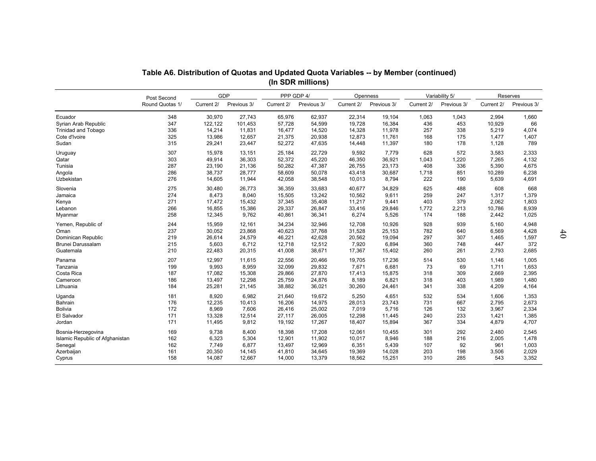|                                 | Table A6. Distribution of Quotas and Updated Quota Variables -- by Member (continued) |            |             |            | (In SDR millions) |            |             |            |                |            |             |          |
|---------------------------------|---------------------------------------------------------------------------------------|------------|-------------|------------|-------------------|------------|-------------|------------|----------------|------------|-------------|----------|
|                                 |                                                                                       | GDP        |             |            | PPP GDP 4/        |            | Openness    |            | Variability 5/ |            | Reserves    |          |
|                                 | Post Second<br>Round Quotas 1/                                                        | Current 2/ | Previous 3/ | Current 2/ | Previous 3/       | Current 2/ | Previous 3/ | Current 2/ | Previous 3/    | Current 2/ | Previous 3/ |          |
| Ecuador                         | 348                                                                                   | 30,970     | 27,743      | 65,976     | 62,937            | 22,314     | 19,104      | 1,063      | 1,043          | 2,994      | 1,660       |          |
| Syrian Arab Republic            | 347                                                                                   | 122,122    | 101,453     | 57,728     | 54,599            | 19,728     | 16,384      | 436        | 453            | 10,929     | 66          |          |
| <b>Trinidad and Tobago</b>      | 336                                                                                   | 14,214     | 11,831      | 16,477     | 14,520            | 14,328     | 11,978      | 257        | 338            | 5,219      | 4,074       |          |
| Cote d'Ivoire                   | 325                                                                                   | 13,986     | 12,657      | 21,375     | 20,938            | 12,873     | 11,761      | 168        | 175            | 1,477      | 1,407       |          |
| Sudan                           | 315                                                                                   | 29,241     | 23,447      | 52,272     | 47,635            | 14,448     | 11,397      | 180        | 178            | 1,128      | 789         |          |
| Uruguay                         | 307                                                                                   | 15,978     | 13,151      | 25,184     | 22,729            | 9,592      | 7,779       | 628        | 572            | 3,583      | 2,333       |          |
| Qatar                           | 303                                                                                   | 49,914     | 36,303      | 52,372     | 45,220            | 46,350     | 36,921      | 1,043      | 1,220          | 7,265      | 4,132       |          |
| Tunisia                         | 287                                                                                   | 23,190     | 21,136      | 50,282     | 47,387            | 26,755     | 23,173      | 408        | 336            | 5,390      | 4,675       |          |
| Angola                          | 286                                                                                   | 38,737     | 28,777      | 58,609     | 50,078            | 43,418     | 30,687      | 1,718      | 851            | 10,289     | 6,238       |          |
| Uzbekistan                      | 276                                                                                   | 14,605     | 11,944      | 42,058     | 38,548            | 10,013     | 8,794       | 222        | 190            | 5,639      | 4,691       |          |
| Slovenia                        | 275                                                                                   | 30,480     | 26,773      | 36,359     | 33,683            | 40,677     | 34,829      | 625        | 488            | 608        | 668         |          |
| Jamaica                         | 274                                                                                   | 8,473      | 8,040       | 15,505     | 13,242            | 10,562     | 9,611       | 259        | 247            | 1,317      | 1,379       |          |
| Kenya                           | 271                                                                                   | 17,472     | 15,432      | 37,345     | 35,408            | 11,217     | 9,441       | 403        | 379            | 2,062      | 1,803       |          |
| Lebanon                         | 266                                                                                   | 16,855     | 15,386      | 29,337     | 26,847            | 33,416     | 29,846      | 1,772      | 2,213          | 10,786     | 8,939       |          |
| Myanmar                         | 258                                                                                   | 12,345     | 9,762       | 40,861     | 36,341            | 6,274      | 5,526       | 174        | 188            | 2,442      | 1,025       |          |
| Yemen, Republic of              | 244                                                                                   | 15,959     | 12,161      | 34,234     | 32,946            | 12,708     | 10,926      | 928        | 939            | 5,160      | 4,948       | $\sharp$ |
| Oman                            | 237                                                                                   | 30,052     | 23,868      | 40,623     | 37,768            | 31,528     | 25,153      | 782        | 640            | 6,569      | 4,428       |          |
| Dominican Republic              | 219                                                                                   | 26,614     | 24,579      | 46,221     | 42,628            | 20,562     | 19,094      | 297        | 307            | 1,465      | 1,597       |          |
| Brunei Darussalam               | 215                                                                                   | 5,603      | 6,712       | 12,718     | 12,512            | 7,920      | 6,894       | 360        | 748            | 447        | 372         |          |
| Guatemala                       | 210                                                                                   | 22,483     | 20,315      | 41,008     | 38,671            | 17,367     | 15,402      | 260        | 261            | 2,793      | 2,685       |          |
| Panama                          | 207                                                                                   | 12,997     | 11,615      | 22,556     | 20,466            | 19,705     | 17,236      | 514        | 530            | 1,146      | 1,005       |          |
| Tanzania                        | 199                                                                                   | 9,993      | 8,959       | 32,099     | 29,832            | 7,671      | 6,681       | 73         | 69             | 1,711      | 1,653       |          |
| Costa Rica                      | 187                                                                                   | 17,082     | 15,308      | 29.866     | 27.870            | 17,413     | 15.875      | 318        | 309            | 2.669      | 2,395       |          |
| Cameroon                        | 186                                                                                   | 13,497     | 12,298      | 25,759     | 24,876            | 8,189      | 6,821       | 318        | 403            | 1,989      | 1,480       |          |
| Lithuania                       | 184                                                                                   | 25,281     | 21,145      | 38,882     | 36,021            | 30,260     | 24,461      | 341        | 338            | 4,209      | 4,164       |          |
| Uganda                          | 181                                                                                   | 8,920      | 6,982       | 21,640     | 19,672            | 5,250      | 4,651       | 532        | 534            | 1,606      | 1,353       |          |
| Bahrain                         | 176                                                                                   | 12,235     | 10,413      | 16,206     | 14,975            | 28,013     | 23,743      | 731        | 667            | 2,795      | 2,673       |          |
| <b>Bolivia</b>                  | 172                                                                                   | 8,969      | 7,606       | 26,416     | 25,002            | 7,019      | 5,716       | 126        | 132            | 3,967      | 2,334       |          |
| El Salvador                     | 171                                                                                   | 13,328     | 12,514      | 27,117     | 26,005            | 12,298     | 11,445      | 240        | 233            | 1,421      | 1,385       |          |
| Jordan                          | 171                                                                                   | 11,495     | 9,812       | 19,192     | 17,267            | 18,407     | 15,894      | 367        | 334            | 4,879      | 4,707       |          |
| Bosnia-Herzegovina              | 169                                                                                   | 9,738      | 8,400       | 18,398     | 17,208            | 12,061     | 10,455      | 301        | 292            | 2,480      | 2,545       |          |
| Islamic Republic of Afghanistan | 162                                                                                   | 6,323      | 5,304       | 12,901     | 11,902            | 10,017     | 8,946       | 188        | 216            | 2,005      | 1,478       |          |
| Senegal                         | 162                                                                                   | 7,749      | 6,877       | 13,497     | 12,969            | 6,351      | 5,439       | 107        | 92             | 961        | 1,003       |          |
| Azerbaijan                      | 161                                                                                   | 20,350     | 14,145      | 41,810     | 34,645            | 19,369     | 14,028      | 203        | 198            | 3,506      | 2,029       |          |
| Cyprus                          | 158                                                                                   | 14,087     | 12,667      | 14,000     | 13,379            | 18,562     | 15,251      | 310        | 285            | 543        | 3,352       |          |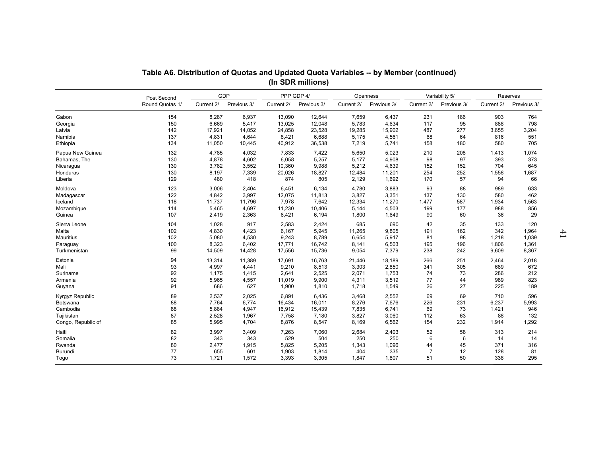|                    |                 |            |             |            | Table A6. Distribution of Quotas and Updated Quota Variables -- by Member (continued)<br>(In SDR millions) |            |             |                |                |            |             |               |
|--------------------|-----------------|------------|-------------|------------|------------------------------------------------------------------------------------------------------------|------------|-------------|----------------|----------------|------------|-------------|---------------|
|                    | Post Second     | GDP        |             |            | PPP GDP 4/                                                                                                 |            | Openness    |                | Variability 5/ |            | Reserves    |               |
|                    | Round Quotas 1/ | Current 2/ | Previous 3/ | Current 2/ | Previous 3/                                                                                                | Current 2/ | Previous 3/ | Current 2/     | Previous 3/    | Current 2/ | Previous 3/ |               |
| Gabon              | 154             | 8,287      | 6,937       | 13,090     | 12,644                                                                                                     | 7,659      | 6,437       | 231            | 186            | 903        | 764         |               |
| Georgia            | 150             | 6,669      | 5,417       | 13,025     | 12,048                                                                                                     | 5,783      | 4,634       | 117            | 95             | 888        | 798         |               |
| Latvia             | 142             | 17,921     | 14,052      | 24,858     | 23,528                                                                                                     | 19,285     | 15,902      | 487            | 277            | 3,655      | 3,204       |               |
| Namibia            | 137             | 4,831      | 4,644       | 8,421      | 6,688                                                                                                      | 5,175      | 4,561       | 68             | 64             | 816        | 551         |               |
| Ethiopia           | 134             | 11,050     | 10,445      | 40,912     | 36,538                                                                                                     | 7,219      | 5,741       | 158            | 180            | 580        | 705         |               |
| Papua New Guinea   | 132             | 4,785      | 4,032       | 7,833      | 7,422                                                                                                      | 5,650      | 5,023       | 210            | 208            | 1,413      | 1,074       |               |
| Bahamas, The       | 130             | 4,878      | 4,602       | 6,058      | 5,257                                                                                                      | 5,177      | 4,908       | 98             | 97             | 393        | 373         |               |
| Nicaragua          | 130             | 3,782      | 3,552       | 10,360     | 9,988                                                                                                      | 5,212      | 4,639       | 152            | 152            | 704        | 645         |               |
| Honduras           | 130             | 8,197      | 7,339       | 20,026     | 18,827                                                                                                     | 12,484     | 11,201      | 254            | 252            | 1,558      | 1,687       |               |
| Liberia            | 129             | 480        | 418         | 874        | 805                                                                                                        | 2,129      | 1,692       | 170            | 57             | 94         | 66          |               |
| Moldova            | 123             | 3,006      | 2,404       | 6,451      | 6,134                                                                                                      | 4,780      | 3,883       | 93             | 88             | 989        | 633         |               |
| Madagascar         | 122             | 4,842      | 3,997       | 12,075     | 11,813                                                                                                     | 3,827      | 3,351       | 137            | 130            | 580        | 462         |               |
| Iceland            | 118             | 11,737     | 11,796      | 7,978      | 7,642                                                                                                      | 12,334     | 11,270      | 1,477          | 587            | 1,934      | 1,563       |               |
| Mozambique         | 114             | 5,465      | 4,697       | 11,230     | 10,406                                                                                                     | 5,144      | 4,503       | 199            | 177            | 988        | 856         |               |
| Guinea             | 107             | 2,419      | 2,363       | 6,421      | 6,194                                                                                                      | 1,800      | 1,649       | 90             | 60             | 36         | 29          |               |
| Sierra Leone       | 104             | 1,028      | 917         | 2,583      | 2,424                                                                                                      | 685        | 690         | 42             | 35             | 133        | 120         | $\mathcal{L}$ |
| Malta              | 102             | 4,830      | 4,423       | 6.167      | 5.945                                                                                                      | 11,265     | 9,805       | 191            | 162            | 342        | 1,964       |               |
| Mauritius          | 102             | 5,080      | 4,530       | 9,243      | 8,789                                                                                                      | 6,654      | 5,917       | 81             | 98             | 1,218      | 1,039       |               |
| Paraguay           | 100             | 8,323      | 6,402       | 17,771     | 16,742                                                                                                     | 8,141      | 6,503       | 195            | 196            | 1,806      | 1,361       |               |
| Turkmenistan       | 99              | 14,509     | 14,428      | 17,556     | 15,736                                                                                                     | 9,054      | 7,379       | 238            | 242            | 9,609      | 8,367       |               |
| Estonia            | 94              | 13,314     | 11,389      | 17,691     | 16,763                                                                                                     | 21,446     | 18,189      | 266            | 251            | 2,464      | 2,018       |               |
| Mali               | 93              | 4,997      | 4,441       | 9,210      | 8,513                                                                                                      | 3,303      | 2,850       | 341            | 305            | 689        | 672         |               |
| Suriname           | 92              | 1,175      | 1,415       | 2,641      | 2,525                                                                                                      | 2,071      | 1,753       | 74             | 73             | 286        | 212         |               |
| Armenia            | 92              | 5,965      | 4,557       | 11,019     | 9.900                                                                                                      | 4,311      | 3,519       | 77             | 44             | 989        | 823         |               |
| Guyana             | 91              | 686        | 627         | 1,900      | 1,810                                                                                                      | 1,718      | 1,549       | 26             | 27             | 225        | 189         |               |
| Kyrgyz Republic    | 89              | 2,537      | 2,025       | 6,891      | 6,436                                                                                                      | 3,468      | 2,552       | 69             | 69             | 710        | 596         |               |
| <b>Botswana</b>    | 88              | 7,764      | 6,774       | 16,434     | 16,011                                                                                                     | 8,276      | 7,676       | 226            | 231            | 6,237      | 5,993       |               |
| Cambodia           | 88              | 5,884      | 4,947       | 16,912     | 15,439                                                                                                     | 7,835      | 6,741       | 69             | 73             | 1,421      | 946         |               |
| Tajikistan         | 87              | 2,528      | 1,967       | 7,758      | 7,180                                                                                                      | 3,827      | 3,060       | 112            | 63             | 88         | 132         |               |
| Congo, Republic of | 85              | 5,995      | 4,704       | 8,876      | 8,547                                                                                                      | 8,169      | 6,562       | 154            | 232            | 1,914      | 1,292       |               |
| Haiti              | 82              | 3,997      | 3,409       | 7,263      | 7,060                                                                                                      | 2,684      | 2,403       | 52             | 58             | 313        | 214         |               |
| Somalia            | 82              | 343        | 343         | 529        | 504                                                                                                        | 250        | 250         | 6              | 6              | 14         | 14          |               |
| Rwanda             | 80              | 2,477      | 1,915       | 5,825      | 5,205                                                                                                      | 1,343      | 1,096       | 44             | 45             | 371        | 316         |               |
| Burundi            | 77              | 655        | 601         | 1,903      | 1,814                                                                                                      | 404        | 335         | $\overline{7}$ | 12             | 128        | 81          |               |
| Togo               | 73              | 1,721      | 1,572       | 3,393      | 3,305                                                                                                      | 1,847      | 1,807       | 51             | 50             | 338        | 295         |               |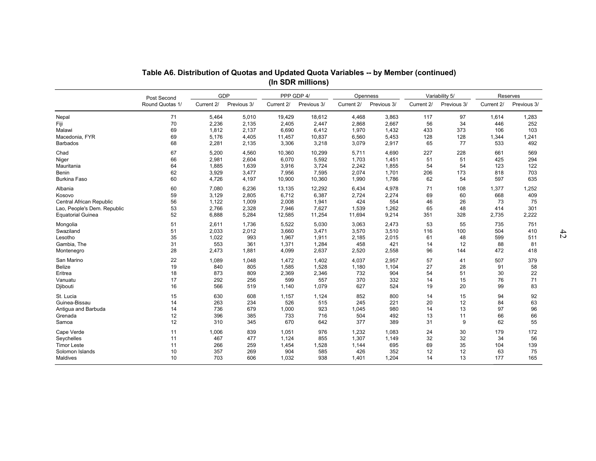|                             |                 |            |             | Table A6. Distribution of Quotas and Updated Quota Variables -- by Member (continued)<br>(In SDR millions) |             |            |             |                |             |            |             |    |
|-----------------------------|-----------------|------------|-------------|------------------------------------------------------------------------------------------------------------|-------------|------------|-------------|----------------|-------------|------------|-------------|----|
|                             | Post Second     |            | GDP         |                                                                                                            | PPP GDP 4/  | Openness   |             | Variability 5/ |             |            | Reserves    |    |
|                             | Round Quotas 1/ | Current 2/ | Previous 3/ | Current 2/                                                                                                 | Previous 3/ | Current 2/ | Previous 3/ | Current 2/     | Previous 3/ | Current 2/ | Previous 3/ |    |
| Nepal                       | 71              | 5,464      | 5,010       | 19,429                                                                                                     | 18,612      | 4,468      | 3,863       | 117            | 97          | 1,614      | 1,283       |    |
| Fiji                        | 70              | 2,236      | 2,135       | 2,405                                                                                                      | 2,447       | 2,868      | 2,667       | 56             | 34          | 446        | 252         |    |
| Malawi                      | 69              | 1,812      | 2,137       | 6,690                                                                                                      | 6,412       | 1,970      | 1,432       | 433            | 373         | 106        | 103         |    |
| Macedonia, FYR              | 69              | 5,176      | 4,405       | 11,457                                                                                                     | 10,837      | 6,560      | 5,453       | 128            | 128         | 1,344      | 1,241       |    |
| <b>Barbados</b>             | 68              | 2,281      | 2,135       | 3,306                                                                                                      | 3,218       | 3,079      | 2,917       | 65             | 77          | 533        | 492         |    |
| Chad                        | 67              | 5,200      | 4,560       | 10,360                                                                                                     | 10,299      | 5,711      | 4,690       | 227            | 228         | 661        | 569         |    |
| Niger                       | 66              | 2,981      | 2,604       | 6,070                                                                                                      | 5,592       | 1,703      | 1,451       | 51             | 51          | 425        | 294         |    |
| Mauritania                  | 64              | 1,885      | 1,639       | 3,916                                                                                                      | 3,724       | 2,242      | 1,855       | 54             | 54          | 123        | 122         |    |
| Benin                       | 62              | 3,929      | 3,477       | 7,956                                                                                                      | 7,595       | 2,074      | 1,701       | 206            | 173         | 818        | 703         |    |
| Burkina Faso                | 60              | 4,726      | 4,197       | 10,900                                                                                                     | 10,360      | 1,990      | 1,786       | 62             | 54          | 597        | 635         |    |
| Albania                     | 60              | 7,080      | 6,236       | 13,135                                                                                                     | 12,292      | 6,434      | 4,978       | 71             | 108         | 1,377      | 1,252       |    |
| Kosovo                      | 59              | 3,129      | 2,805       | 6,712                                                                                                      | 6,387       | 2,724      | 2,274       | 69             | 60          | 668        | 409         |    |
| Central African Republic    | 56              | 1,122      | 1,009       | 2,008                                                                                                      | 1,941       | 424        | 554         | 46             | 26          | 73         | 75          |    |
| Lao, People's Dem. Republic | 53              | 2,766      | 2,328       | 7,946                                                                                                      | 7,627       | 1,539      | 1,262       | 65             | 48          | 414        | 301         |    |
| <b>Equatorial Guinea</b>    | 52              | 6,888      | 5,284       | 12,585                                                                                                     | 11,254      | 11,694     | 9,214       | 351            | 328         | 2,735      | 2,222       |    |
| Mongolia                    | 51              | 2,611      | 1,736       | 5,522                                                                                                      | 5,030       | 3,063      | 2,473       | 53             | 55          | 735        | 751         | 42 |
| Swaziland                   | 51              | 2,033      | 2,012       | 3,660                                                                                                      | 3,471       | 3,570      | 3,510       | 116            | 100         | 504        | 410         |    |
| Lesotho                     | 35              | 1,022      | 993         | 1,967                                                                                                      | 1,911       | 2,185      | 2,015       | 61             | 48          | 599        | 511         |    |
| Gambia, The                 | 31              | 553        | 361         | 1,371                                                                                                      | 1,284       | 458        | 421         | 14             | 12          | 88         | 81          |    |
| Montenegro                  | 28              | 2,473      | 1,881       | 4,099                                                                                                      | 2,637       | 2,520      | 2,558       | 96             | 144         | 472        | 418         |    |
| San Marino                  | 22              | 1,089      | 1,048       | 1,472                                                                                                      | 1,402       | 4,037      | 2.957       | 57             | 41          | 507        | 379         |    |
| <b>Belize</b>               | 19              | 840        | 805         | 1,585                                                                                                      | 1,528       | 1,180      | 1,104       | 27             | 28          | 91         | 58          |    |
| Eritrea                     | 18              | 873        | 809         | 2,369                                                                                                      | 2.346       | 732        | 904         | 54             | 51          | 30         | 22          |    |
| Vanuatu                     | 17              | 292        | 256         | 599                                                                                                        | 557         | 370        | 332         | 14             | 15          | 76         | 71          |    |
| Djibouti                    | 16              | 566        | 519         | 1,140                                                                                                      | 1,079       | 627        | 524         | 19             | 20          | 99         | 83          |    |
| St. Lucia                   | 15              | 630        | 608         | 1,157                                                                                                      | 1,124       | 852        | 800         | 14             | 15          | 94         | 92          |    |
| Guinea-Bissau               | 14              | 263        | 234         | 526                                                                                                        | 515         | 245        | 221         | 20             | 12          | 84         | 63          |    |
| Antigua and Barbuda         | 14              | 736        | 679         | 1,000                                                                                                      | 923         | 1,045      | 980         | 14             | 13          | 97         | 96          |    |
| Grenada                     | 12              | 396        | 385         | 733                                                                                                        | 716         | 504        | 492         | 13             | 11          | 66         | 66          |    |
| Samoa                       | 12              | 310        | 345         | 670                                                                                                        | 642         | 377        | 389         | 31             | 9           | 62         | 55          |    |
| Cape Verde                  | 11              | 1,006      | 839         | 1,051                                                                                                      | 976         | 1,232      | 1,083       | 24             | 30          | 179        | 172         |    |
| Seychelles                  | 11              | 467        | 477         | 1,124                                                                                                      | 855         | 1,307      | 1,149       | 32             | 32          | 34         | 56          |    |
| <b>Timor Leste</b>          | 11              | 266        | 259         | 1,454                                                                                                      | 1,528       | 1,144      | 695         | 69             | 35          | 104        | 139         |    |
| Solomon Islands             | 10              | 357        | 269         | 904                                                                                                        | 585         | 426        | 352         | 12             | 12          | 63         | 75          |    |
| <b>Maldives</b>             | 10              | 703        | 606         | 1,032                                                                                                      | 938         | 1,401      | 1,204       | 14             | 13          | 177        | 165         |    |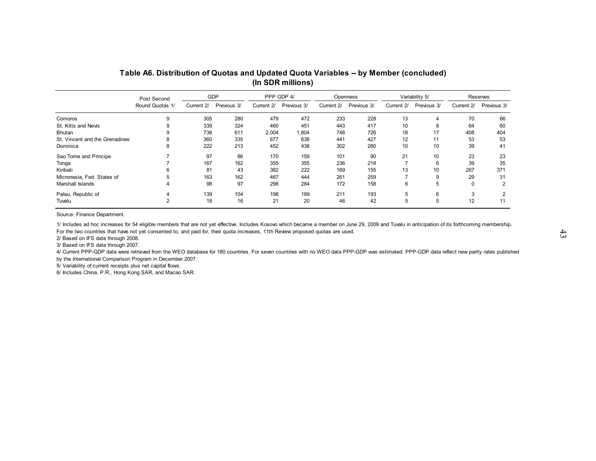|                                |                                | GDP |                        |       | PPP GDP 4/             |     | Openness               | Variability 5/ |                        | Reserves |                        |
|--------------------------------|--------------------------------|-----|------------------------|-------|------------------------|-----|------------------------|----------------|------------------------|----------|------------------------|
|                                | Post Second<br>Round Quotas 1/ |     | Current 2/ Previous 3/ |       | Current 2/ Previous 3/ |     | Current 2/ Previous 3/ |                | Current 2/ Previous 3/ |          | Current 2/ Previous 3/ |
| Comoros                        | 9                              | 305 | 280                    | 479   | 472                    | 233 | 228                    | 13             | 4                      | 70       | 66                     |
| St. Kitts and Nevis            |                                | 339 | 324                    | 460   | 451                    | 443 | 417                    | 10             | 8                      | 64       | 60                     |
| Bhutan                         |                                | 738 | 611                    | 2,004 | 1,804                  | 748 | 726                    | 18             | 17                     | 408      | 404                    |
| St. Vincent and the Grenadines |                                | 360 | 335                    | 677   | 638                    | 441 | 427                    | 12             | 11                     | 53       | 53                     |
| Dominica                       | 8                              | 222 | 213                    | 452   | 438                    | 302 | 280                    | 10             | 10                     | 39       | 41                     |
| Sao Tome and Principe          |                                | 97  | 86                     | 170   | 159                    | 101 | 90                     | 21             | 10                     | 23       | 23                     |
| Tonga                          |                                | 167 | 162                    | 355   | 355                    | 236 | 218                    | 7              | 6                      | 39       | 35                     |
| Kiribati                       | 6                              | 81  | 43                     | 382   | 222                    | 169 | 155                    | 13             | 10                     | 267      | 371                    |
| Micronesia, Fed. States of     | 5                              | 163 | 162                    | 467   | 444                    | 261 | 259                    |                |                        | 29       | 31                     |
| Marshall Islands               |                                | 98  | 97                     | 298   | 284                    | 172 | 158                    | 6              | 5                      | $\Omega$ | 2                      |
| Palau, Republic of             |                                | 139 | 104                    | 198   | 189                    | 211 | 193                    | 5              | 6                      | 3        | 2                      |
| Tuvalu                         | 2                              | 18  | 16                     | 21    | 20                     | 46  | 42                     | 5              | 5                      | 12       | 11                     |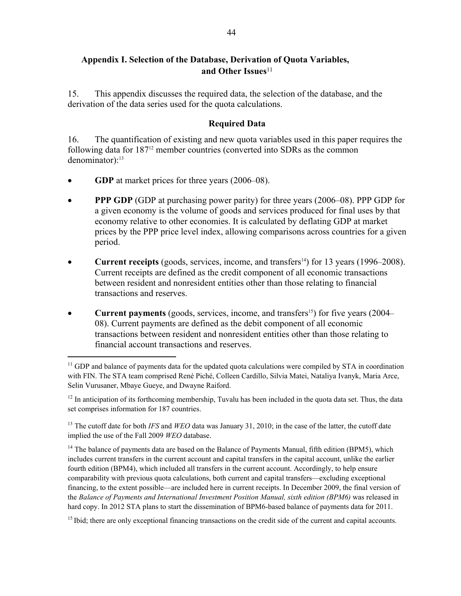15. This appendix discusses the required data, the selection of the database, and the derivation of the data series used for the quota calculations.

## **Required Data**

16. The quantification of existing and new quota variables used in this paper requires the following data for 18712 member countries (converted into SDRs as the common  $denominator$ :<sup>13</sup>

**GDP** at market prices for three years (2006–08).

 $\overline{a}$ 

- **PPP GDP** (GDP at purchasing power parity) for three years (2006–08). PPP GDP for a given economy is the volume of goods and services produced for final uses by that economy relative to other economies. It is calculated by deflating GDP at market prices by the PPP price level index, allowing comparisons across countries for a given period.
- **Current receipts** (goods, services, income, and transfers<sup>14</sup>) for 13 years (1996–2008). Current receipts are defined as the credit component of all economic transactions between resident and nonresident entities other than those relating to financial transactions and reserves.
- **Current payments** (goods, services, income, and transfers<sup>15</sup>) for five years (2004– 08). Current payments are defined as the debit component of all economic transactions between resident and nonresident entities other than those relating to financial account transactions and reserves.

 $12$  In anticipation of its forthcoming membership, Tuvalu has been included in the quota data set. Thus, the data set comprises information for 187 countries.

<sup>13</sup> The cutoff date for both *IFS* and *WEO* data was January 31, 2010; in the case of the latter, the cutoff date implied the use of the Fall 2009 *WEO* database.

<sup>14</sup> The balance of payments data are based on the Balance of Payments Manual, fifth edition (BPM5), which includes current transfers in the current account and capital transfers in the capital account, unlike the earlier fourth edition (BPM4), which included all transfers in the current account. Accordingly, to help ensure comparability with previous quota calculations, both current and capital transfers—excluding exceptional financing, to the extent possible—are included here in current receipts. In December 2009, the final version of the *Balance of Payments and International Investment Position Manual, sixth edition (BPM6)* was released in hard copy. In 2012 STA plans to start the dissemination of BPM6-based balance of payments data for 2011.

<sup>15</sup> Ibid; there are only exceptional financing transactions on the credit side of the current and capital accounts.

<sup>&</sup>lt;sup>11</sup> GDP and balance of payments data for the updated quota calculations were compiled by STA in coordination with FIN. The STA team comprised René Piché, Colleen Cardillo, Silvia Matei, Nataliya Ivanyk, Maria Arce, Selin Vurusaner, Mbaye Gueye, and Dwayne Raiford.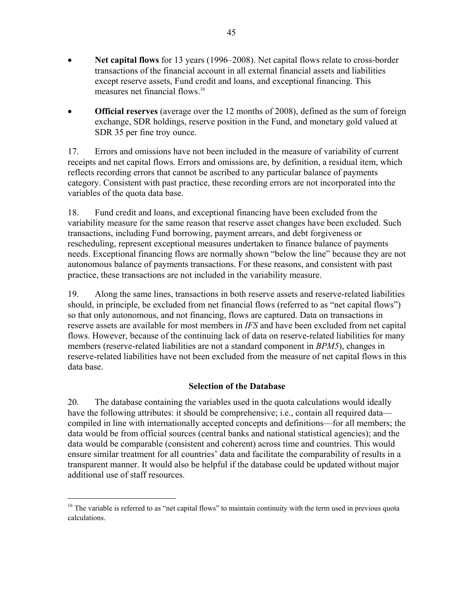- **Net capital flows** for 13 years (1996–2008). Net capital flows relate to cross-border transactions of the financial account in all external financial assets and liabilities except reserve assets, Fund credit and loans, and exceptional financing. This measures net financial flows.<sup>16</sup>
- **Official reserves** (average over the 12 months of 2008), defined as the sum of foreign exchange, SDR holdings, reserve position in the Fund, and monetary gold valued at SDR 35 per fine troy ounce.

17. Errors and omissions have not been included in the measure of variability of current receipts and net capital flows. Errors and omissions are, by definition, a residual item, which reflects recording errors that cannot be ascribed to any particular balance of payments category. Consistent with past practice, these recording errors are not incorporated into the variables of the quota data base.

18. Fund credit and loans, and exceptional financing have been excluded from the variability measure for the same reason that reserve asset changes have been excluded. Such transactions, including Fund borrowing, payment arrears, and debt forgiveness or rescheduling, represent exceptional measures undertaken to finance balance of payments needs. Exceptional financing flows are normally shown "below the line" because they are not autonomous balance of payments transactions. For these reasons, and consistent with past practice, these transactions are not included in the variability measure.

19. Along the same lines, transactions in both reserve assets and reserve-related liabilities should, in principle, be excluded from net financial flows (referred to as "net capital flows") so that only autonomous, and not financing, flows are captured. Data on transactions in reserve assets are available for most members in *IFS* and have been excluded from net capital flows. However, because of the continuing lack of data on reserve-related liabilities for many members (reserve-related liabilities are not a standard component in *BPM5*), changes in reserve-related liabilities have not been excluded from the measure of net capital flows in this data base.

## **Selection of the Database**

20. The database containing the variables used in the quota calculations would ideally have the following attributes: it should be comprehensive; i.e., contain all required data compiled in line with internationally accepted concepts and definitions—for all members; the data would be from official sources (central banks and national statistical agencies); and the data would be comparable (consistent and coherent) across time and countries. This would ensure similar treatment for all countries' data and facilitate the comparability of results in a transparent manner. It would also be helpful if the database could be updated without major additional use of staff resources.

 $\overline{a}$ 

<sup>&</sup>lt;sup>16</sup> The variable is referred to as "net capital flows" to maintain continuity with the term used in previous quota calculations.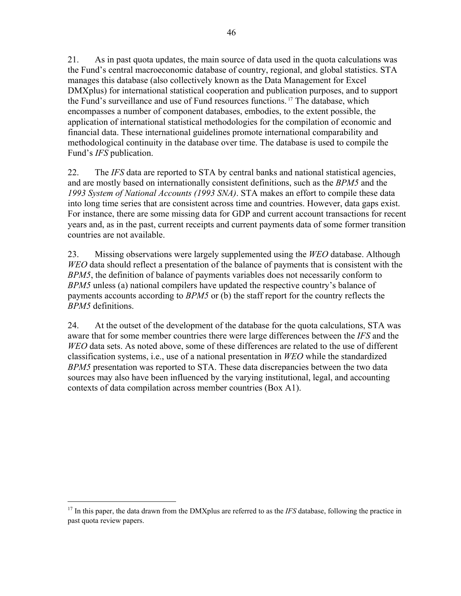21. As in past quota updates, the main source of data used in the quota calculations was the Fund's central macroeconomic database of country, regional, and global statistics. STA manages this database (also collectively known as the Data Management for Excel DMXplus) for international statistical cooperation and publication purposes, and to support the Fund's surveillance and use of Fund resources functions. 17 The database, which encompasses a number of component databases, embodies, to the extent possible, the application of international statistical methodologies for the compilation of economic and financial data. These international guidelines promote international comparability and methodological continuity in the database over time. The database is used to compile the Fund's *IFS* publication.

22. The *IFS* data are reported to STA by central banks and national statistical agencies, and are mostly based on internationally consistent definitions, such as the *BPM5* and the *1993 System of National Accounts (1993 SNA)*. STA makes an effort to compile these data into long time series that are consistent across time and countries. However, data gaps exist. For instance, there are some missing data for GDP and current account transactions for recent years and, as in the past, current receipts and current payments data of some former transition countries are not available.

23. Missing observations were largely supplemented using the *WEO* database. Although *WEO* data should reflect a presentation of the balance of payments that is consistent with the *BPM5*, the definition of balance of payments variables does not necessarily conform to *BPM5* unless (a) national compilers have updated the respective country's balance of payments accounts according to *BPM5* or (b) the staff report for the country reflects the *BPM5* definitions.

24. At the outset of the development of the database for the quota calculations, STA was aware that for some member countries there were large differences between the *IFS* and the *WEO* data sets. As noted above, some of these differences are related to the use of different classification systems, i.e., use of a national presentation in *WEO* while the standardized *BPM5* presentation was reported to STA. These data discrepancies between the two data sources may also have been influenced by the varying institutional, legal, and accounting contexts of data compilation across member countries (Box A1).

<u>.</u>

<sup>&</sup>lt;sup>17</sup> In this paper, the data drawn from the DMXplus are referred to as the *IFS* database, following the practice in past quota review papers.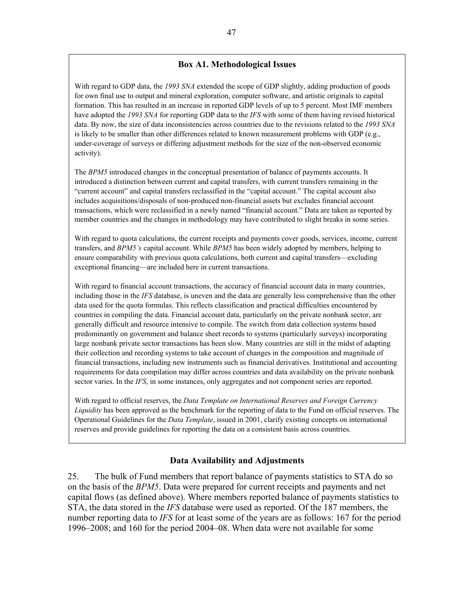### **Box A1. Methodological Issues**

With regard to GDP data, the *1993 SNA* extended the scope of GDP slightly, adding production of goods for own final use to output and mineral exploration, computer software, and artistic originals to capital formation. This has resulted in an increase in reported GDP levels of up to 5 percent. Most IMF members have adopted the *1993 SNA* for reporting GDP data to the *IFS* with some of them having revised historical data. By now, the size of data inconsistencies across countries due to the revisions related to the *1993 SNA* is likely to be smaller than other differences related to known measurement problems with GDP (e.g., under-coverage of surveys or differing adjustment methods for the size of the non-observed economic activity).

The *BPM5* introduced changes in the conceptual presentation of balance of payments accounts. It introduced a distinction between current and capital transfers, with current transfers remaining in the "current account" and capital transfers reclassified in the "capital account." The capital account also includes acquisitions/disposals of non-produced non-financial assets but excludes financial account transactions, which were reclassified in a newly named "financial account." Data are taken as reported by member countries and the changes in methodology may have contributed to slight breaks in some series.

With regard to quota calculations, the current receipts and payments cover goods, services, income, current transfers, and *BPM5's* capital account. While *BPM5* has been widely adopted by members, helping to ensure comparability with previous quota calculations, both current and capital transfers—excluding exceptional financing—are included here in current transactions.

With regard to financial account transactions, the accuracy of financial account data in many countries, including those in the *IFS* database, is uneven and the data are generally less comprehensive than the other data used for the quota formulas. This reflects classification and practical difficulties encountered by countries in compiling the data. Financial account data, particularly on the private nonbank sector, are generally difficult and resource intensive to compile. The switch from data collection systems based predominantly on government and balance sheet records to systems (particularly surveys) incorporating large nonbank private sector transactions has been slow. Many countries are still in the midst of adapting their collection and recording systems to take account of changes in the composition and magnitude of financial transactions, including new instruments such as financial derivatives. Institutional and accounting requirements for data compilation may differ across countries and data availability on the private nonbank sector varies. In the *IFS*, in some instances, only aggregates and not component series are reported.

With regard to official reserves, the *Data Template on International Reserves and Foreign Currency Liquidity* has been approved as the benchmark for the reporting of data to the Fund on official reserves. The Operational Guidelines for the *Data Template*, issued in 2001, clarify existing concepts on international reserves and provide guidelines for reporting the data on a consistent basis across countries.

### **Data Availability and Adjustments**

25. The bulk of Fund members that report balance of payments statistics to STA do so on the basis of the *BPM5*. Data were prepared for current receipts and payments and net capital flows (as defined above). Where members reported balance of payments statistics to STA, the data stored in the *IFS* database were used as reported. Of the 187 members, the number reporting data to *IFS* for at least some of the years are as follows: 167 for the period 1996–2008; and 160 for the period 2004–08. When data were not available for some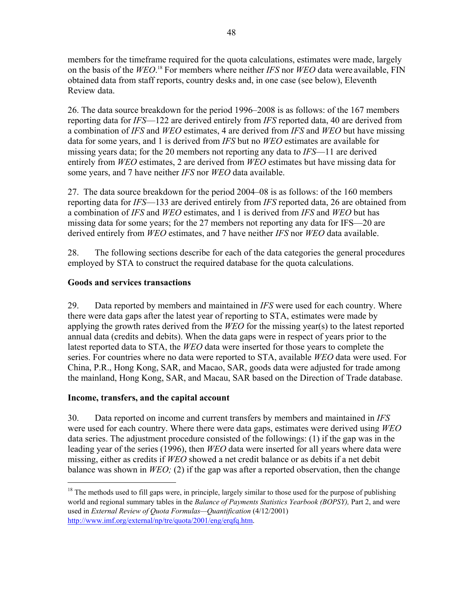members for the timeframe required for the quota calculations, estimates were made, largely on the basis of the *WEO*. <sup>18</sup> For members where neither *IFS* nor *WEO* data were available, FIN obtained data from staff reports, country desks and, in one case (see below), Eleventh Review data.

26. The data source breakdown for the period 1996–2008 is as follows: of the 167 members reporting data for *IFS*—122 are derived entirely from *IFS* reported data, 40 are derived from a combination of *IFS* and *WEO* estimates, 4 are derived from *IFS* and *WEO* but have missing data for some years, and 1 is derived from *IFS* but no *WEO* estimates are available for missing years data; for the 20 members not reporting any data to *IFS*—11 are derived entirely from *WEO* estimates, 2 are derived from *WEO* estimates but have missing data for some years, and 7 have neither *IFS* nor *WEO* data available.

27. The data source breakdown for the period 2004–08 is as follows: of the 160 members reporting data for *IFS*—133 are derived entirely from *IFS* reported data, 26 are obtained from a combination of *IFS* and *WEO* estimates, and 1 is derived from *IFS* and *WEO* but has missing data for some years; for the 27 members not reporting any data for IFS—20 are derived entirely from *WEO* estimates, and 7 have neither *IFS* nor *WEO* data available.

28. The following sections describe for each of the data categories the general procedures employed by STA to construct the required database for the quota calculations.

## **Goods and services transactions**

29. Data reported by members and maintained in *IFS* were used for each country. Where there were data gaps after the latest year of reporting to STA, estimates were made by applying the growth rates derived from the *WEO* for the missing year(s) to the latest reported annual data (credits and debits). When the data gaps were in respect of years prior to the latest reported data to STA, the *WEO* data were inserted for those years to complete the series. For countries where no data were reported to STA, available *WEO* data were used. For China, P.R., Hong Kong, SAR, and Macao, SAR, goods data were adjusted for trade among the mainland, Hong Kong, SAR, and Macau, SAR based on the Direction of Trade database.

## **Income, transfers, and the capital account**

 $\overline{a}$ 

30. Data reported on income and current transfers by members and maintained in *IFS* were used for each country. Where there were data gaps, estimates were derived using *WEO* data series. The adjustment procedure consisted of the followings: (1) if the gap was in the leading year of the series (1996), then *WEO* data were inserted for all years where data were missing, either as credits if *WEO* showed a net credit balance or as debits if a net debit balance was shown in *WEO;* (2) if the gap was after a reported observation, then the change

 $<sup>18</sup>$  The methods used to fill gaps were, in principle, largely similar to those used for the purpose of publishing</sup> world and regional summary tables in the *Balance of Payments Statistics Yearbook (BOPSY),* Part 2, and were used in *External Review of Quota Formulas—Quantification* (4/12/2001) http://www.imf.org/external/np/tre/quota/2001/eng/erqfq.htm.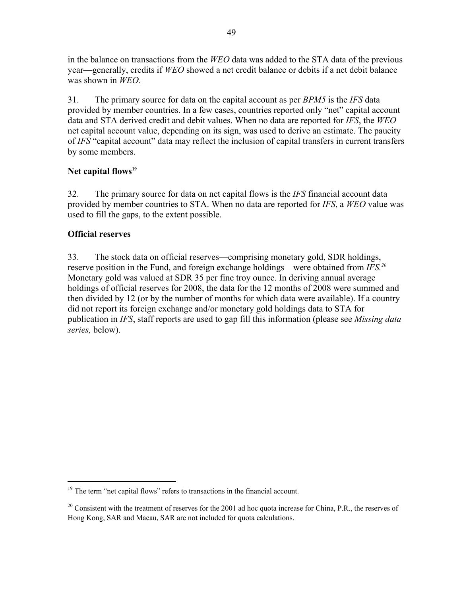in the balance on transactions from the *WEO* data was added to the STA data of the previous year—generally, credits if *WEO* showed a net credit balance or debits if a net debit balance was shown in *WEO*.

31. The primary source for data on the capital account as per *BPM5* is the *IFS* data provided by member countries. In a few cases, countries reported only "net" capital account data and STA derived credit and debit values. When no data are reported for *IFS*, the *WEO* net capital account value, depending on its sign, was used to derive an estimate. The paucity of *IFS* "capital account" data may reflect the inclusion of capital transfers in current transfers by some members.

## Net capital flows<sup>19</sup>

32. The primary source for data on net capital flows is the *IFS* financial account data provided by member countries to STA. When no data are reported for *IFS*, a *WEO* value was used to fill the gaps, to the extent possible.

## **Official reserves**

<u>.</u>

33. The stock data on official reserves—comprising monetary gold, SDR holdings, reserve position in the Fund, and foreign exchange holdings—were obtained from *IFS.20* Monetary gold was valued at SDR 35 per fine troy ounce. In deriving annual average holdings of official reserves for 2008, the data for the 12 months of 2008 were summed and then divided by 12 (or by the number of months for which data were available). If a country did not report its foreign exchange and/or monetary gold holdings data to STA for publication in *IFS*, staff reports are used to gap fill this information (please see *Missing data series,* below).

<sup>&</sup>lt;sup>19</sup> The term "net capital flows" refers to transactions in the financial account.

<sup>&</sup>lt;sup>20</sup> Consistent with the treatment of reserves for the 2001 ad hoc quota increase for China, P.R., the reserves of Hong Kong, SAR and Macau, SAR are not included for quota calculations.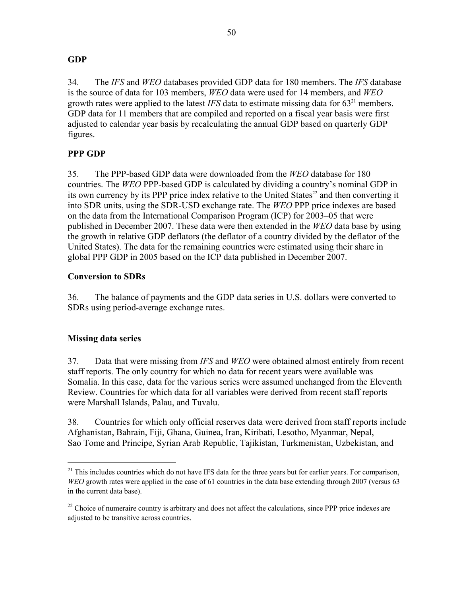### **GDP**

34. The *IFS* and *WEO* databases provided GDP data for 180 members. The *IFS* database is the source of data for 103 members, *WEO* data were used for 14 members, and *WEO* growth rates were applied to the latest *IFS* data to estimate missing data for  $63<sup>21</sup>$  members. GDP data for 11 members that are compiled and reported on a fiscal year basis were first adjusted to calendar year basis by recalculating the annual GDP based on quarterly GDP figures.

## **PPP GDP**

35. The PPP-based GDP data were downloaded from the *WEO* database for 180 countries. The *WEO* PPP-based GDP is calculated by dividing a country's nominal GDP in its own currency by its PPP price index relative to the United States $^{22}$  and then converting it into SDR units, using the SDR-USD exchange rate. The *WEO* PPP price indexes are based on the data from the International Comparison Program (ICP) for 2003–05 that were published in December 2007. These data were then extended in the *WEO* data base by using the growth in relative GDP deflators (the deflator of a country divided by the deflator of the United States). The data for the remaining countries were estimated using their share in global PPP GDP in 2005 based on the ICP data published in December 2007.

### **Conversion to SDRs**

36. The balance of payments and the GDP data series in U.S. dollars were converted to SDRs using period-average exchange rates.

## **Missing data series**

 $\overline{a}$ 

37. Data that were missing from *IFS* and *WEO* were obtained almost entirely from recent staff reports. The only country for which no data for recent years were available was Somalia. In this case, data for the various series were assumed unchanged from the Eleventh Review. Countries for which data for all variables were derived from recent staff reports were Marshall Islands, Palau, and Tuvalu.

38. Countries for which only official reserves data were derived from staff reports include Afghanistan, Bahrain, Fiji, Ghana, Guinea, Iran, Kiribati, Lesotho, Myanmar, Nepal, Sao Tome and Principe, Syrian Arab Republic, Tajikistan, Turkmenistan, Uzbekistan, and

<sup>&</sup>lt;sup>21</sup> This includes countries which do not have IFS data for the three years but for earlier years. For comparison, *WEO* growth rates were applied in the case of 61 countries in the data base extending through 2007 (versus 63) in the current data base).

 $22$  Choice of numeraire country is arbitrary and does not affect the calculations, since PPP price indexes are adjusted to be transitive across countries.